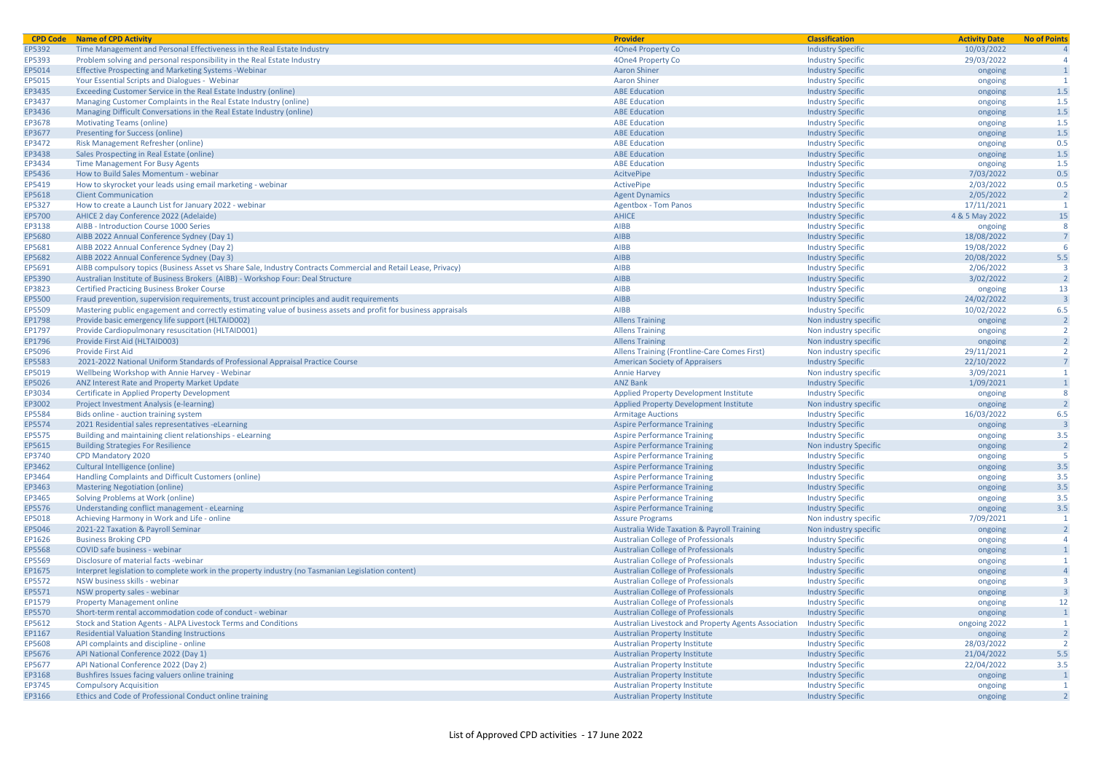| <b>CPD Code</b> | <b>Name of CPD Activity</b>                                                                                      | <b>Provider</b>                                       | <b>Classification</b>    | <b>Activity Date</b> | <b>No of Points</b>     |
|-----------------|------------------------------------------------------------------------------------------------------------------|-------------------------------------------------------|--------------------------|----------------------|-------------------------|
| EP5392          | Time Management and Personal Effectiveness in the Real Estate Industry                                           | 4One4 Property Co                                     | <b>Industry Specific</b> | 10/03/2022           |                         |
| EP5393          | Problem solving and personal responsibility in the Real Estate Industry                                          | 40ne4 Property Co                                     | <b>Industry Specific</b> | 29/03/2022           |                         |
| EP5014          | <b>Effective Prospecting and Marketing Systems - Webinar</b>                                                     | <b>Aaron Shiner</b>                                   | <b>Industry Specific</b> | ongoing              |                         |
| EP5015          | Your Essential Scripts and Dialogues - Webinar                                                                   | <b>Aaron Shiner</b>                                   | <b>Industry Specific</b> | ongoing              | $\overline{1}$          |
| EP3435          | Exceeding Customer Service in the Real Estate Industry (online)                                                  | <b>ABE Education</b>                                  | <b>Industry Specific</b> | ongoing              | 1.5                     |
| EP3437          | Managing Customer Complaints in the Real Estate Industry (online)                                                | <b>ABE Education</b>                                  | <b>Industry Specific</b> | ongoing              | 1.5                     |
| EP3436          | Managing Difficult Conversations in the Real Estate Industry (online)                                            | <b>ABE Education</b>                                  | <b>Industry Specific</b> | ongoing              | 1.5                     |
| EP3678          | <b>Motivating Teams (online)</b>                                                                                 | <b>ABE Education</b>                                  | <b>Industry Specific</b> | ongoing              | 1.5                     |
| EP3677          | <b>Presenting for Success (online)</b>                                                                           | <b>ABE Education</b>                                  | <b>Industry Specific</b> | ongoing              | 1.5                     |
| EP3472          | Risk Management Refresher (online)                                                                               | <b>ABE Education</b>                                  | <b>Industry Specific</b> | ongoing              | 0.5                     |
| EP3438          | Sales Prospecting in Real Estate (online)                                                                        | <b>ABE Education</b>                                  | <b>Industry Specific</b> | ongoing              | 1.5                     |
| EP3434          | <b>Time Management For Busy Agents</b>                                                                           | <b>ABE Education</b>                                  | <b>Industry Specific</b> | ongoing              | 1.5                     |
| EP5436          | How to Build Sales Momentum - webinar                                                                            | AcitvePipe                                            | <b>Industry Specific</b> | 7/03/2022            | 0.5                     |
| EP5419          | How to skyrocket your leads using email marketing - webinar                                                      | ActivePipe                                            | <b>Industry Specific</b> | 2/03/2022            | 0.5                     |
| EP5618          | <b>Client Communication</b>                                                                                      | <b>Agent Dynamics</b>                                 | <b>Industry Specific</b> | 2/05/2022            | $\overline{2}$          |
| EP5327          | How to create a Launch List for January 2022 - webinar                                                           | <b>Agentbox - Tom Panos</b>                           | <b>Industry Specific</b> | 17/11/2021           | $\overline{1}$          |
| EP5700          | AHICE 2 day Conference 2022 (Adelaide)                                                                           | <b>AHICE</b>                                          | <b>Industry Specific</b> | 4 & 5 May 2022       | 15                      |
| EP3138          | AIBB - Introduction Course 1000 Series                                                                           | <b>AIBB</b>                                           | <b>Industry Specific</b> | ongoing              | 8                       |
| EP5680          | AIBB 2022 Annual Conference Sydney (Day 1)                                                                       | AIBB                                                  | <b>Industry Specific</b> | 18/08/2022           |                         |
| EP5681          | AIBB 2022 Annual Conference Sydney (Day 2)                                                                       | <b>AIBB</b>                                           | <b>Industry Specific</b> | 19/08/2022           | -6                      |
| EP5682          | AIBB 2022 Annual Conference Sydney (Day 3)                                                                       | <b>AIBB</b>                                           | <b>Industry Specific</b> | 20/08/2022           | 5.5                     |
| EP5691          | AIBB compulsory topics (Business Asset vs Share Sale, Industry Contracts Commercial and Retail Lease, Privacy)   | <b>AIBB</b>                                           | <b>Industry Specific</b> | 2/06/2022            | $\overline{\mathbf{3}}$ |
| EP5390          | Australian Institute of Business Brokers (AIBB) - Workshop Four: Deal Structure                                  | <b>AIBB</b>                                           | <b>Industry Specific</b> | 3/02/2022            | $\overline{2}$          |
| EP3823          | <b>Certified Practicing Business Broker Course</b>                                                               | <b>AIBB</b>                                           | <b>Industry Specific</b> | ongoing              | 13                      |
| EP5500          | Fraud prevention, supervision requirements, trust account principles and audit requirements                      | <b>AIBB</b>                                           | <b>Industry Specific</b> | 24/02/2022           |                         |
| EP5509          | Mastering public engagement and correctly estimating value of business assets and profit for business appraisals | AIBB                                                  | <b>Industry Specific</b> | 10/02/2022           | 6.5                     |
| EP1798          | Provide basic emergency life support (HLTAID002)                                                                 | <b>Allens Training</b>                                | Non industry specific    | ongoing              | $\overline{2}$          |
| EP1797          | Provide Cardiopulmonary resuscitation (HLTAID001)                                                                | <b>Allens Training</b>                                | Non industry specific    | ongoing              | $\overline{2}$          |
| EP1796          | Provide First Aid (HLTAID003)                                                                                    | <b>Allens Training</b>                                | Non industry specific    | ongoing              | $\overline{2}$          |
| EP5096          | <b>Provide First Aid</b>                                                                                         | Allens Training (Frontline-Care Comes First)          | Non industry specific    | 29/11/2021           | <sup>2</sup>            |
| EP5583          | 2021-2022 National Uniform Standards of Professional Appraisal Practice Course                                   | <b>American Society of Appraisers</b>                 | <b>Industry Specific</b> | 22/10/2022           |                         |
| EP5019          | Wellbeing Workshop with Annie Harvey - Webinar                                                                   | <b>Annie Harvey</b>                                   | Non industry specific    | 3/09/2021            | $\overline{1}$          |
| EP5026          | ANZ Interest Rate and Property Market Update                                                                     | <b>ANZ Bank</b>                                       | <b>Industry Specific</b> | 1/09/2021            | $\overline{1}$          |
| EP3034          | Certificate in Applied Property Development                                                                      | <b>Applied Property Development Institute</b>         | <b>Industry Specific</b> | ongoing              | 8                       |
| EP3002          | Project Investment Analysis (e-learning)                                                                         | Applied Property Development Institute                | Non industry specific    | ongoing              |                         |
| EP5584          | Bids online - auction training system                                                                            | <b>Armitage Auctions</b>                              | <b>Industry Specific</b> | 16/03/2022           | 6.5                     |
| EP5574          | 2021 Residential sales representatives -eLearning                                                                | <b>Aspire Performance Training</b>                    | <b>Industry Specific</b> | ongoing              | -3                      |
| EP5575          | Building and maintaining client relationships - eLearning                                                        | <b>Aspire Performance Training</b>                    | <b>Industry Specific</b> | ongoing              | 3.5                     |
| EP5615          | <b>Building Strategies For Resilience</b>                                                                        | <b>Aspire Performance Training</b>                    | Non industry Specific    | ongoing              | $\overline{2}$          |
| EP3740          | CPD Mandatory 2020                                                                                               | <b>Aspire Performance Training</b>                    | <b>Industry Specific</b> | ongoing              | -5                      |
| EP3462          | Cultural Intelligence (online)                                                                                   | <b>Aspire Performance Training</b>                    | <b>Industry Specific</b> | ongoing              | 3.5                     |
| EP3464          | Handling Complaints and Difficult Customers (online)                                                             | <b>Aspire Performance Training</b>                    | <b>Industry Specific</b> | ongoing              | 3.5                     |
| EP3463          | <b>Mastering Negotiation (online)</b>                                                                            | <b>Aspire Performance Training</b>                    | <b>Industry Specific</b> | ongoing              | 3.5                     |
| EP3465          | Solving Problems at Work (online)                                                                                | <b>Aspire Performance Training</b>                    | <b>Industry Specific</b> | ongoing              | 3.5                     |
| EP5576          | Understanding conflict management - eLearning                                                                    | <b>Aspire Performance Training</b>                    | <b>Industry Specific</b> | ongoing              | 3.5                     |
| EP5018          | Achieving Harmony in Work and Life - online                                                                      | <b>Assure Programs</b>                                | Non industry specific    | 7/09/2021            | -1                      |
| EP5046          | 2021-22 Taxation & Payroll Seminar                                                                               | <b>Australia Wide Taxation &amp; Payroll Training</b> | Non industry specific    | ongoing              | $\overline{2}$          |
| EP1626          | <b>Business Broking CPD</b>                                                                                      | <b>Australian College of Professionals</b>            | <b>Industry Specific</b> | ongoing              | $\overline{a}$          |
| <b>EP5568</b>   | COVID safe business - webinar                                                                                    | <b>Australian College of Professionals</b>            | <b>Industry Specific</b> | ongoing              | $\mathbf{1}$            |
| EP5569          | Disclosure of material facts - webinar                                                                           | <b>Australian College of Professionals</b>            | <b>Industry Specific</b> | ongoing              |                         |
| EP1675          | Interpret legislation to complete work in the property industry (no Tasmanian Legislation content)               | <b>Australian College of Professionals</b>            | <b>Industry Specific</b> | ongoing              | $\Delta$                |
| EP5572          | NSW business skills - webinar                                                                                    | <b>Australian College of Professionals</b>            | <b>Industry Specific</b> | ongoing              | $\overline{\mathbf{3}}$ |
| EP5571          | NSW property sales - webinar                                                                                     | <b>Australian College of Professionals</b>            | <b>Industry Specific</b> | ongoing              |                         |
| EP1579          | <b>Property Management online</b>                                                                                | <b>Australian College of Professionals</b>            | <b>Industry Specific</b> | ongoing              | 12                      |
| EP5570          | Short-term rental accommodation code of conduct - webinar                                                        | <b>Australian College of Professionals</b>            | <b>Industry Specific</b> | ongoing              |                         |
| EP5612          | Stock and Station Agents - ALPA Livestock Terms and Conditions                                                   | Australian Livestock and Property Agents Association  | <b>Industry Specific</b> | ongoing 2022         | $\overline{1}$          |
| EP1167          | <b>Residential Valuation Standing Instructions</b>                                                               | <b>Australian Property Institute</b>                  | <b>Industry Specific</b> | ongoing              | $\overline{2}$          |
| EP5608          | API complaints and discipline - online                                                                           | <b>Australian Property Institute</b>                  | <b>Industry Specific</b> | 28/03/2022           | $\overline{2}$          |
| EP5676          | API National Conference 2022 (Day 1)                                                                             | <b>Australian Property Institute</b>                  | <b>Industry Specific</b> | 21/04/2022           | 5.5                     |
| EP5677          | API National Conference 2022 (Day 2)                                                                             | <b>Australian Property Institute</b>                  | <b>Industry Specific</b> | 22/04/2022           | 3.5                     |
| EP3168          | Bushfires Issues facing valuers online training                                                                  | <b>Australian Property Institute</b>                  | <b>Industry Specific</b> | ongoing              |                         |
| EP3745          | <b>Compulsory Acquisition</b>                                                                                    | <b>Australian Property Institute</b>                  | <b>Industry Specific</b> | ongoing              | $\overline{1}$          |
| EP3166          | Ethics and Code of Professional Conduct online training                                                          | <b>Australian Property Institute</b>                  | <b>Industry Specific</b> | ongoing              |                         |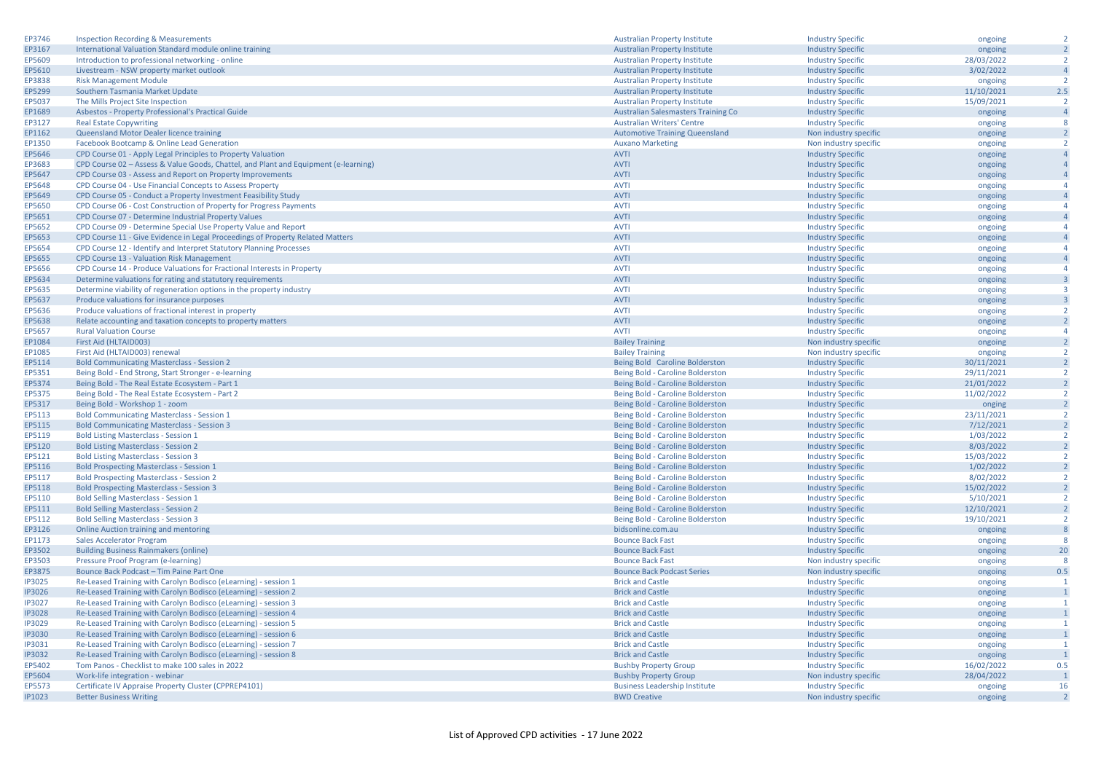| EP3746        | <b>Inspection Recording &amp; Measurements</b>                                      | <b>Australian Property Institute</b>       | <b>Industry Specific</b> | ongoing    | $\overline{2}$          |
|---------------|-------------------------------------------------------------------------------------|--------------------------------------------|--------------------------|------------|-------------------------|
| EP3167        | International Valuation Standard module online training                             | <b>Australian Property Institute</b>       | <b>Industry Specific</b> | ongoing    | $\overline{2}$          |
| EP5609        | Introduction to professional networking - online                                    | <b>Australian Property Institute</b>       | <b>Industry Specific</b> | 28/03/2022 | $\overline{2}$          |
| EP5610        | Livestream - NSW property market outlook                                            | <b>Australian Property Institute</b>       | <b>Industry Specific</b> | 3/02/2022  | $\overline{4}$          |
| EP3838        | <b>Risk Management Module</b>                                                       | <b>Australian Property Institute</b>       | <b>Industry Specific</b> | ongoing    | $\overline{2}$          |
| EP5299        | Southern Tasmania Market Update                                                     | <b>Australian Property Institute</b>       | <b>Industry Specific</b> | 11/10/2021 | 2.5                     |
| EP5037        | The Mills Project Site Inspection                                                   | <b>Australian Property Institute</b>       | <b>Industry Specific</b> | 15/09/2021 | $\overline{2}$          |
| EP1689        | Asbestos - Property Professional's Practical Guide                                  | <b>Australian Salesmasters Training Co</b> | <b>Industry Specific</b> | ongoing    | $\overline{4}$          |
| EP3127        | <b>Real Estate Copywriting</b>                                                      | <b>Australian Writers' Centre</b>          | <b>Industry Specific</b> | ongoing    | 8                       |
| EP1162        | Queensland Motor Dealer licence training                                            | <b>Automotive Training Queensland</b>      | Non industry specific    | ongoing    | $\overline{2}$          |
| EP1350        | Facebook Bootcamp & Online Lead Generation                                          | <b>Auxano Marketing</b>                    | Non industry specific    |            | $\overline{2}$          |
| EP5646        |                                                                                     | <b>AVTI</b>                                |                          | ongoing    | $\overline{4}$          |
|               | CPD Course 01 - Apply Legal Principles to Property Valuation                        |                                            | <b>Industry Specific</b> | ongoing    |                         |
| EP3683        | CPD Course 02 - Assess & Value Goods, Chattel, and Plant and Equipment (e-learning) | <b>AVTI</b>                                | <b>Industry Specific</b> | ongoing    |                         |
| EP5647        | CPD Course 03 - Assess and Report on Property Improvements                          | <b>AVTI</b>                                | <b>Industry Specific</b> | ongoing    | $\overline{4}$          |
| EP5648        | CPD Course 04 - Use Financial Concepts to Assess Property                           | <b>AVTI</b>                                | <b>Industry Specific</b> | ongoing    | $\overline{4}$          |
| EP5649        | CPD Course 05 - Conduct a Property Investment Feasibility Study                     | <b>AVTI</b>                                | <b>Industry Specific</b> | ongoing    | $\overline{4}$          |
| EP5650        | CPD Course 06 - Cost Construction of Property for Progress Payments                 | <b>AVTI</b>                                | <b>Industry Specific</b> | ongoing    | $\overline{A}$          |
| EP5651        | CPD Course 07 - Determine Industrial Property Values                                | <b>AVTI</b>                                | <b>Industry Specific</b> | ongoing    | $\overline{4}$          |
| EP5652        | CPD Course 09 - Determine Special Use Property Value and Report                     | <b>AVTI</b>                                | <b>Industry Specific</b> | ongoing    | $\overline{4}$          |
| EP5653        | CPD Course 11 - Give Evidence in Legal Proceedings of Property Related Matters      | <b>AVTI</b>                                | <b>Industry Specific</b> | ongoing    | $\overline{4}$          |
| EP5654        | CPD Course 12 - Identify and Interpret Statutory Planning Processes                 | <b>AVTI</b>                                | <b>Industry Specific</b> | ongoing    | $\overline{4}$          |
| EP5655        | CPD Course 13 - Valuation Risk Management                                           | <b>AVTI</b>                                | <b>Industry Specific</b> | ongoing    | $\overline{4}$          |
| EP5656        | CPD Course 14 - Produce Valuations for Fractional Interests in Property             | <b>AVTI</b>                                | <b>Industry Specific</b> | ongoing    | $\overline{4}$          |
| EP5634        | Determine valuations for rating and statutory requirements                          | <b>AVTI</b>                                | <b>Industry Specific</b> | ongoing    | $\overline{3}$          |
| EP5635        | Determine viability of regeneration options in the property industry                | <b>AVTI</b>                                | <b>Industry Specific</b> | ongoing    | $\overline{\mathbf{3}}$ |
| EP5637        | Produce valuations for insurance purposes                                           | <b>AVTI</b>                                | <b>Industry Specific</b> | ongoing    | $\overline{\mathbf{3}}$ |
| EP5636        | Produce valuations of fractional interest in property                               | <b>AVTI</b>                                | <b>Industry Specific</b> | ongoing    | $\overline{2}$          |
| EP5638        | Relate accounting and taxation concepts to property matters                         | <b>AVTI</b>                                | <b>Industry Specific</b> | ongoing    | $\overline{2}$          |
| EP5657        | <b>Rural Valuation Course</b>                                                       | <b>AVTI</b>                                | <b>Industry Specific</b> | ongoing    | $\overline{4}$          |
| EP1084        | First Aid (HLTAID003)                                                               | <b>Bailey Training</b>                     | Non industry specific    |            | $\overline{2}$          |
|               |                                                                                     |                                            |                          | ongoing    | $\overline{2}$          |
| EP1085        | First Aid (HLTAID003) renewal                                                       | <b>Bailey Training</b>                     | Non industry specific    | ongoing    |                         |
| EP5114        | <b>Bold Communicating Masterclass - Session 2</b>                                   | Being Bold Caroline Bolderston             | <b>Industry Specific</b> | 30/11/2021 | $\overline{2}$          |
| EP5351        | Being Bold - End Strong, Start Stronger - e-learning                                | Being Bold - Caroline Bolderston           | <b>Industry Specific</b> | 29/11/2021 | $\overline{2}$          |
| EP5374        | Being Bold - The Real Estate Ecosystem - Part 1                                     | Being Bold - Caroline Bolderston           | <b>Industry Specific</b> | 21/01/2022 | $\overline{2}$          |
| EP5375        | Being Bold - The Real Estate Ecosystem - Part 2                                     | Being Bold - Caroline Bolderston           | <b>Industry Specific</b> | 11/02/2022 | $\overline{2}$          |
| EP5317        | Being Bold - Workshop 1 - zoom                                                      | Being Bold - Caroline Bolderston           | <b>Industry Specific</b> | onging     | $\overline{2}$          |
| EP5113        | <b>Bold Communicating Masterclass - Session 1</b>                                   | Being Bold - Caroline Bolderston           | <b>Industry Specific</b> | 23/11/2021 | $\overline{2}$          |
| EP5115        | <b>Bold Communicating Masterclass - Session 3</b>                                   | Being Bold - Caroline Bolderston           | <b>Industry Specific</b> | 7/12/2021  | $\overline{2}$          |
| EP5119        | <b>Bold Listing Masterclass - Session 1</b>                                         | Being Bold - Caroline Bolderston           | <b>Industry Specific</b> | 1/03/2022  | $\overline{2}$          |
| EP5120        | <b>Bold Listing Masterclass - Session 2</b>                                         | Being Bold - Caroline Bolderston           | <b>Industry Specific</b> | 8/03/2022  | $\overline{2}$          |
| EP5121        | <b>Bold Listing Masterclass - Session 3</b>                                         | Being Bold - Caroline Bolderston           | <b>Industry Specific</b> | 15/03/2022 | $\overline{2}$          |
| EP5116        | <b>Bold Prospecting Masterclass - Session 1</b>                                     | Being Bold - Caroline Bolderston           | <b>Industry Specific</b> | 1/02/2022  | $\overline{2}$          |
| EP5117        | <b>Bold Prospecting Masterclass - Session 2</b>                                     | Being Bold - Caroline Bolderston           | <b>Industry Specific</b> | 8/02/2022  | $\overline{2}$          |
| EP5118        | <b>Bold Prospecting Masterclass - Session 3</b>                                     | Being Bold - Caroline Bolderston           | <b>Industry Specific</b> | 15/02/2022 | $\overline{2}$          |
| EP5110        | <b>Bold Selling Masterclass - Session 1</b>                                         | Being Bold - Caroline Bolderston           | <b>Industry Specific</b> | 5/10/2021  | $\overline{2}$          |
| EP5111        | <b>Bold Selling Masterclass - Session 2</b>                                         | Being Bold - Caroline Bolderston           | <b>Industry Specific</b> | 12/10/2021 | $\overline{2}$          |
| EP5112        | <b>Bold Selling Masterclass - Session 3</b>                                         | Being Bold - Caroline Bolderston           | <b>Industry Specific</b> | 19/10/2021 | $\overline{2}$          |
| EP3126        | Online Auction training and mentoring                                               | bidsonline.com.au                          | <b>Industry Specific</b> | ongoing    | 8                       |
| EP1173        | Sales Accelerator Program                                                           | <b>Bounce Back Fast</b>                    | <b>Industry Specific</b> | ongoing    | 8                       |
| EP3502        | <b>Building Business Rainmakers (online)</b>                                        | <b>Bounce Back Fast</b>                    | <b>Industry Specific</b> | ongoing    | 20                      |
| EP3503        | Pressure Proof Program (e-learning)                                                 | <b>Bounce Back Fast</b>                    | Non industry specific    | ongoing    | 8                       |
| EP3875        | <b>Bounce Back Podcast - Tim Paine Part One</b>                                     | <b>Bounce Back Podcast Series</b>          | Non industry specific    | ongoing    | 0.5                     |
| <b>IP3025</b> | Re-Leased Training with Carolyn Bodisco (eLearning) - session 1                     | <b>Brick and Castle</b>                    | <b>Industry Specific</b> | ongoing    | $\overline{1}$          |
| <b>IP3026</b> |                                                                                     |                                            |                          |            | $\overline{1}$          |
|               | Re-Leased Training with Carolyn Bodisco (eLearning) - session 2                     | <b>Brick and Castle</b>                    | <b>Industry Specific</b> | ongoing    | $\overline{1}$          |
| <b>IP3027</b> | Re-Leased Training with Carolyn Bodisco (eLearning) - session 3                     | <b>Brick and Castle</b>                    | <b>Industry Specific</b> | ongoing    |                         |
| <b>IP3028</b> | Re-Leased Training with Carolyn Bodisco (eLearning) - session 4                     | <b>Brick and Castle</b>                    | <b>Industry Specific</b> | ongoing    | $\overline{1}$          |
| IP3029        | Re-Leased Training with Carolyn Bodisco (eLearning) - session 5                     | <b>Brick and Castle</b>                    | <b>Industry Specific</b> | ongoing    | $\mathbf{1}$            |
| <b>IP3030</b> | Re-Leased Training with Carolyn Bodisco (eLearning) - session 6                     | <b>Brick and Castle</b>                    | <b>Industry Specific</b> | ongoing    | $\overline{1}$          |
| IP3031        | Re-Leased Training with Carolyn Bodisco (eLearning) - session 7                     | <b>Brick and Castle</b>                    | <b>Industry Specific</b> | ongoing    | $\overline{1}$          |
| <b>IP3032</b> | Re-Leased Training with Carolyn Bodisco (eLearning) - session 8                     | <b>Brick and Castle</b>                    | <b>Industry Specific</b> | ongoing    | $\overline{1}$          |
| EP5402        | Tom Panos - Checklist to make 100 sales in 2022                                     | <b>Bushby Property Group</b>               | <b>Industry Specific</b> | 16/02/2022 | 0.5                     |
| EP5604        | Work-life integration - webinar                                                     | <b>Bushby Property Group</b>               | Non industry specific    | 28/04/2022 | $\overline{1}$          |
| EP5573        | Certificate IV Appraise Property Cluster (CPPREP4101)                               | <b>Business Leadership Institute</b>       | <b>Industry Specific</b> | ongoing    | 16                      |
| <b>IP1023</b> | <b>Better Business Writing</b>                                                      | <b>BWD Creative</b>                        | Non industry specific    | ongoing    | $\overline{2}$          |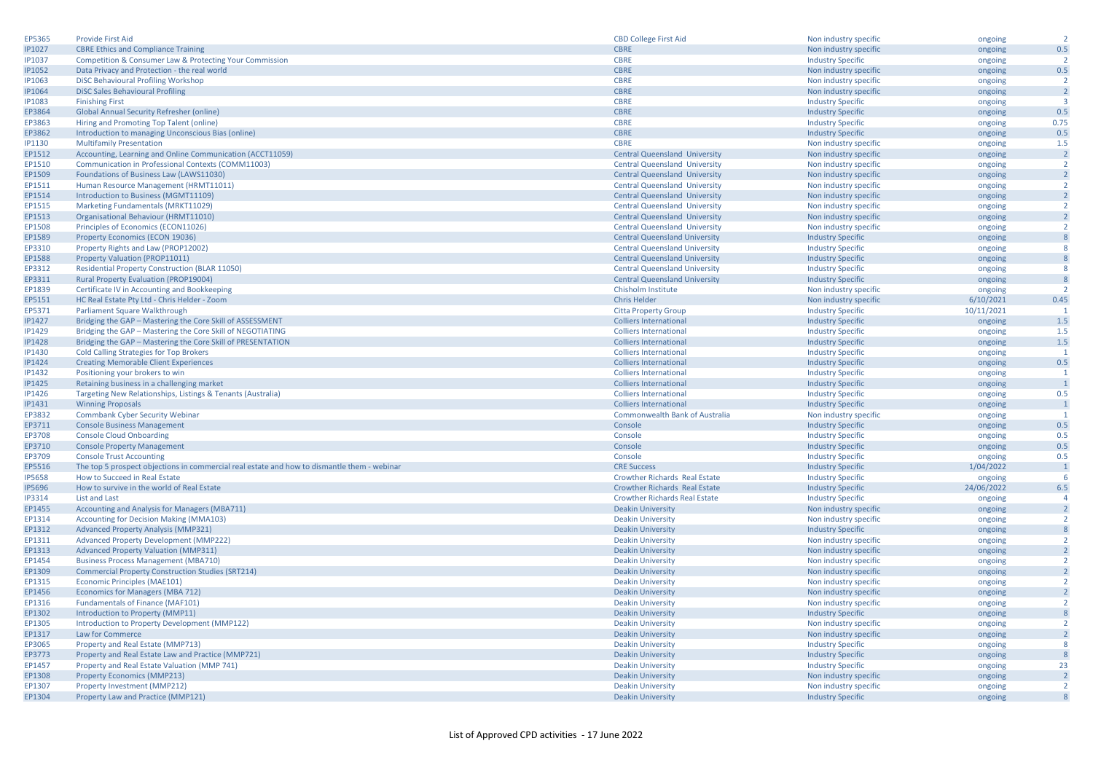| EP5365           | <b>Provide First Aid</b>                                                                    | <b>CBD College First Aid</b>         | Non industry specific    | ongoing    | $\overline{2}$   |
|------------------|---------------------------------------------------------------------------------------------|--------------------------------------|--------------------------|------------|------------------|
| <b>IP1027</b>    | <b>CBRE Ethics and Compliance Training</b>                                                  | <b>CBRE</b>                          | Non industry specific    | ongoing    | 0.5              |
| <b>IP1037</b>    | Competition & Consumer Law & Protecting Your Commission                                     | <b>CBRE</b>                          | <b>Industry Specific</b> | ongoing    | $\overline{2}$   |
| <b>IP1052</b>    | Data Privacy and Protection - the real world                                                | <b>CBRE</b>                          | Non industry specific    | ongoing    | 0.5              |
| <b>IP1063</b>    | DISC Behavioural Profiling Workshop                                                         | <b>CBRE</b>                          | Non industry specific    | ongoing    | $\overline{2}$   |
| <b>IP1064</b>    | <b>DISC Sales Behavioural Profiling</b>                                                     | <b>CBRE</b>                          | Non industry specific    | ongoing    | $\overline{2}$   |
| <b>IP1083</b>    | <b>Finishing First</b>                                                                      | <b>CBRE</b>                          | <b>Industry Specific</b> | ongoing    | ्२               |
| EP3864           | Global Annual Security Refresher (online)                                                   | <b>CBRE</b>                          | <b>Industry Specific</b> | ongoing    | 0.5              |
| EP3863           | Hiring and Promoting Top Talent (online)                                                    | <b>CBRE</b>                          | <b>Industry Specific</b> | ongoing    | 0.75             |
| EP3862           | Introduction to managing Unconscious Bias (online)                                          | <b>CBRE</b>                          | <b>Industry Specific</b> | ongoing    | 0.5              |
| IP1130           | <b>Multifamily Presentation</b>                                                             | <b>CBRE</b>                          | Non industry specific    | ongoing    | 1.5              |
| EP1512           | Accounting, Learning and Online Communication (ACCT11059)                                   | <b>Central Queensland University</b> | Non industry specific    | ongoing    | $\overline{2}$   |
| EP1510           | Communication in Professional Contexts (COMM11003)                                          | <b>Central Queensland University</b> | Non industry specific    | ongoing    | $\overline{2}$   |
| EP1509           | Foundations of Business Law (LAWS11030)                                                     | <b>Central Queensland University</b> | Non industry specific    | ongoing    | $\overline{2}$   |
| EP1511           | Human Resource Management (HRMT11011)                                                       | <b>Central Queensland University</b> | Non industry specific    | ongoing    | $\overline{2}$   |
| EP1514           | Introduction to Business (MGMT11109)                                                        | <b>Central Queensland University</b> | Non industry specific    | ongoing    | $\overline{2}$   |
| EP1515           | Marketing Fundamentals (MRKT11029)                                                          | <b>Central Queensland University</b> | Non industry specific    | ongoing    | $\overline{2}$   |
| EP1513           | Organisational Behaviour (HRMT11010)                                                        | <b>Central Queensland University</b> | Non industry specific    | ongoing    | $\overline{2}$   |
| EP1508           | Principles of Economics (ECON11026)                                                         | <b>Central Queensland University</b> | Non industry specific    | ongoing    | $\overline{2}$   |
| EP1589           | Property Economics (ECON 19036)                                                             | <b>Central Queensland University</b> | <b>Industry Specific</b> | ongoing    | $\boldsymbol{8}$ |
| EP3310           | Property Rights and Law (PROP12002)                                                         | <b>Central Queensland University</b> | <b>Industry Specific</b> | ongoing    | 8                |
| EP1588           | Property Valuation (PROP11011)                                                              | <b>Central Queensland University</b> | <b>Industry Specific</b> |            | 8                |
| EP3312           |                                                                                             | <b>Central Queensland University</b> |                          | ongoing    | 8                |
|                  | <b>Residential Property Construction (BLAR 11050)</b>                                       | <b>Central Queensland University</b> | <b>Industry Specific</b> | ongoing    | 8                |
| EP3311           | <b>Rural Property Evaluation (PROP19004)</b>                                                |                                      | <b>Industry Specific</b> | ongoing    | $\overline{z}$   |
| EP1839<br>EP5151 | Certificate IV in Accounting and Bookkeeping                                                | Chisholm Institute                   | Non industry specific    | ongoing    | 0.45             |
|                  | HC Real Estate Pty Ltd - Chris Helder - Zoom                                                | <b>Chris Helder</b>                  | Non industry specific    | 6/10/2021  |                  |
| EP5371           | Parliament Square Walkthrough                                                               | <b>Citta Property Group</b>          | <b>Industry Specific</b> | 10/11/2021 |                  |
| <b>IP1427</b>    | Bridging the GAP - Mastering the Core Skill of ASSESSMENT                                   | <b>Colliers International</b>        | <b>Industry Specific</b> | ongoing    | 1.5              |
| IP1429           | Bridging the GAP - Mastering the Core Skill of NEGOTIATING                                  | <b>Colliers International</b>        | <b>Industry Specific</b> | ongoing    | 1.5              |
| <b>IP1428</b>    | Bridging the GAP - Mastering the Core Skill of PRESENTATION                                 | <b>Colliers International</b>        | <b>Industry Specific</b> | ongoing    | 1.5              |
| IP1430           | <b>Cold Calling Strategies for Top Brokers</b>                                              | <b>Colliers International</b>        | <b>Industry Specific</b> | ongoing    | $\overline{1}$   |
| IP1424           | <b>Creating Memorable Client Experiences</b>                                                | <b>Colliers International</b>        | <b>Industry Specific</b> | ongoing    | 0.5              |
| <b>IP1432</b>    | Positioning your brokers to win                                                             | <b>Colliers International</b>        | <b>Industry Specific</b> | ongoing    | $\mathbf{1}$     |
| <b>IP1425</b>    | Retaining business in a challenging market                                                  | <b>Colliers International</b>        | <b>Industry Specific</b> | ongoing    | $\overline{1}$   |
| <b>IP1426</b>    | Targeting New Relationships, Listings & Tenants (Australia)                                 | <b>Colliers International</b>        | <b>Industry Specific</b> | ongoing    | 0.5              |
| <b>IP1431</b>    | <b>Winning Proposals</b>                                                                    | <b>Colliers International</b>        | <b>Industry Specific</b> | ongoing    | $\overline{1}$   |
| EP3832           | Commbank Cyber Security Webinar                                                             | Commonwealth Bank of Australia       | Non industry specific    | ongoing    | -1               |
| EP3711           | <b>Console Business Management</b>                                                          | Console                              | <b>Industry Specific</b> | ongoing    | 0.5              |
| EP3708           | <b>Console Cloud Onboarding</b>                                                             | Console                              | <b>Industry Specific</b> | ongoing    | 0.5              |
| EP3710           | <b>Console Property Management</b>                                                          | Console                              | <b>Industry Specific</b> | ongoing    | 0.5              |
| EP3709           | <b>Console Trust Accounting</b>                                                             | Console                              | <b>Industry Specific</b> | ongoing    | 0.5              |
| EP5516           | The top 5 prospect objections in commercial real estate and how to dismantle them - webinar | <b>CRE Success</b>                   | <b>Industry Specific</b> | 1/04/2022  | $\overline{1}$   |
| <b>IP5658</b>    | How to Succeed in Real Estate                                                               | <b>Crowther Richards Real Estate</b> | <b>Industry Specific</b> | ongoing    | 6                |
| <b>IP5696</b>    | How to survive in the world of Real Estate                                                  | Crowther Richards Real Estate        | <b>Industry Specific</b> | 24/06/2022 | 6.5              |
| <b>IP3314</b>    | List and Last                                                                               | <b>Crowther Richards Real Estate</b> | <b>Industry Specific</b> | ongoing    | $\overline{4}$   |
| EP1455           | Accounting and Analysis for Managers (MBA711)                                               | <b>Deakin University</b>             | Non industry specific    | ongoing    | $\overline{2}$   |
| EP1314           | <b>Accounting for Decision Making (MMA103)</b>                                              | <b>Deakin University</b>             | Non industry specific    | ongoing    | $\overline{2}$   |
| EP1312           | <b>Advanced Property Analysis (MMP321)</b>                                                  | <b>Deakin University</b>             | <b>Industry Specific</b> | ongoing    | 8                |
| EP1311           | <b>Advanced Property Development (MMP222)</b>                                               | <b>Deakin University</b>             | Non industry specific    | ongoing    | $\overline{2}$   |
| EP1313           | <b>Advanced Property Valuation (MMP311)</b>                                                 | <b>Deakin University</b>             | Non industry specific    | ongoing    | $\overline{2}$   |
| EP1454           | <b>Business Process Management (MBA710)</b>                                                 | <b>Deakin University</b>             | Non industry specific    | ongoing    | $\overline{2}$   |
| EP1309           | <b>Commercial Property Construction Studies (SRT214)</b>                                    | <b>Deakin University</b>             | Non industry specific    | ongoing    | $\overline{2}$   |
| EP1315           | Economic Principles (MAE101)                                                                | <b>Deakin University</b>             | Non industry specific    | ongoing    | $\overline{2}$   |
| EP1456           | Economics for Managers (MBA 712)                                                            | <b>Deakin University</b>             | Non industry specific    | ongoing    | $\overline{2}$   |
| EP1316           | Fundamentals of Finance (MAF101)                                                            | <b>Deakin University</b>             | Non industry specific    | ongoing    | $\overline{2}$   |
| EP1302           | Introduction to Property (MMP11)                                                            | <b>Deakin University</b>             | <b>Industry Specific</b> | ongoing    | 8                |
| EP1305           | Introduction to Property Development (MMP122)                                               | <b>Deakin University</b>             | Non industry specific    | ongoing    | $\overline{2}$   |
| EP1317           | Law for Commerce                                                                            | <b>Deakin University</b>             | Non industry specific    | ongoing    | $\overline{2}$   |
| EP3065           | Property and Real Estate (MMP713)                                                           | <b>Deakin University</b>             | <b>Industry Specific</b> | ongoing    | $\mathbf{R}$     |
| EP3773           | Property and Real Estate Law and Practice (MMP721)                                          | <b>Deakin University</b>             | <b>Industry Specific</b> | ongoing    | $\overline{8}$   |
| EP1457           | Property and Real Estate Valuation (MMP 741)                                                | <b>Deakin University</b>             | <b>Industry Specific</b> | ongoing    | 23               |
| EP1308           | <b>Property Economics (MMP213)</b>                                                          | <b>Deakin University</b>             | Non industry specific    | ongoing    | $\overline{2}$   |
| EP1307           | Property Investment (MMP212)                                                                | <b>Deakin University</b>             | Non industry specific    | ongoing    | $\overline{2}$   |
| EP1304           | Property Law and Practice (MMP121)                                                          | <b>Deakin University</b>             | <b>Industry Specific</b> | ongoing    | $\overline{8}$   |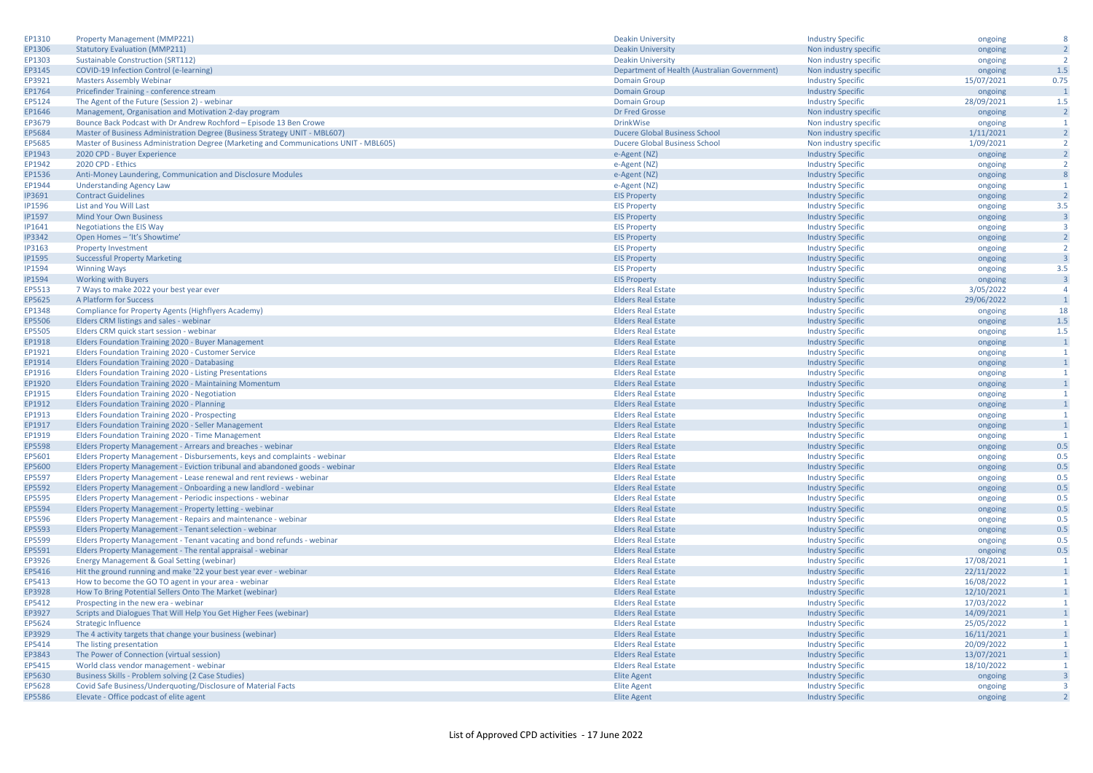| EP1310        | <b>Property Management (MMP221)</b>                                                   | <b>Deakin University</b>                     | <b>Industry Specific</b>                             | ongoing            | 8                       |
|---------------|---------------------------------------------------------------------------------------|----------------------------------------------|------------------------------------------------------|--------------------|-------------------------|
| EP1306        | <b>Statutory Evaluation (MMP211)</b>                                                  | <b>Deakin University</b>                     | Non industry specific                                | ongoing            | $\overline{2}$          |
| EP1303        | <b>Sustainable Construction (SRT112)</b>                                              | <b>Deakin University</b>                     | Non industry specific                                | ongoing            | $\overline{2}$          |
| EP3145        | COVID-19 Infection Control (e-learning)                                               | Department of Health (Australian Government) | Non industry specific                                | ongoing            | 1.5                     |
| EP3921        | <b>Masters Assembly Webinar</b>                                                       | <b>Domain Group</b>                          | <b>Industry Specific</b>                             | 15/07/2021         | 0.75                    |
| EP1764        | Pricefinder Training - conference stream                                              | <b>Domain Group</b>                          | <b>Industry Specific</b>                             | ongoing            | $\overline{1}$          |
| EP5124        | The Agent of the Future (Session 2) - webinar                                         | <b>Domain Group</b>                          | <b>Industry Specific</b>                             | 28/09/2021         | 1.5                     |
| EP1646        | Management, Organisation and Motivation 2-day program                                 | Dr Fred Grosse                               | Non industry specific                                | ongoing            | $\overline{2}$          |
| EP3679        | Bounce Back Podcast with Dr Andrew Rochford - Episode 13 Ben Crowe                    | <b>DrinkWise</b>                             | Non industry specific                                | ongoing            | $\overline{1}$          |
| EP5684        | Master of Business Administration Degree (Business Strategy UNIT - MBL607)            | <b>Ducere Global Business School</b>         | Non industry specific                                | 1/11/2021          | $\overline{2}$          |
| EP5685        | Master of Business Administration Degree (Marketing and Communications UNIT - MBL605) | <b>Ducere Global Business School</b>         | Non industry specific                                | 1/09/2021          | $\overline{2}$          |
| EP1943        | 2020 CPD - Buyer Experience                                                           | e-Agent (NZ)                                 | <b>Industry Specific</b>                             | ongoing            | $\overline{2}$          |
| EP1942        | 2020 CPD - Ethics                                                                     |                                              |                                                      |                    | $\overline{2}$          |
| EP1536        | Anti-Money Laundering, Communication and Disclosure Modules                           | e-Agent (NZ)<br>e-Agent (NZ)                 | <b>Industry Specific</b><br><b>Industry Specific</b> | ongoing<br>ongoing | 8                       |
| EP1944        |                                                                                       |                                              |                                                      |                    | $\overline{1}$          |
|               | <b>Understanding Agency Law</b>                                                       | e-Agent (NZ)                                 | <b>Industry Specific</b>                             | ongoing            | $\overline{2}$          |
| IP3691        | <b>Contract Guidelines</b>                                                            | <b>EIS Property</b>                          | <b>Industry Specific</b>                             | ongoing            |                         |
| <b>IP1596</b> | List and You Will Last                                                                | <b>EIS Property</b>                          | <b>Industry Specific</b>                             | ongoing            | 3.5                     |
| <b>IP1597</b> | <b>Mind Your Own Business</b>                                                         | <b>EIS Property</b>                          | <b>Industry Specific</b>                             | ongoing            | $\overline{\mathbf{3}}$ |
| IP1641        | <b>Negotiations the EIS Way</b>                                                       | <b>EIS Property</b>                          | <b>Industry Specific</b>                             | ongoing            | $\overline{3}$          |
| <b>IP3342</b> | Open Homes - 'It's Showtime'                                                          | <b>EIS Property</b>                          | <b>Industry Specific</b>                             | ongoing            | $\overline{2}$          |
| IP3163        | <b>Property Investment</b>                                                            | <b>EIS Property</b>                          | <b>Industry Specific</b>                             | ongoing            | $\overline{2}$          |
| <b>IP1595</b> | <b>Successful Property Marketing</b>                                                  | <b>EIS Property</b>                          | <b>Industry Specific</b>                             | ongoing            | $\overline{3}$          |
| <b>IP1594</b> | <b>Winning Ways</b>                                                                   | <b>EIS Property</b>                          | <b>Industry Specific</b>                             | ongoing            | 3.5                     |
| <b>IP1594</b> | <b>Working with Buyers</b>                                                            | <b>EIS Property</b>                          | <b>Industry Specific</b>                             | ongoing            | $\overline{\mathbf{3}}$ |
| EP5513        | 7 Ways to make 2022 your best year ever                                               | <b>Elders Real Estate</b>                    | <b>Industry Specific</b>                             | 3/05/2022          | $\overline{4}$          |
| EP5625        | A Platform for Success                                                                | <b>Elders Real Estate</b>                    | <b>Industry Specific</b>                             | 29/06/2022         | $\overline{1}$          |
| EP1348        | Compliance for Property Agents (Highflyers Academy)                                   | <b>Elders Real Estate</b>                    | <b>Industry Specific</b>                             | ongoing            | 18                      |
| EP5506        | Elders CRM listings and sales - webinar                                               | <b>Elders Real Estate</b>                    | <b>Industry Specific</b>                             | ongoing            | 1.5                     |
| EP5505        | Elders CRM quick start session - webinar                                              | <b>Elders Real Estate</b>                    | <b>Industry Specific</b>                             | ongoing            | 1.5                     |
| EP1918        | Elders Foundation Training 2020 - Buyer Management                                    | <b>Elders Real Estate</b>                    | <b>Industry Specific</b>                             | ongoing            | $\mathbf{1}$            |
| EP1921        | Elders Foundation Training 2020 - Customer Service                                    | <b>Elders Real Estate</b>                    | <b>Industry Specific</b>                             | ongoing            | $\overline{1}$          |
| EP1914        | Elders Foundation Training 2020 - Databasing                                          | <b>Elders Real Estate</b>                    | <b>Industry Specific</b>                             | ongoing            | $\mathbf{1}$            |
| EP1916        | Elders Foundation Training 2020 - Listing Presentations                               | <b>Elders Real Estate</b>                    | <b>Industry Specific</b>                             | ongoing            | $\overline{1}$          |
| EP1920        | Elders Foundation Training 2020 - Maintaining Momentum                                | <b>Elders Real Estate</b>                    | <b>Industry Specific</b>                             | ongoing            | 1                       |
| EP1915        | Elders Foundation Training 2020 - Negotiation                                         | <b>Elders Real Estate</b>                    | <b>Industry Specific</b>                             | ongoing            | $\mathbf{1}$            |
| EP1912        | Elders Foundation Training 2020 - Planning                                            | <b>Elders Real Estate</b>                    | <b>Industry Specific</b>                             | ongoing            | $\mathbf{1}$            |
| EP1913        | Elders Foundation Training 2020 - Prospecting                                         | <b>Elders Real Estate</b>                    | <b>Industry Specific</b>                             | ongoing            | 1                       |
| EP1917        | Elders Foundation Training 2020 - Seller Management                                   | <b>Elders Real Estate</b>                    | <b>Industry Specific</b>                             | ongoing            | $\overline{1}$          |
| EP1919        | Elders Foundation Training 2020 - Time Management                                     | <b>Elders Real Estate</b>                    | <b>Industry Specific</b>                             | ongoing            | $\overline{1}$          |
| EP5598        | Elders Property Management - Arrears and breaches - webinar                           | <b>Elders Real Estate</b>                    |                                                      |                    | 0.5                     |
|               |                                                                                       |                                              | <b>Industry Specific</b>                             | ongoing            | 0.5                     |
| EP5601        | Elders Property Management - Disbursements, keys and complaints - webinar             | <b>Elders Real Estate</b>                    | <b>Industry Specific</b>                             | ongoing            |                         |
| EP5600        | Elders Property Management - Eviction tribunal and abandoned goods - webinar          | <b>Elders Real Estate</b>                    | <b>Industry Specific</b>                             | ongoing            | 0.5                     |
| EP5597        | Elders Property Management - Lease renewal and rent reviews - webinar                 | <b>Elders Real Estate</b>                    | <b>Industry Specific</b>                             | ongoing            | 0.5                     |
| EP5592        | Elders Property Management - Onboarding a new landlord - webinar                      | <b>Elders Real Estate</b>                    | <b>Industry Specific</b>                             | ongoing            | 0.5                     |
| EP5595        | Elders Property Management - Periodic inspections - webinar                           | <b>Elders Real Estate</b>                    | <b>Industry Specific</b>                             | ongoing            | 0.5                     |
| EP5594        | Elders Property Management - Property letting - webinar                               | <b>Elders Real Estate</b>                    | <b>Industry Specific</b>                             | ongoing            | 0.5                     |
| EP5596        | Elders Property Management - Repairs and maintenance - webinar                        | <b>Elders Real Estate</b>                    | <b>Industry Specific</b>                             | ongoing            | 0.5                     |
| EP5593        | Elders Property Management - Tenant selection - webinar                               | <b>Elders Real Estate</b>                    | <b>Industry Specific</b>                             | ongoing            | 0.5                     |
| EP5599        | Elders Property Management - Tenant vacating and bond refunds - webinar               | <b>Elders Real Estate</b>                    | <b>Industry Specific</b>                             | ongoing            | 0.5                     |
| EP5591        | Elders Property Management - The rental appraisal - webinar                           | <b>Elders Real Estate</b>                    | <b>Industry Specific</b>                             | ongoing            | 0.5                     |
| EP3926        | Energy Management & Goal Setting (webinar)                                            | <b>Elders Real Estate</b>                    | <b>Industry Specific</b>                             | 17/08/2021         | $\overline{1}$          |
| EP5416        | Hit the ground running and make '22 your best year ever - webinar                     | <b>Elders Real Estate</b>                    | <b>Industry Specific</b>                             | 22/11/2022         | $\overline{1}$          |
| EP5413        | How to become the GO TO agent in your area - webinar                                  | <b>Elders Real Estate</b>                    | <b>Industry Specific</b>                             | 16/08/2022         | $\mathbf{1}$            |
| EP3928        | How To Bring Potential Sellers Onto The Market (webinar)                              | <b>Elders Real Estate</b>                    | <b>Industry Specific</b>                             | 12/10/2021         | $\overline{1}$          |
| EP5412        | Prospecting in the new era - webinar                                                  | <b>Elders Real Estate</b>                    | <b>Industry Specific</b>                             | 17/03/2022         | $\overline{1}$          |
| EP3927        | Scripts and Dialogues That Will Help You Get Higher Fees (webinar)                    | <b>Elders Real Estate</b>                    | <b>Industry Specific</b>                             | 14/09/2021         | $\overline{1}$          |
| EP5624        | <b>Strategic Influence</b>                                                            | <b>Elders Real Estate</b>                    | <b>Industry Specific</b>                             | 25/05/2022         | $\overline{1}$          |
| EP3929        | The 4 activity targets that change your business (webinar)                            | <b>Elders Real Estate</b>                    | <b>Industry Specific</b>                             | 16/11/2021         | $\overline{1}$          |
| EP5414        | The listing presentation                                                              | <b>Elders Real Estate</b>                    | <b>Industry Specific</b>                             | 20/09/2022         | $\overline{1}$          |
| EP3843        | The Power of Connection (virtual session)                                             | <b>Elders Real Estate</b>                    | <b>Industry Specific</b>                             | 13/07/2021         | $\overline{1}$          |
| EP5415        | World class vendor management - webinar                                               | <b>Elders Real Estate</b>                    | <b>Industry Specific</b>                             | 18/10/2022         | $\mathbf{1}$            |
| EP5630        | Business Skills - Problem solving (2 Case Studies)                                    | <b>Elite Agent</b>                           | <b>Industry Specific</b>                             | ongoing            | $\overline{\mathbf{3}}$ |
| EP5628        | Covid Safe Business/Underquoting/Disclosure of Material Facts                         | <b>Elite Agent</b>                           | <b>Industry Specific</b>                             | ongoing            | $\overline{3}$          |
| EP5586        | Elevate - Office podcast of elite agent                                               | <b>Elite Agent</b>                           | <b>Industry Specific</b>                             | ongoing            | $\overline{2}$          |
|               |                                                                                       |                                              |                                                      |                    |                         |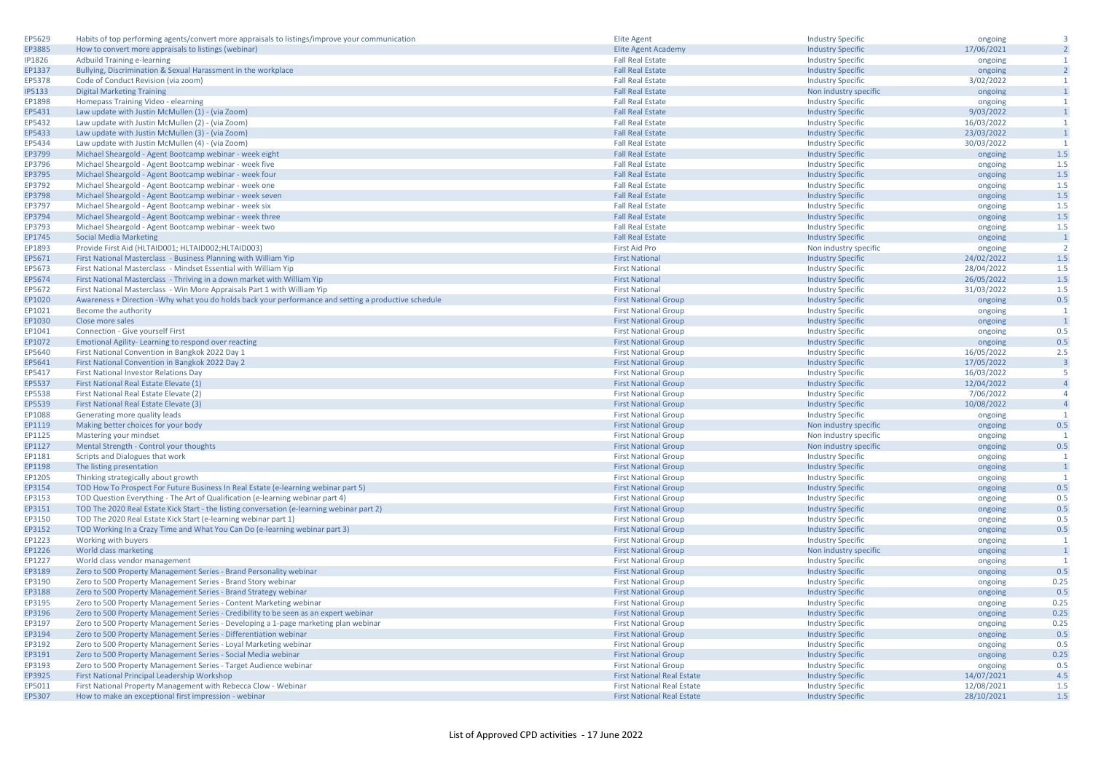| EP5629        | Habits of top performing agents/convert more appraisals to listings/improve your communication       | <b>Elite Agent</b>                | <b>Industry Specific</b> | ongoing    | $\overline{\mathbf{3}}$ |
|---------------|------------------------------------------------------------------------------------------------------|-----------------------------------|--------------------------|------------|-------------------------|
| EP3885        | How to convert more appraisals to listings (webinar)                                                 | <b>Elite Agent Academy</b>        | <b>Industry Specific</b> | 17/06/2021 | $\overline{2}$          |
| <b>IP1826</b> | <b>Adbuild Training e-learning</b>                                                                   | <b>Fall Real Estate</b>           | <b>Industry Specific</b> | ongoing    | $\mathbf{1}$            |
| EP1337        | Bullying, Discrimination & Sexual Harassment in the workplace                                        | <b>Fall Real Estate</b>           | <b>Industry Specific</b> | ongoing    | $\overline{2}$          |
| EP5378        | Code of Conduct Revision (via zoom)                                                                  | <b>Fall Real Estate</b>           | <b>Industry Specific</b> | 3/02/2022  | $\mathbf{1}$            |
| <b>IP5133</b> | <b>Digital Marketing Training</b>                                                                    | <b>Fall Real Estate</b>           | Non industry specific    | ongoing    | $\mathbf 1$             |
| EP1898        | Homepass Training Video - elearning                                                                  | <b>Fall Real Estate</b>           | <b>Industry Specific</b> | ongoing    | $\mathbf{1}$            |
| EP5431        | Law update with Justin McMullen (1) - (via Zoom)                                                     | <b>Fall Real Estate</b>           | <b>Industry Specific</b> | 9/03/2022  | $\mathbf{1}$            |
| EP5432        | Law update with Justin McMullen (2) - (via Zoom)                                                     | <b>Fall Real Estate</b>           | <b>Industry Specific</b> | 16/03/2022 | $\overline{1}$          |
| EP5433        | Law update with Justin McMullen (3) - (via Zoom)                                                     | <b>Fall Real Estate</b>           | <b>Industry Specific</b> | 23/03/2022 | $\overline{1}$          |
| EP5434        | Law update with Justin McMullen (4) - (via Zoom)                                                     | <b>Fall Real Estate</b>           | <b>Industry Specific</b> | 30/03/2022 | $\overline{1}$          |
| EP3799        | Michael Sheargold - Agent Bootcamp webinar - week eight                                              | <b>Fall Real Estate</b>           | <b>Industry Specific</b> | ongoing    | 1.5                     |
| EP3796        | Michael Sheargold - Agent Bootcamp webinar - week five                                               | <b>Fall Real Estate</b>           | <b>Industry Specific</b> | ongoing    | 1.5                     |
| EP3795        | Michael Sheargold - Agent Bootcamp webinar - week four                                               | <b>Fall Real Estate</b>           | <b>Industry Specific</b> | ongoing    | $1.5$                   |
| EP3792        | Michael Sheargold - Agent Bootcamp webinar - week one                                                | <b>Fall Real Estate</b>           | <b>Industry Specific</b> | ongoing    | 1.5                     |
| EP3798        | Michael Sheargold - Agent Bootcamp webinar - week sever                                              | <b>Fall Real Estate</b>           | <b>Industry Specific</b> | ongoing    | 1.5                     |
| EP3797        | Michael Sheargold - Agent Bootcamp webinar - week six                                                | <b>Fall Real Estate</b>           | <b>Industry Specific</b> | ongoing    | 1.5                     |
| EP3794        | Michael Sheargold - Agent Bootcamp webinar - week three                                              | <b>Fall Real Estate</b>           | <b>Industry Specific</b> | ongoing    | 1.5                     |
| EP3793        | Michael Sheargold - Agent Bootcamp webinar - week two                                                | <b>Fall Real Estate</b>           | <b>Industry Specific</b> | ongoing    | 1.5                     |
| EP1745        | <b>Social Media Marketing</b>                                                                        | <b>Fall Real Estate</b>           | <b>Industry Specific</b> | ongoing    | $\overline{1}$          |
| EP1893        | Provide First Aid (HLTAID001; HLTAID002; HLTAID003)                                                  | <b>First Aid Pro</b>              | Non industry specific    | ongoing    | $\overline{2}$          |
| EP5671        | First National Masterclass - Business Planning with William Yip                                      | <b>First National</b>             | <b>Industry Specific</b> | 24/02/2022 | 1.5                     |
| EP5673        | First National Masterclass - Mindset Essential with William Yip                                      | <b>First National</b>             | <b>Industry Specific</b> | 28/04/2022 | 1.5                     |
| EP5674        | First National Masterclass - Thriving in a down market with William Yip                              | <b>First National</b>             | <b>Industry Specific</b> | 26/05/2022 | 1.5                     |
| EP5672        | First National Masterclass - Win More Appraisals Part 1 with William Yip                             | <b>First National</b>             | <b>Industry Specific</b> | 31/03/2022 | 1.5                     |
| EP1020        | Awareness + Direction -Why what you do holds back your performance and setting a productive schedule | <b>First National Group</b>       | <b>Industry Specific</b> | ongoing    | 0.5                     |
| EP1021        | Become the authority                                                                                 | <b>First National Group</b>       | <b>Industry Specific</b> | ongoing    | $\mathbf{1}$            |
| EP1030        | Close more sales                                                                                     | <b>First National Group</b>       | <b>Industry Specific</b> | ongoing    | $\overline{1}$          |
| EP1041        | <b>Connection - Give yourself First</b>                                                              | <b>First National Group</b>       | <b>Industry Specific</b> | ongoing    | 0.5                     |
| EP1072        | Emotional Agility-Learning to respond over reacting                                                  | <b>First National Group</b>       | <b>Industry Specific</b> | ongoing    | 0.5                     |
| EP5640        | First National Convention in Bangkok 2022 Day 1                                                      | <b>First National Group</b>       | <b>Industry Specific</b> | 16/05/2022 | 2.5                     |
| EP5641        | First National Convention in Bangkok 2022 Day 2                                                      | <b>First National Group</b>       | <b>Industry Specific</b> | 17/05/2022 | $\overline{\mathbf{3}}$ |
| EP5417        | <b>First National Investor Relations Day</b>                                                         | <b>First National Group</b>       | <b>Industry Specific</b> | 16/03/2022 | -5                      |
| EP5537        | First National Real Estate Elevate (1)                                                               | <b>First National Group</b>       | <b>Industry Specific</b> | 12/04/2022 | $\overline{4}$          |
| EP5538        | First National Real Estate Elevate (2)                                                               | <b>First National Group</b>       | <b>Industry Specific</b> | 7/06/2022  | $\overline{4}$          |
| EP5539        | First National Real Estate Elevate (3)                                                               | <b>First National Group</b>       | <b>Industry Specific</b> | 10/08/2022 | $\overline{4}$          |
| EP1088        | Generating more quality leads                                                                        | <b>First National Group</b>       | <b>Industry Specific</b> | ongoing    | $\overline{1}$          |
| EP1119        | Making better choices for your body                                                                  | <b>First National Group</b>       | Non industry specific    | ongoing    | 0.5                     |
| EP1125        | Mastering your mindset                                                                               | <b>First National Group</b>       | Non industry specific    | ongoing    | $\mathbf{1}$            |
| EP1127        | Mental Strength - Control your thoughts                                                              | <b>First National Group</b>       | Non industry specific    | ongoing    | 0.5                     |
| EP1181        | Scripts and Dialogues that work                                                                      | <b>First National Group</b>       | <b>Industry Specific</b> | ongoing    | $\mathbf{1}$            |
| EP1198        | The listing presentation                                                                             | <b>First National Group</b>       | <b>Industry Specific</b> | ongoing    | $\overline{1}$          |
| EP1205        | Thinking strategically about growth                                                                  | <b>First National Group</b>       | <b>Industry Specific</b> | ongoing    | $\overline{1}$          |
| EP3154        | TOD How To Prospect For Future Business In Real Estate (e-learning webinar part 5)                   | <b>First National Group</b>       | <b>Industry Specific</b> | ongoing    | 0.5                     |
| EP3153        | TOD Question Everything - The Art of Qualification (e-learning webinar part 4)                       | <b>First National Group</b>       | <b>Industry Specific</b> | ongoing    | 0.5                     |
| EP3151        | TOD The 2020 Real Estate Kick Start - the listing conversation (e-learning webinar part 2)           | <b>First National Group</b>       | <b>Industry Specific</b> | ongoing    | 0.5                     |
| EP3150        | TOD The 2020 Real Estate Kick Start (e-learning webinar part 1)                                      | <b>First National Group</b>       | <b>Industry Specific</b> | ongoing    | 0.5                     |
| EP3152        | TOD Working In a Crazy Time and What You Can Do (e-learning webinar part 3)                          | <b>First National Group</b>       | <b>Industry Specific</b> | ongoing    | 0.5                     |
| EP1223        | Working with buyers                                                                                  | <b>First National Group</b>       | <b>Industry Specific</b> | ongoing    | $\overline{1}$          |
| EP1226        | World class marketing                                                                                | <b>First National Group</b>       | Non industry specific    | ongoing    | $\overline{1}$          |
| EP1227        | World class vendor management                                                                        | <b>First National Group</b>       | <b>Industry Specific</b> | ongoing    | $\mathbf{1}$            |
| EP3189        | Zero to 500 Property Management Series - Brand Personality webinar                                   | <b>First National Group</b>       | <b>Industry Specific</b> | ongoing    | 0.5                     |
| EP3190        | Zero to 500 Property Management Series - Brand Story webinar                                         | <b>First National Group</b>       | <b>Industry Specific</b> | ongoing    | 0.25                    |
| EP3188        | Zero to 500 Property Management Series - Brand Strategy webinar                                      | <b>First National Group</b>       | <b>Industry Specific</b> | ongoing    | 0.5                     |
| EP3195        | Zero to 500 Property Management Series - Content Marketing webinar                                   | <b>First National Group</b>       | <b>Industry Specific</b> | ongoing    | 0.25                    |
| EP3196        | Zero to 500 Property Management Series - Credibility to be seen as an expert webinar                 | <b>First National Group</b>       | <b>Industry Specific</b> | ongoing    | 0.25                    |
| EP3197        | Zero to 500 Property Management Series - Developing a 1-page marketing plan webinar                  | <b>First National Group</b>       | <b>Industry Specific</b> | ongoing    | 0.25                    |
| EP3194        | Zero to 500 Property Management Series - Differentiation webinar                                     | <b>First National Group</b>       | <b>Industry Specific</b> | ongoing    | 0.5                     |
| EP3192        | Zero to 500 Property Management Series - Loyal Marketing webinar                                     | <b>First National Group</b>       | <b>Industry Specific</b> | ongoing    | 0.5                     |
| EP3191        | Zero to 500 Property Management Series - Social Media webinar                                        | <b>First National Group</b>       | <b>Industry Specific</b> | ongoing    | 0.25                    |
| EP3193        | Zero to 500 Property Management Series - Target Audience webinar                                     | <b>First National Group</b>       | <b>Industry Specific</b> | ongoing    | 0.5                     |
| EP3925        | First National Principal Leadership Workshop                                                         | <b>First National Real Estate</b> | <b>Industry Specific</b> | 14/07/2021 | 4.5                     |
| EP5011        | First National Property Management with Rebecca Clow - Webinar                                       | <b>First National Real Estate</b> | <b>Industry Specific</b> | 12/08/2021 | 1.5                     |
| EP5307        | How to make an exceptional first impression - webinar                                                | <b>First National Real Estate</b> | <b>Industry Specific</b> | 28/10/2021 | 1.5                     |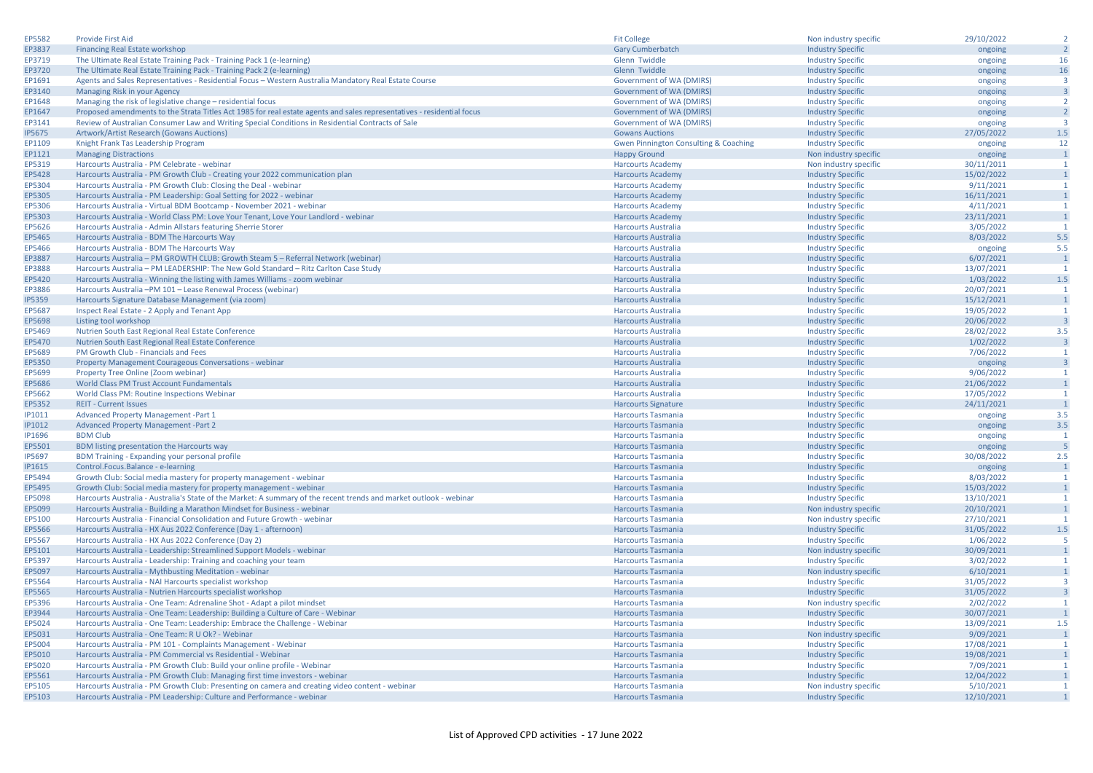| EP5582        | <b>Provide First Aid</b>                                                                                               | <b>Fit College</b>                               | Non industry specific    | 29/10/2022 | $\overline{2}$          |
|---------------|------------------------------------------------------------------------------------------------------------------------|--------------------------------------------------|--------------------------|------------|-------------------------|
| EP3837        | Financing Real Estate workshop                                                                                         | <b>Gary Cumberbatch</b>                          | <b>Industry Specific</b> | ongoing    | $\overline{2}$          |
| EP3719        | The Ultimate Real Estate Training Pack - Training Pack 1 (e-learning)                                                  | Glenn Twiddle                                    | <b>Industry Specific</b> | ongoing    | 16                      |
| EP3720        | The Ultimate Real Estate Training Pack - Training Pack 2 (e-learning)                                                  | Glenn Twiddle                                    | <b>Industry Specific</b> | ongoing    | 16                      |
| EP1691        | Agents and Sales Representatives - Residential Focus - Western Australia Mandatory Real Estate Course                  | Government of WA (DMIRS)                         | <b>Industry Specific</b> | ongoing    | $\overline{\mathbf{3}}$ |
| EP3140        | Managing Risk in your Agency                                                                                           | Government of WA (DMIRS)                         | <b>Industry Specific</b> | ongoing    | $\overline{\mathbf{3}}$ |
| EP1648        | Managing the risk of legislative change - residential focus                                                            | Government of WA (DMIRS)                         | <b>Industry Specific</b> | ongoing    | $\overline{2}$          |
| EP1647        | Proposed amendments to the Strata Titles Act 1985 for real estate agents and sales representatives - residential focus | <b>Government of WA (DMIRS)</b>                  | <b>Industry Specific</b> | ongoing    | $\overline{2}$          |
| EP3141        | Review of Australian Consumer Law and Writing Special Conditions in Residential Contracts of Sale                      | Government of WA (DMIRS)                         | <b>Industry Specific</b> | ongoing    | ्२                      |
| <b>IP5675</b> | Artwork/Artist Research (Gowans Auctions)                                                                              | <b>Gowans Auctions</b>                           | <b>Industry Specific</b> | 27/05/2022 | 1.5                     |
| EP1109        | Knight Frank Tas Leadership Program                                                                                    | <b>Gwen Pinnington Consulting &amp; Coaching</b> | <b>Industry Specific</b> | ongoing    | 12                      |
| EP1121        | <b>Managing Distractions</b>                                                                                           | <b>Happy Ground</b>                              | Non industry specific    | ongoing    | $\overline{1}$          |
| EP5319        | Harcourts Australia - PM Celebrate - webinar                                                                           | <b>Harcourts Academy</b>                         | Non industry specific    | 30/11/2011 | $\mathbf{1}$            |
| EP5428        | Harcourts Australia - PM Growth Club - Creating your 2022 communication plan                                           | <b>Harcourts Academy</b>                         | <b>Industry Specific</b> | 15/02/2022 | $\overline{1}$          |
| EP5304        | Harcourts Australia - PM Growth Club: Closing the Deal - webinar                                                       | <b>Harcourts Academy</b>                         | <b>Industry Specific</b> | 9/11/2021  | $\overline{1}$          |
| EP5305        | Harcourts Australia - PM Leadership: Goal Setting for 2022 - webinar                                                   | <b>Harcourts Academy</b>                         | <b>Industry Specific</b> | 16/11/2021 | $\mathbf{1}$            |
| EP5306        | Harcourts Australia - Virtual BDM Bootcamp - November 2021 - webinar                                                   | <b>Harcourts Academy</b>                         | <b>Industry Specific</b> | 4/11/2021  | $\overline{1}$          |
| EP5303        | Harcourts Australia - World Class PM: Love Your Tenant, Love Your Landlord - webinar                                   | <b>Harcourts Academy</b>                         | <b>Industry Specific</b> | 23/11/2021 | $\overline{1}$          |
| EP5626        | Harcourts Australia - Admin Allstars featuring Sherrie Storer                                                          | <b>Harcourts Australia</b>                       | <b>Industry Specific</b> | 3/05/2022  | $\overline{1}$          |
| EP5465        | Harcourts Australia - BDM The Harcourts Way                                                                            | <b>Harcourts Australia</b>                       | <b>Industry Specific</b> | 8/03/2022  | 5.5                     |
| EP5466        | Harcourts Australia - BDM The Harcourts Way                                                                            | <b>Harcourts Australia</b>                       | <b>Industry Specific</b> | ongoing    | 5.5                     |
| EP3887        | Harcourts Australia - PM GROWTH CLUB: Growth Steam 5 - Referral Network (webinar)                                      | <b>Harcourts Australia</b>                       | <b>Industry Specific</b> | 6/07/2021  | $\overline{1}$          |
| EP3888        | Harcourts Australia - PM LEADERSHIP: The New Gold Standard - Ritz Carlton Case Study                                   | <b>Harcourts Australia</b>                       | <b>Industry Specific</b> | 13/07/2021 | -1                      |
| EP5420        | Harcourts Australia - Winning the listing with James Williams - zoom webinar                                           | <b>Harcourts Australia</b>                       | <b>Industry Specific</b> | 1/03/2022  | 1.5                     |
| EP3886        | Harcourts Australia -PM 101 - Lease Renewal Process (webinar)                                                          | <b>Harcourts Australia</b>                       | <b>Industry Specific</b> | 20/07/2021 | $\mathbf{1}$            |
| <b>IP5359</b> | Harcourts Signature Database Management (via zoom)                                                                     | <b>Harcourts Australia</b>                       | <b>Industry Specific</b> | 15/12/2021 | $\overline{1}$          |
| EP5687        | Inspect Real Estate - 2 Apply and Tenant App                                                                           | <b>Harcourts Australia</b>                       | <b>Industry Specific</b> | 19/05/2022 | $\overline{1}$          |
| EP5698        | Listing tool workshop                                                                                                  | <b>Harcourts Australia</b>                       | <b>Industry Specific</b> | 20/06/2022 | $\overline{\mathbf{3}}$ |
| EP5469        | Nutrien South East Regional Real Estate Conference                                                                     | <b>Harcourts Australia</b>                       | <b>Industry Specific</b> | 28/02/2022 | 3.5                     |
| EP5470        | Nutrien South East Regional Real Estate Conference                                                                     | <b>Harcourts Australia</b>                       | <b>Industry Specific</b> | 1/02/2022  | $\overline{\mathbf{3}}$ |
| EP5689        | PM Growth Club - Financials and Fees                                                                                   | <b>Harcourts Australia</b>                       | <b>Industry Specific</b> | 7/06/2022  | $\overline{1}$          |
| EP5350        | Property Management Courageous Conversations - webinar                                                                 | <b>Harcourts Australia</b>                       | <b>Industry Specific</b> | ongoing    | $\overline{\mathbf{3}}$ |
| EP5699        | Property Tree Online (Zoom webinar)                                                                                    | <b>Harcourts Australia</b>                       | <b>Industry Specific</b> | 9/06/2022  | $\overline{1}$          |
| EP5686        | World Class PM Trust Account Fundamentals                                                                              | <b>Harcourts Australia</b>                       | <b>Industry Specific</b> | 21/06/2022 | $\mathbf{1}$            |
| EP5662        | World Class PM: Routine Inspections Webinar                                                                            | <b>Harcourts Australia</b>                       | <b>Industry Specific</b> | 17/05/2022 | $\mathbf{1}$            |
| EP5352        | <b>REIT - Current Issues</b>                                                                                           | <b>Harcourts Signature</b>                       | <b>Industry Specific</b> | 24/11/2021 | $\overline{1}$          |
| IP1011        | <b>Advanced Property Management -Part 1</b>                                                                            | <b>Harcourts Tasmania</b>                        | <b>Industry Specific</b> | ongoing    | 3.5                     |
| <b>IP1012</b> | <b>Advanced Property Management -Part 2</b>                                                                            | <b>Harcourts Tasmania</b>                        | <b>Industry Specific</b> | ongoing    | 3.5                     |
| IP1696        | <b>BDM Club</b>                                                                                                        | <b>Harcourts Tasmania</b>                        | <b>Industry Specific</b> | ongoing    | $\overline{1}$          |
| EP5501        | BDM listing presentation the Harcourts way                                                                             | <b>Harcourts Tasmania</b>                        | <b>Industry Specific</b> | ongoing    | 5                       |
| <b>IP5697</b> | BDM Training - Expanding your personal profile                                                                         | <b>Harcourts Tasmania</b>                        | <b>Industry Specific</b> | 30/08/2022 | 2.5                     |
| <b>IP1615</b> | Control.Focus.Balance - e-learning                                                                                     | <b>Harcourts Tasmania</b>                        | <b>Industry Specific</b> | ongoing    | $\overline{1}$          |
| EP5494        | Growth Club: Social media mastery for property management - webinar                                                    | <b>Harcourts Tasmania</b>                        | <b>Industry Specific</b> | 8/03/2022  | $\overline{1}$          |
| EP5495        | Growth Club: Social media mastery for property management - webinar                                                    | <b>Harcourts Tasmania</b>                        | <b>Industry Specific</b> | 15/03/2022 | $\mathbf{1}$            |
| EP5098        | Harcourts Australia - Australia's State of the Market: A summary of the recent trends and market outlook - webinar     | <b>Harcourts Tasmania</b>                        | <b>Industry Specific</b> | 13/10/2021 | $\overline{1}$          |
| EP5099        | Harcourts Australia - Building a Marathon Mindset for Business - webinar                                               | <b>Harcourts Tasmania</b>                        | Non industry specific    | 20/10/2021 | $\mathbf{1}$            |
| EP5100        | Harcourts Australia - Financial Consolidation and Future Growth - webinar                                              | <b>Harcourts Tasmania</b>                        | Non industry specific    | 27/10/2021 | $\mathbf{1}$            |
| EP5566        | Harcourts Australia - HX Aus 2022 Conference (Day 1 - afternoon)                                                       | <b>Harcourts Tasmania</b>                        | <b>Industry Specific</b> | 31/05/2022 | $1.5$                   |
| EP5567        | Harcourts Australia - HX Aus 2022 Conference (Day 2)                                                                   | <b>Harcourts Tasmania</b>                        | <b>Industry Specific</b> | 1/06/2022  | -5                      |
| EP5101        | Harcourts Australia - Leadership: Streamlined Support Models - webinar                                                 | <b>Harcourts Tasmania</b>                        | Non industry specific    | 30/09/2021 | $\overline{1}$          |
| EP5397        | Harcourts Australia - Leadership: Training and coaching your team                                                      | <b>Harcourts Tasmania</b>                        | <b>Industry Specific</b> | 3/02/2022  | $\overline{1}$          |
| EP5097        | Harcourts Australia - Mythbusting Meditation - webinar                                                                 | <b>Harcourts Tasmania</b>                        | Non industry specific    | 6/10/2021  | $\mathbf{1}$            |
| EP5564        | Harcourts Australia - NAI Harcourts specialist workshop                                                                | <b>Harcourts Tasmania</b>                        | <b>Industry Specific</b> | 31/05/2022 | $\overline{\mathbf{3}}$ |
| EP5565        | Harcourts Australia - Nutrien Harcourts specialist workshop                                                            | <b>Harcourts Tasmania</b>                        | <b>Industry Specific</b> | 31/05/2022 | $\overline{3}$          |
| EP5396        | Harcourts Australia - One Team: Adrenaline Shot - Adapt a pilot mindset                                                | <b>Harcourts Tasmania</b>                        | Non industry specific    | 2/02/2022  | $\mathbf{1}$            |
| EP3944        | Harcourts Australia - One Team: Leadership: Building a Culture of Care - Webinar                                       | <b>Harcourts Tasmania</b>                        | <b>Industry Specific</b> | 30/07/2021 | $\overline{1}$          |
| EP5024        | Harcourts Australia - One Team: Leadership: Embrace the Challenge - Webinar                                            | <b>Harcourts Tasmania</b>                        | <b>Industry Specific</b> | 13/09/2021 | 1.5                     |
| EP5031        | Harcourts Australia - One Team: R U Ok? - Webinar                                                                      | <b>Harcourts Tasmania</b>                        | Non industry specific    | 9/09/2021  | $\overline{1}$          |
| EP5004        | Harcourts Australia - PM 101 - Complaints Management - Webinar                                                         | <b>Harcourts Tasmania</b>                        | <b>Industry Specific</b> | 17/08/2021 | $\overline{1}$          |
| EP5010        | Harcourts Australia - PM Commercial vs Residential - Webinar                                                           | <b>Harcourts Tasmania</b>                        | <b>Industry Specific</b> | 19/08/2021 | $\overline{1}$          |
| EP5020        | Harcourts Australia - PM Growth Club: Build your online profile - Webinar                                              | <b>Harcourts Tasmania</b>                        | <b>Industry Specific</b> | 7/09/2021  | $\mathbf{1}$            |
| EP5561        | Harcourts Australia - PM Growth Club: Managing first time investors - webinar                                          | <b>Harcourts Tasmania</b>                        | <b>Industry Specific</b> | 12/04/2022 | $\mathbf{1}$            |
| EP5105        | Harcourts Australia - PM Growth Club: Presenting on camera and creating video content - webinar                        | <b>Harcourts Tasmania</b>                        | Non industry specific    | 5/10/2021  | $\overline{1}$          |
| EP5103        | Harcourts Australia - PM Leadership: Culture and Performance - webinar                                                 | <b>Harcourts Tasmania</b>                        | <b>Industry Specific</b> | 12/10/2021 | $\overline{1}$          |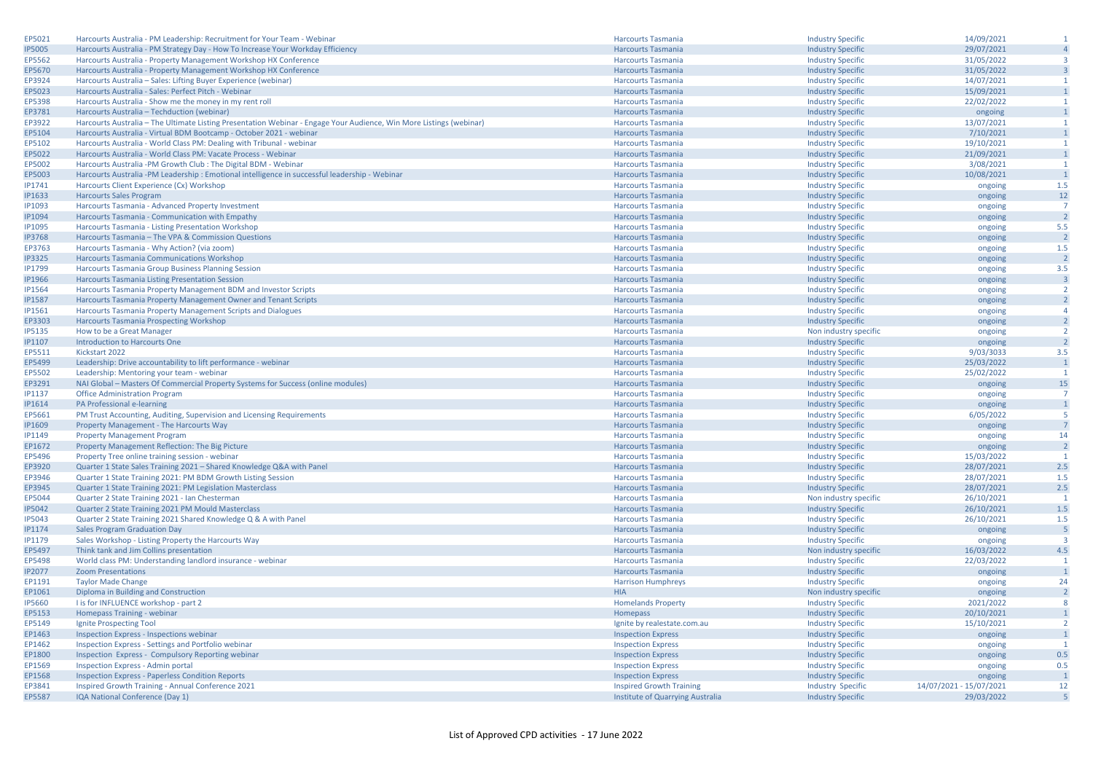| EP5021                  | Harcourts Australia - PM Leadership: Recruitment for Your Team - Webina                                             | <b>Harcourts Tasmania</b>        | <b>Industry Specific</b> | 14/09/2021              | $\mathbf{1}$            |
|-------------------------|---------------------------------------------------------------------------------------------------------------------|----------------------------------|--------------------------|-------------------------|-------------------------|
| <b>IP5005</b>           | Harcourts Australia - PM Strategy Day - How To Increase Your Workday Efficiency                                     | <b>Harcourts Tasmania</b>        | <b>Industry Specific</b> | 29/07/2021              | $\overline{4}$          |
| EP5562                  | Harcourts Australia - Property Management Workshop HX Conference                                                    | <b>Harcourts Tasmania</b>        | <b>Industry Specific</b> | 31/05/2022              | $\overline{3}$          |
| EP5670                  | Harcourts Australia - Property Management Workshop HX Conference                                                    | <b>Harcourts Tasmania</b>        | <b>Industry Specific</b> | 31/05/2022              | $\overline{\mathbf{3}}$ |
| EP3924                  | Harcourts Australia - Sales: Lifting Buyer Experience (webinar)                                                     | <b>Harcourts Tasmania</b>        | <b>Industry Specific</b> | 14/07/2021              | $\overline{1}$          |
| EP5023                  | Harcourts Australia - Sales: Perfect Pitch - Webinar                                                                | <b>Harcourts Tasmania</b>        | <b>Industry Specific</b> | 15/09/2021              | $\mathbf{1}$            |
| EP5398                  | Harcourts Australia - Show me the money in my rent roll                                                             | <b>Harcourts Tasmania</b>        |                          |                         | $\mathbf{1}$            |
|                         |                                                                                                                     |                                  | <b>Industry Specific</b> | 22/02/2022              | $\mathbf{1}$            |
| EP3781                  | Harcourts Australia - Techduction (webinar)                                                                         | <b>Harcourts Tasmania</b>        | <b>Industry Specific</b> | ongoing                 |                         |
| EP3922                  | Harcourts Australia - The Ultimate Listing Presentation Webinar - Engage Your Audience, Win More Listings (webinar) | <b>Harcourts Tasmania</b>        | <b>Industry Specific</b> | 13/07/2021              | $\mathbf{1}$            |
| EP5104                  | Harcourts Australia - Virtual BDM Bootcamp - October 2021 - webinar                                                 | <b>Harcourts Tasmania</b>        | <b>Industry Specific</b> | 7/10/2021               | $\overline{1}$          |
| EP5102                  | Harcourts Australia - World Class PM: Dealing with Tribunal - webinar                                               | <b>Harcourts Tasmania</b>        | <b>Industry Specific</b> | 19/10/2021              | $\mathbf{1}$            |
| EP5022                  | Harcourts Australia - World Class PM: Vacate Process - Webinar                                                      | <b>Harcourts Tasmania</b>        | <b>Industry Specific</b> | 21/09/2021              | $\mathbf{1}$            |
| EP5002                  | Harcourts Australia -PM Growth Club : The Digital BDM - Webinar                                                     | <b>Harcourts Tasmania</b>        | <b>Industry Specific</b> | 3/08/2021               | $\overline{1}$          |
| EP5003                  | Harcourts Australia -PM Leadership : Emotional intelligence in successful leadership - Webinar                      | <b>Harcourts Tasmania</b>        | <b>Industry Specific</b> | 10/08/2021              | $\overline{1}$          |
| IP1741                  | Harcourts Client Experience (Cx) Workshop                                                                           | <b>Harcourts Tasmania</b>        | <b>Industry Specific</b> | ongoing                 | 1.5                     |
| IP1633                  | <b>Harcourts Sales Program</b>                                                                                      | <b>Harcourts Tasmania</b>        | <b>Industry Specific</b> | ongoing                 | 12                      |
| <b>IP1093</b>           | Harcourts Tasmania - Advanced Property Investment                                                                   | <b>Harcourts Tasmania</b>        | <b>Industry Specific</b> | ongoing                 | $\overline{7}$          |
| <b>IP1094</b>           | Harcourts Tasmania - Communication with Empathy                                                                     | <b>Harcourts Tasmania</b>        | <b>Industry Specific</b> | ongoing                 | $\overline{2}$          |
| IP1095                  | Harcourts Tasmania - Listing Presentation Workshop                                                                  | <b>Harcourts Tasmania</b>        | <b>Industry Specific</b> | ongoing                 | 5.5                     |
| <b>IP3768</b>           | Harcourts Tasmania - The VPA & Commission Questions                                                                 | <b>Harcourts Tasmania</b>        | <b>Industry Specific</b> | ongoing                 | $\overline{2}$          |
| EP3763                  | Harcourts Tasmania - Why Action? (via zoom)                                                                         | <b>Harcourts Tasmania</b>        | <b>Industry Specific</b> | ongoing                 | 1.5                     |
| <b>IP3325</b>           | Harcourts Tasmania Communications Workshop                                                                          | <b>Harcourts Tasmania</b>        | <b>Industry Specific</b> | ongoing                 | $\overline{2}$          |
| <b>IP1799</b>           | Harcourts Tasmania Group Business Planning Session                                                                  | <b>Harcourts Tasmania</b>        | <b>Industry Specific</b> | ongoing                 | 3.5                     |
| <b>IP1966</b>           | Harcourts Tasmania Listing Presentation Session                                                                     | <b>Harcourts Tasmania</b>        | <b>Industry Specific</b> | ongoing                 | $\overline{\mathbf{3}}$ |
| <b>IP1564</b>           | Harcourts Tasmania Property Management BDM and Investor Scripts                                                     | <b>Harcourts Tasmania</b>        | <b>Industry Specific</b> | ongoing                 | $\overline{2}$          |
| <b>IP1587</b>           | Harcourts Tasmania Property Management Owner and Tenant Scripts                                                     | <b>Harcourts Tasmania</b>        | <b>Industry Specific</b> | ongoing                 | $\overline{2}$          |
| IP1561                  | Harcourts Tasmania Property Management Scripts and Dialogues                                                        | <b>Harcourts Tasmania</b>        | <b>Industry Specific</b> | ongoing                 | $\overline{4}$          |
| EP3303                  | Harcourts Tasmania Prospecting Workshop                                                                             | <b>Harcourts Tasmania</b>        | <b>Industry Specific</b> | ongoing                 | $\overline{2}$          |
| <b>IP5135</b>           | How to be a Great Manager                                                                                           | <b>Harcourts Tasmania</b>        | Non industry specific    | ongoing                 | $\overline{2}$          |
| <b>IP1107</b>           | Introduction to Harcourts One                                                                                       | <b>Harcourts Tasmania</b>        | <b>Industry Specific</b> | ongoing                 | $\overline{2}$          |
| EP5511                  | Kickstart 2022                                                                                                      | <b>Harcourts Tasmania</b>        | <b>Industry Specific</b> | 9/03/3033               | 3.5                     |
| EP5499                  | Leadership: Drive accountability to lift performance - webinar                                                      | <b>Harcourts Tasmania</b>        | <b>Industry Specific</b> | 25/03/2022              | $\overline{1}$          |
| EP5502                  | Leadership: Mentoring your team - webinar                                                                           | <b>Harcourts Tasmania</b>        | <b>Industry Specific</b> | 25/02/2022              | $\overline{1}$          |
|                         |                                                                                                                     |                                  |                          |                         | 15                      |
| EP3291<br><b>IP1137</b> | NAI Global - Masters Of Commercial Property Systems for Success (online modules)                                    | <b>Harcourts Tasmania</b>        | <b>Industry Specific</b> | ongoing                 | $\overline{7}$          |
|                         | <b>Office Administration Program</b>                                                                                | <b>Harcourts Tasmania</b>        | <b>Industry Specific</b> | ongoing                 | $\overline{1}$          |
| <b>IP1614</b>           | PA Professional e-learning                                                                                          | <b>Harcourts Tasmania</b>        | <b>Industry Specific</b> | ongoing                 | -5                      |
| EP5661                  | PM Trust Accounting, Auditing, Supervision and Licensing Requirements                                               | <b>Harcourts Tasmania</b>        | <b>Industry Specific</b> | 6/05/2022               | $\overline{7}$          |
| <b>IP1609</b>           | Property Management - The Harcourts Way                                                                             | <b>Harcourts Tasmania</b>        | <b>Industry Specific</b> | ongoing                 |                         |
| <b>IP1149</b>           | <b>Property Management Program</b>                                                                                  | <b>Harcourts Tasmania</b>        | <b>Industry Specific</b> | ongoing                 | 14                      |
| EP1672                  | Property Management Reflection: The Big Picture                                                                     | <b>Harcourts Tasmania</b>        | <b>Industry Specific</b> | ongoing                 | $\overline{2}$          |
| EP5496                  | Property Tree online training session - webinal                                                                     | <b>Harcourts Tasmania</b>        | <b>Industry Specific</b> | 15/03/2022              | $\overline{1}$          |
| EP3920                  | Quarter 1 State Sales Training 2021 - Shared Knowledge Q&A with Panel                                               | <b>Harcourts Tasmania</b>        | <b>Industry Specific</b> | 28/07/2021              | 2.5                     |
| EP3946                  | Quarter 1 State Training 2021: PM BDM Growth Listing Session                                                        | <b>Harcourts Tasmania</b>        | <b>Industry Specific</b> | 28/07/2021              | 1.5                     |
| EP3945                  | Quarter 1 State Training 2021: PM Legislation Masterclass                                                           | <b>Harcourts Tasmania</b>        | <b>Industry Specific</b> | 28/07/2021              | 2.5                     |
| EP5044                  | Quarter 2 State Training 2021 - Ian Chesterman                                                                      | <b>Harcourts Tasmania</b>        | Non industry specific    | 26/10/2021              | $\overline{1}$          |
| <b>IP5042</b>           | Quarter 2 State Training 2021 PM Mould Masterclass                                                                  | <b>Harcourts Tasmania</b>        | <b>Industry Specific</b> | 26/10/2021              | 1.5                     |
| <b>IP5043</b>           | Quarter 2 State Training 2021 Shared Knowledge Q & A with Panel                                                     | <b>Harcourts Tasmania</b>        | <b>Industry Specific</b> | 26/10/2021              | 1.5                     |
| <b>IP1174</b>           | <b>Sales Program Graduation Day</b>                                                                                 | <b>Harcourts Tasmania</b>        | <b>Industry Specific</b> | ongoing                 | 5                       |
| IP1179                  | Sales Workshop - Listing Property the Harcourts Way                                                                 | <b>Harcourts Tasmania</b>        | <b>Industry Specific</b> | ongoing                 | $\overline{3}$          |
| EP5497                  | Think tank and Jim Collins presentation                                                                             | <b>Harcourts Tasmania</b>        | Non industry specific    | 16/03/2022              | 4.5                     |
| EP5498                  | World class PM: Understanding landlord insurance - webinar                                                          | <b>Harcourts Tasmania</b>        | <b>Industry Specific</b> | 22/03/2022              | $\mathbf{1}$            |
| <b>IP2077</b>           | <b>Zoom Presentations</b>                                                                                           | <b>Harcourts Tasmania</b>        | <b>Industry Specific</b> | ongoing                 | $\overline{1}$          |
| EP1191                  | <b>Taylor Made Change</b>                                                                                           | <b>Harrison Humphreys</b>        | <b>Industry Specific</b> | ongoing                 | 24                      |
| EP1061                  | Diploma in Building and Construction                                                                                | <b>HIA</b>                       | Non industry specific    | ongoing                 | $\overline{2}$          |
| <b>IP5660</b>           | I is for INFLUENCE workshop - part 2                                                                                | <b>Homelands Property</b>        | <b>Industry Specific</b> | 2021/2022               | 8                       |
| EP5153                  | Homepass Training - webinar                                                                                         | Homepass                         | <b>Industry Specific</b> | 20/10/2021              | $\overline{1}$          |
| EP5149                  | Ignite Prospecting Tool                                                                                             | Ignite by realestate.com.au      | <b>Industry Specific</b> | 15/10/2021              | $\overline{2}$          |
| EP1463                  | <b>Inspection Express - Inspections webinar</b>                                                                     | <b>Inspection Express</b>        | <b>Industry Specific</b> | ongoing                 | $\overline{1}$          |
| EP1462                  | Inspection Express - Settings and Portfolio webinar                                                                 | <b>Inspection Express</b>        | <b>Industry Specific</b> | ongoing                 | $\overline{1}$          |
| EP1800                  | Inspection Express - Compulsory Reporting webinar                                                                   | <b>Inspection Express</b>        | <b>Industry Specific</b> | ongoing                 | 0.5                     |
| EP1569                  | <b>Inspection Express - Admin portal</b>                                                                            | <b>Inspection Express</b>        | <b>Industry Specific</b> | ongoing                 | 0.5                     |
| EP1568                  | <b>Inspection Express - Paperless Condition Reports</b>                                                             | <b>Inspection Express</b>        | <b>Industry Specific</b> | ongoing                 | $\overline{1}$          |
| EP3841                  | Inspired Growth Training - Annual Conference 2021                                                                   | <b>Inspired Growth Training</b>  | <b>Industry Specific</b> | 14/07/2021 - 15/07/2021 | 12                      |
| EP5587                  | IQA National Conference (Day 1)                                                                                     | Institute of Quarrying Australia | <b>Industry Specific</b> | 29/03/2022              | 5                       |
|                         |                                                                                                                     |                                  |                          |                         |                         |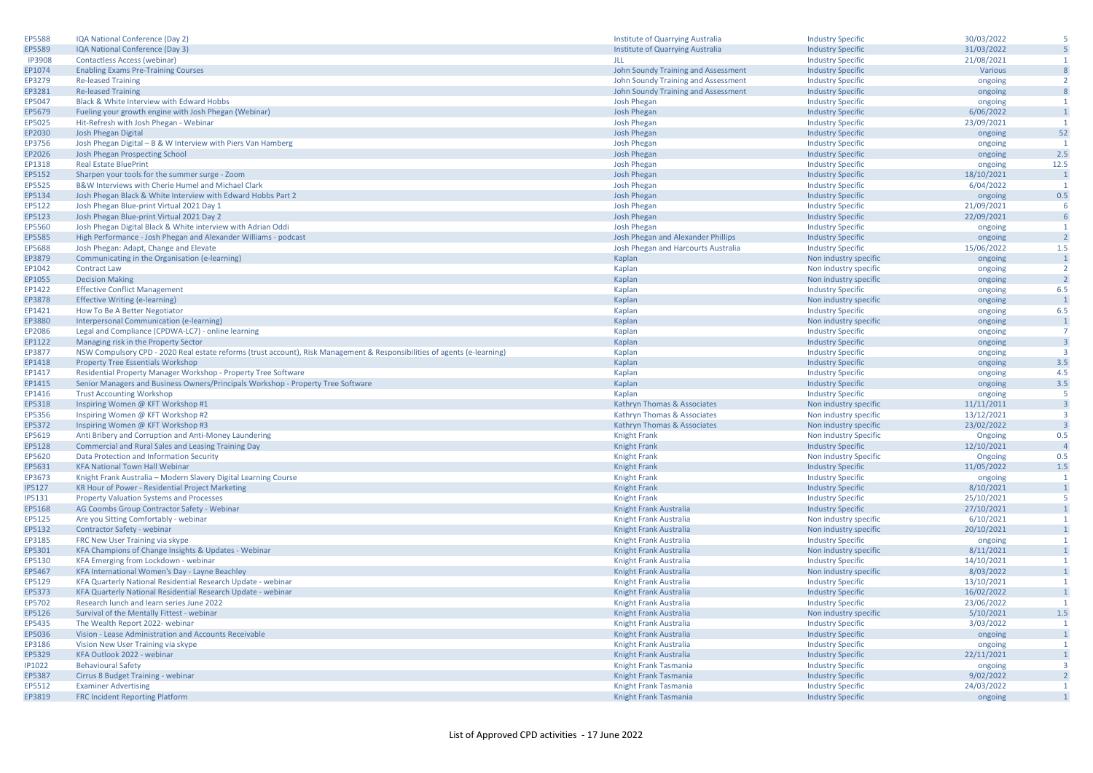| EP5588        | IQA National Conference (Day 2)                                                                                          | Institute of Quarrying Australia    | <b>Industry Specific</b> | 30/03/2022 | 5                                |
|---------------|--------------------------------------------------------------------------------------------------------------------------|-------------------------------------|--------------------------|------------|----------------------------------|
| EP5589        | IQA National Conference (Day 3)                                                                                          | Institute of Quarrying Australia    | <b>Industry Specific</b> | 31/03/2022 | 5                                |
| <b>IP3908</b> | Contactless Access (webinar)                                                                                             | JLL                                 | <b>Industry Specific</b> | 21/08/2021 | $\mathbf{1}$                     |
| EP1074        | <b>Enabling Exams Pre-Training Courses</b>                                                                               | John Soundy Training and Assessment | <b>Industry Specific</b> | Various    | 8                                |
| EP3279        | <b>Re-leased Training</b>                                                                                                | John Soundy Training and Assessment | <b>Industry Specific</b> | ongoing    | $\overline{2}$                   |
| EP3281        | <b>Re-leased Training</b>                                                                                                | John Soundy Training and Assessment | <b>Industry Specific</b> | ongoing    | 8                                |
| EP5047        | Black & White Interview with Edward Hobbs                                                                                | <b>Josh Phegan</b>                  | <b>Industry Specific</b> | ongoing    | $\mathbf{1}$                     |
| EP5679        | Fueling your growth engine with Josh Phegan (Webinar)                                                                    | Josh Phegan                         | <b>Industry Specific</b> | 6/06/2022  | $\mathbf{1}$                     |
| EP5025        | Hit-Refresh with Josh Phegan - Webinar                                                                                   | <b>Josh Phegan</b>                  | <b>Industry Specific</b> | 23/09/2021 | $\overline{1}$                   |
| EP2030        | Josh Phegan Digital                                                                                                      | <b>Josh Phegan</b>                  | <b>Industry Specific</b> | ongoing    | 52                               |
| EP3756        | Josh Phegan Digital - B & W Interview with Piers Van Hamberg                                                             | <b>Josh Phegan</b>                  | <b>Industry Specific</b> | ongoing    | $\mathbf{1}$                     |
| EP2026        | Josh Phegan Prospecting School                                                                                           | <b>Josh Phegan</b>                  | <b>Industry Specific</b> | ongoing    | 2.5                              |
| EP1318        | <b>Real Estate BluePrint</b>                                                                                             | <b>Josh Phegan</b>                  | <b>Industry Specific</b> | ongoing    | 12.5                             |
| EP5152        | Sharpen your tools for the summer surge - Zoom                                                                           | <b>Josh Phegan</b>                  | <b>Industry Specific</b> | 18/10/2021 | $\mathbf{1}$                     |
| EP5525        | B&W Interviews with Cherie Humel and Michael Clark                                                                       | <b>Josh Phegan</b>                  | <b>Industry Specific</b> | 6/04/2022  | $\overline{1}$                   |
| EP5134        | Josh Phegan Black & White Interview with Edward Hobbs Part 2                                                             | <b>Josh Phegan</b>                  | <b>Industry Specific</b> | ongoing    | 0.5                              |
| EP5122        | Josh Phegan Blue-print Virtual 2021 Day 1                                                                                | <b>Josh Phegan</b>                  | <b>Industry Specific</b> | 21/09/2021 | 6                                |
| EP5123        | Josh Phegan Blue-print Virtual 2021 Day 2                                                                                | <b>Josh Phegan</b>                  | <b>Industry Specific</b> | 22/09/2021 | 6                                |
| EP5560        | Josh Phegan Digital Black & White interview with Adrian Oddi                                                             | <b>Josh Phegan</b>                  | <b>Industry Specific</b> | ongoing    | 1                                |
| EP5585        | High Performance - Josh Phegan and Alexander Williams - podcast                                                          | Josh Phegan and Alexander Phillips  | <b>Industry Specific</b> | ongoing    | $\overline{2}$                   |
| EP5688        | Josh Phegan: Adapt, Change and Elevate                                                                                   | Josh Phegan and Harcourts Australia | <b>Industry Specific</b> | 15/06/2022 | 1.5                              |
| EP3879        | Communicating in the Organisation (e-learning)                                                                           | Kaplan                              | Non industry specific    |            | $\overline{1}$                   |
| EP1042        | <b>Contract Law</b>                                                                                                      |                                     |                          | ongoing    | $\overline{2}$                   |
|               |                                                                                                                          | Kaplan                              | Non industry specific    | ongoing    | $\overline{2}$                   |
| EP1055        | <b>Decision Making</b>                                                                                                   | Kaplan                              | Non industry specific    | ongoing    |                                  |
| EP1422        | <b>Effective Conflict Management</b>                                                                                     | Kaplan                              | <b>Industry Specific</b> | ongoing    | 6.5                              |
| EP3878        | <b>Effective Writing (e-learning)</b>                                                                                    | Kaplan                              | Non industry specific    | ongoing    | $\overline{1}$                   |
| EP1421        | How To Be A Better Negotiator                                                                                            | Kaplan                              | <b>Industry Specific</b> | ongoing    | 6.5                              |
| EP3880        | Interpersonal Communication (e-learning)                                                                                 | Kaplan                              | Non industry specifi     | ongoing    | $\overline{1}$<br>$\overline{7}$ |
| EP2086        | Legal and Compliance (CPDWA-LC7) - online learning                                                                       | Kaplan                              | <b>Industry Specific</b> | ongoing    |                                  |
| EP1122        | Managing risk in the Property Sector                                                                                     | Kaplan                              | <b>Industry Specific</b> | ongoing    | $\overline{\mathbf{3}}$          |
| EP3877        | NSW Compulsory CPD - 2020 Real estate reforms (trust account), Risk Management & Responsibilities of agents (e-learning) | Kaplan                              | <b>Industry Specific</b> | ongoing    | $\overline{\mathbf{3}}$          |
| EP1418        | <b>Property Tree Essentials Workshop</b>                                                                                 | Kaplan                              | <b>Industry Specific</b> | ongoing    | 3.5                              |
| EP1417        | Residential Property Manager Workshop - Property Tree Software                                                           | Kaplan                              | <b>Industry Specific</b> | ongoing    | 4.5                              |
| EP1415        | Senior Managers and Business Owners/Principals Workshop - Property Tree Software                                         | Kaplan                              | <b>Industry Specific</b> | ongoing    | 3.5                              |
| EP1416        | <b>Trust Accounting Workshop</b>                                                                                         | Kaplan                              | <b>Industry Specific</b> | ongoing    | -5                               |
| EP5318        | Inspiring Women @ KFT Workshop #1                                                                                        | Kathryn Thomas & Associates         | Non industry specific    | 11/11/2011 | $\overline{\mathbf{3}}$          |
| EP5356        | Inspiring Women @ KFT Workshop #2                                                                                        | Kathryn Thomas & Associates         | Non industry specific    | 13/12/2021 | $\overline{\mathbf{3}}$          |
| EP5372        | Inspiring Women @ KFT Workshop #3                                                                                        | Kathryn Thomas & Associates         | Non industry specific    | 23/02/2022 | $\overline{\mathbf{3}}$          |
| EP5619        | Anti Bribery and Corruption and Anti-Money Laundering                                                                    | <b>Knight Frank</b>                 | Non industry Specific    | Ongoing    | 0.5                              |
| EP5128        | Commercial and Rural Sales and Leasing Training Day                                                                      | <b>Knight Frank</b>                 | <b>Industry Specific</b> | 12/10/2021 | $\overline{4}$                   |
| EP5620        | Data Protection and Information Security                                                                                 | <b>Knight Frank</b>                 | Non industry Specific    | Ongoing    | 0.5                              |
| EP5631        | <b>KFA National Town Hall Webinar</b>                                                                                    | <b>Knight Frank</b>                 | <b>Industry Specific</b> | 11/05/2022 | 1.5                              |
| EP3673        | Knight Frank Australia - Modern Slavery Digital Learning Course                                                          | <b>Knight Frank</b>                 | <b>Industry Specific</b> | ongoing    | $\overline{1}$                   |
| <b>IP5127</b> | KR Hour of Power - Residential Project Marketing                                                                         | <b>Knight Frank</b>                 | <b>Industry Specific</b> | 8/10/2021  | $\overline{1}$                   |
| <b>IP5131</b> | <b>Property Valuation Systems and Processes</b>                                                                          | <b>Knight Frank</b>                 | <b>Industry Specific</b> | 25/10/2021 | -5                               |
| EP5168        | AG Coombs Group Contractor Safety - Webinar                                                                              | Knight Frank Australia              | <b>Industry Specific</b> | 27/10/2021 | $\mathbf{1}$                     |
| EP5125        | Are you Sitting Comfortably - webinar                                                                                    | Knight Frank Australia              | Non industry specific    | 6/10/2021  | $\mathbf{1}$                     |
| EP5132        | Contractor Safety - webinar                                                                                              | Knight Frank Australia              | Non industry specific    | 20/10/2021 | $\overline{1}$                   |
| EP3185        | FRC New User Training via skype                                                                                          | Knight Frank Australia              | <b>Industry Specific</b> | ongoing    | $\mathbf{1}$                     |
| EP5301        | KFA Champions of Change Insights & Updates - Webinar                                                                     | Knight Frank Australia              | Non industry specific    | 8/11/2021  | $\overline{1}$                   |
| EP5130        | KFA Emerging from Lockdown - webinar                                                                                     | Knight Frank Australia              | <b>Industry Specific</b> | 14/10/2021 | $\overline{1}$                   |
| EP5467        | KFA International Women's Day - Layne Beachley                                                                           | Knight Frank Australia              | Non industry specific    | 8/03/2022  | $\mathbf{1}$                     |
| EP5129        | KFA Quarterly National Residential Research Update - webinar                                                             | Knight Frank Australia              | <b>Industry Specific</b> | 13/10/2021 | $\mathbf{1}$                     |
| EP5373        | KFA Quarterly National Residential Research Update - webinar                                                             | Knight Frank Australia              | <b>Industry Specific</b> | 16/02/2022 | $\overline{1}$                   |
| EP5702        | Research lunch and learn series June 2022                                                                                | Knight Frank Australia              | <b>Industry Specific</b> | 23/06/2022 | $\overline{1}$                   |
| EP5126        | Survival of the Mentally Fittest - webinar                                                                               | Knight Frank Australia              | Non industry specific    | 5/10/2021  | 1.5                              |
| EP5435        | The Wealth Report 2022- webinar                                                                                          | Knight Frank Australia              | <b>Industry Specific</b> | 3/03/2022  | $\mathbf{1}$                     |
| EP5036        | Vision - Lease Administration and Accounts Receivable                                                                    | Knight Frank Australia              | <b>Industry Specific</b> | ongoing    | $\mathbf{1}$                     |
| EP3186        | Vision New User Training via skype                                                                                       | Knight Frank Australia              | <b>Industry Specific</b> | ongoing    | $\overline{1}$                   |
| EP5329        | KFA Outlook 2022 - webinar                                                                                               | Knight Frank Australia              | <b>Industry Specific</b> | 22/11/2021 | $\mathbf{1}$                     |
| IP1022        | <b>Behavioural Safety</b>                                                                                                | Knight Frank Tasmania               | <b>Industry Specific</b> | ongoing    | $\overline{\mathbf{3}}$          |
| EP5387        | Cirrus 8 Budget Training - webinar                                                                                       | Knight Frank Tasmania               | <b>Industry Specific</b> | 9/02/2022  | $\overline{2}$                   |
| EP5512        | <b>Examiner Advertising</b>                                                                                              | Knight Frank Tasmania               | <b>Industry Specific</b> | 24/03/2022 | $\overline{1}$                   |
| EP3819        | FRC Incident Reporting Platform                                                                                          | Knight Frank Tasmania               | <b>Industry Specific</b> | ongoing    | $\mathbf{1}$                     |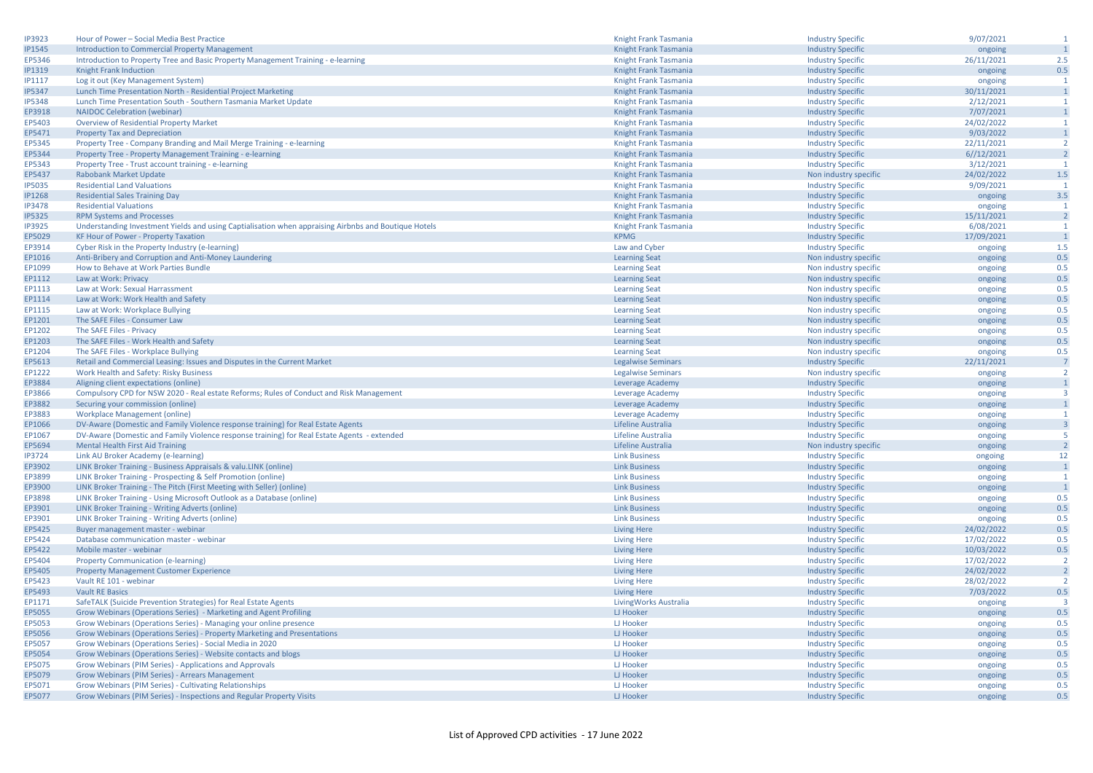| <b>IP3923</b>    | Hour of Power - Social Media Best Practice                                                                                             | Knight Frank Tasmania                        | <b>Industry Specific</b>                          | 9/07/2021             | $\mathbf{1}$                            |
|------------------|----------------------------------------------------------------------------------------------------------------------------------------|----------------------------------------------|---------------------------------------------------|-----------------------|-----------------------------------------|
| <b>IP1545</b>    | <b>Introduction to Commercial Property Management</b>                                                                                  | Knight Frank Tasmania                        | <b>Industry Specific</b>                          | ongoing               | $\overline{1}$                          |
| EP5346           | Introduction to Property Tree and Basic Property Management Training - e-learning                                                      | Knight Frank Tasmania                        | <b>Industry Specific</b>                          | 26/11/2021            | 2.5                                     |
| <b>IP1319</b>    | Knight Frank Induction                                                                                                                 | Knight Frank Tasmania                        | <b>Industry Specific</b>                          | ongoing               | 0.5                                     |
| <b>IP1117</b>    | Log it out (Key Management System)                                                                                                     | Knight Frank Tasmania                        | <b>Industry Specific</b>                          | ongoing               | $\overline{1}$                          |
| <b>IP5347</b>    | Lunch Time Presentation North - Residential Project Marketing                                                                          | Knight Frank Tasmania                        | <b>Industry Specific</b>                          | 30/11/2021            | $\mathbf{1}$                            |
| <b>IP5348</b>    | Lunch Time Presentation South - Southern Tasmania Market Update                                                                        | Knight Frank Tasmania                        | <b>Industry Specific</b>                          | 2/12/2021             | <sup>1</sup>                            |
| EP3918           | <b>NAIDOC Celebration (webinar)</b>                                                                                                    | Knight Frank Tasmania                        | <b>Industry Specific</b>                          | 7/07/2021             | $\overline{1}$                          |
| EP5403           | Overview of Residential Property Market                                                                                                | Knight Frank Tasmania                        | <b>Industry Specific</b>                          | 24/02/2022            | $\mathbf{1}$                            |
| EP5471           | <b>Property Tax and Depreciation</b>                                                                                                   | Knight Frank Tasmania                        | <b>Industry Specific</b>                          | 9/03/2022             | $\overline{1}$                          |
| EP5345           | Property Tree - Company Branding and Mail Merge Training - e-learning                                                                  | Knight Frank Tasmania                        | <b>Industry Specific</b>                          | 22/11/2021            | $\overline{2}$                          |
| EP5344           | Property Tree - Property Management Training - e-learning                                                                              | Knight Frank Tasmania                        | <b>Industry Specific</b>                          | 6//12/2021            | $\overline{2}$                          |
| EP5343           | Property Tree - Trust account training - e-learning                                                                                    | Knight Frank Tasmania                        | <b>Industry Specific</b>                          | 3/12/2021             | $\mathbf{1}$                            |
| EP5437           | Rabobank Market Update                                                                                                                 | Knight Frank Tasmania                        | Non industry specific                             | 24/02/2022            | $1.5\,$                                 |
| <b>IP5035</b>    | <b>Residential Land Valuations</b>                                                                                                     | Knight Frank Tasmania                        | <b>Industry Specific</b>                          | 9/09/2021             | $\mathbf{1}$                            |
| <b>IP1268</b>    | <b>Residential Sales Training Day</b>                                                                                                  | Knight Frank Tasmania                        | <b>Industry Specific</b>                          | ongoing               | 3.5                                     |
| <b>IP3478</b>    | <b>Residential Valuations</b>                                                                                                          | Knight Frank Tasmania                        | <b>Industry Specific</b>                          | ongoing               | $\overline{1}$                          |
| <b>IP5325</b>    | <b>RPM Systems and Processes</b>                                                                                                       | Knight Frank Tasmania                        | <b>Industry Specific</b>                          | 15/11/2021            | $\overline{2}$                          |
| <b>IP3925</b>    | Understanding Investment Yields and using Captialisation when appraising Airbnbs and Boutique Hotels                                   | Knight Frank Tasmania                        | <b>Industry Specific</b>                          | 6/08/2021             | $\mathbf{1}$                            |
| EP5029           | KF Hour of Power - Property Taxation                                                                                                   | <b>KPMG</b>                                  | <b>Industry Specific</b>                          | 17/09/2021            | $\overline{1}$                          |
| EP3914           | Cyber Risk in the Property Industry (e-learning)                                                                                       | Law and Cyber                                | <b>Industry Specific</b>                          | ongoing               | 1.5                                     |
| EP1016           | Anti-Bribery and Corruption and Anti-Money Laundering                                                                                  | <b>Learning Seat</b>                         | Non industry specific                             | ongoing               | 0.5                                     |
| EP1099           | How to Behave at Work Parties Bundle                                                                                                   | <b>Learning Seat</b>                         | Non industry specific                             | ongoing               | 0.5                                     |
| EP1112           | Law at Work: Privacy                                                                                                                   | <b>Learning Seat</b>                         | Non industry specific                             | ongoing               | 0.5                                     |
| EP1113           | Law at Work: Sexual Harrassment                                                                                                        | <b>Learning Seat</b>                         | Non industry specific                             | ongoing               | 0.5                                     |
| EP1114           | Law at Work: Work Health and Safety                                                                                                    | <b>Learning Seat</b>                         | Non industry specific                             | ongoing               | 0.5                                     |
| EP1115           | Law at Work: Workplace Bullying                                                                                                        | <b>Learning Seat</b>                         | Non industry specific                             |                       | 0.5                                     |
| EP1201           | The SAFE Files - Consumer Law                                                                                                          | <b>Learning Seat</b>                         | Non industry specific                             | ongoing               | 0.5                                     |
| EP1202           | The SAFE Files - Privacy                                                                                                               | <b>Learning Seat</b>                         | Non industry specific                             | ongoing<br>ongoing    | 0.5                                     |
| EP1203           | The SAFE Files - Work Health and Safety                                                                                                |                                              | Non industry specific                             |                       | 0.5                                     |
| EP1204           | The SAFE Files - Workplace Bullying                                                                                                    | <b>Learning Seat</b><br><b>Learning Seat</b> | Non industry specific                             | ongoing               | 0.5                                     |
| EP5613           |                                                                                                                                        |                                              |                                                   | ongoing<br>22/11/2021 | $\overline{7}$                          |
| EP1222           | Retail and Commercial Leasing: Issues and Disputes in the Current Market                                                               | <b>Legalwise Seminars</b>                    | <b>Industry Specific</b>                          |                       | $\overline{2}$                          |
| EP3884           | Work Health and Safety: Risky Business                                                                                                 | <b>Legalwise Seminars</b>                    | Non industry specific                             | ongoing               | $\overline{1}$                          |
| EP3866           | Aligning client expectations (online)<br>Compulsory CPD for NSW 2020 - Real estate Reforms; Rules of Conduct and Risk Management       | Leverage Academy<br>Leverage Academy         | <b>Industry Specific</b>                          | ongoing               | $\overline{\mathbf{3}}$                 |
|                  |                                                                                                                                        |                                              | <b>Industry Specific</b>                          | ongoing               |                                         |
| EP3882           | Securing your commission (online)                                                                                                      | Leverage Academy                             | <b>Industry Specific</b>                          | ongoing               | $\mathbf{1}$                            |
| EP3883           | <b>Workplace Management (online)</b>                                                                                                   | Leverage Academy                             | <b>Industry Specific</b>                          | ongoing               | $\mathbf{1}$<br>$\overline{\mathbf{3}}$ |
| EP1066           | DV-Aware (Domestic and Family Violence response training) for Real Estate Agents                                                       | Lifeline Australia                           | <b>Industry Specific</b>                          | ongoing               | -5                                      |
| EP1067<br>EP5694 | DV-Aware (Domestic and Family Violence response training) for Real Estate Agents - extended<br><b>Mental Health First Aid Training</b> | Lifeline Australia<br>Lifeline Australia     | <b>Industry Specific</b><br>Non industry specific | ongoing               | $\overline{2}$                          |
|                  |                                                                                                                                        |                                              |                                                   | ongoing               | 12                                      |
| <b>IP3724</b>    | Link AU Broker Academy (e-learning)                                                                                                    | <b>Link Business</b><br><b>Link Business</b> | <b>Industry Specific</b>                          | ongoing               | $\overline{1}$                          |
| EP3902<br>EP3899 | LINK Broker Training - Business Appraisals & valu.LINK (online)                                                                        | <b>Link Business</b>                         | <b>Industry Specific</b>                          | ongoing               |                                         |
| EP3900           | LINK Broker Training - Prospecting & Self Promotion (online)                                                                           |                                              | <b>Industry Specific</b>                          | ongoing               | <sup>1</sup><br>$\overline{1}$          |
|                  | LINK Broker Training - The Pitch (First Meeting with Seller) (online)                                                                  | <b>Link Business</b>                         | <b>Industry Specific</b>                          | ongoing               |                                         |
| EP3898           | LINK Broker Training - Using Microsoft Outlook as a Database (online)                                                                  | <b>Link Business</b><br><b>Link Business</b> | <b>Industry Specific</b>                          | ongoing               | 0.5<br>0.5                              |
| EP3901           | LINK Broker Training - Writing Adverts (online)                                                                                        |                                              | <b>Industry Specific</b>                          | ongoing               | 0.5                                     |
| EP3901           | LINK Broker Training - Writing Adverts (online)                                                                                        | <b>Link Business</b>                         | <b>Industry Specific</b>                          | ongoing               |                                         |
| EP5425<br>EP5424 | Buyer management master - webinar                                                                                                      | <b>Living Here</b>                           | <b>Industry Specific</b>                          | 24/02/2022            | 0.5<br>0.5                              |
|                  | Database communication master - webinar                                                                                                | <b>Living Here</b>                           | <b>Industry Specific</b>                          | 17/02/2022            | 0.5                                     |
| EP5422           | Mobile master - webinar                                                                                                                | <b>Living Here</b>                           | <b>Industry Specific</b>                          | 10/03/2022            | $\overline{2}$                          |
| EP5404           | <b>Property Communication (e-learning)</b>                                                                                             | <b>Living Here</b>                           | <b>Industry Specific</b>                          | 17/02/2022            | $\overline{2}$                          |
| EP5405           | <b>Property Management Customer Experience</b>                                                                                         | <b>Living Here</b>                           | <b>Industry Specific</b>                          | 24/02/2022            |                                         |
| EP5423           | Vault RE 101 - webinar                                                                                                                 | <b>Living Here</b>                           | <b>Industry Specific</b>                          | 28/02/2022            | $\overline{2}$                          |
| EP5493           | <b>Vault RE Basics</b>                                                                                                                 | <b>Living Here</b>                           | <b>Industry Specific</b>                          | 7/03/2022             | 0.5<br>$\overline{\mathbf{3}}$          |
| EP1171           | SafeTALK (Suicide Prevention Strategies) for Real Estate Agents                                                                        | Living Works Australia                       | <b>Industry Specific</b>                          | ongoing               |                                         |
| EP5055           | Grow Webinars (Operations Series) - Marketing and Agent Profiling                                                                      | LJ Hooker                                    | <b>Industry Specific</b>                          | ongoing               | 0.5                                     |
| EP5053           | Grow Webinars (Operations Series) - Managing your online presence                                                                      | LJ Hooker                                    | <b>Industry Specific</b>                          | ongoing               | 0.5                                     |
| EP5056           | Grow Webinars (Operations Series) - Property Marketing and Presentations                                                               | LJ Hooker                                    | <b>Industry Specific</b>                          | ongoing               | 0.5                                     |
| EP5057           | Grow Webinars (Operations Series) - Social Media in 2020                                                                               | LJ Hooker                                    | <b>Industry Specific</b>                          | ongoing               | 0.5                                     |
| EP5054           | Grow Webinars (Operations Series) - Website contacts and blogs                                                                         | LJ Hooker                                    | <b>Industry Specific</b>                          | ongoing               | 0.5                                     |
| EP5075           | Grow Webinars (PIM Series) - Applications and Approvals                                                                                | LJ Hooker                                    | <b>Industry Specific</b>                          | ongoing               | 0.5                                     |
| EP5079           | Grow Webinars (PIM Series) - Arrears Management                                                                                        | LJ Hooker                                    | <b>Industry Specific</b>                          | ongoing               | 0.5                                     |
| EP5071           | Grow Webinars (PIM Series) - Cultivating Relationships                                                                                 | <b>LJ Hooker</b>                             | <b>Industry Specific</b>                          | ongoing               | 0.5                                     |
| EP5077           | Grow Webinars (PIM Series) - Inspections and Regular Property Visits                                                                   | LJ Hooker                                    | <b>Industry Specific</b>                          | ongoing               | 0.5                                     |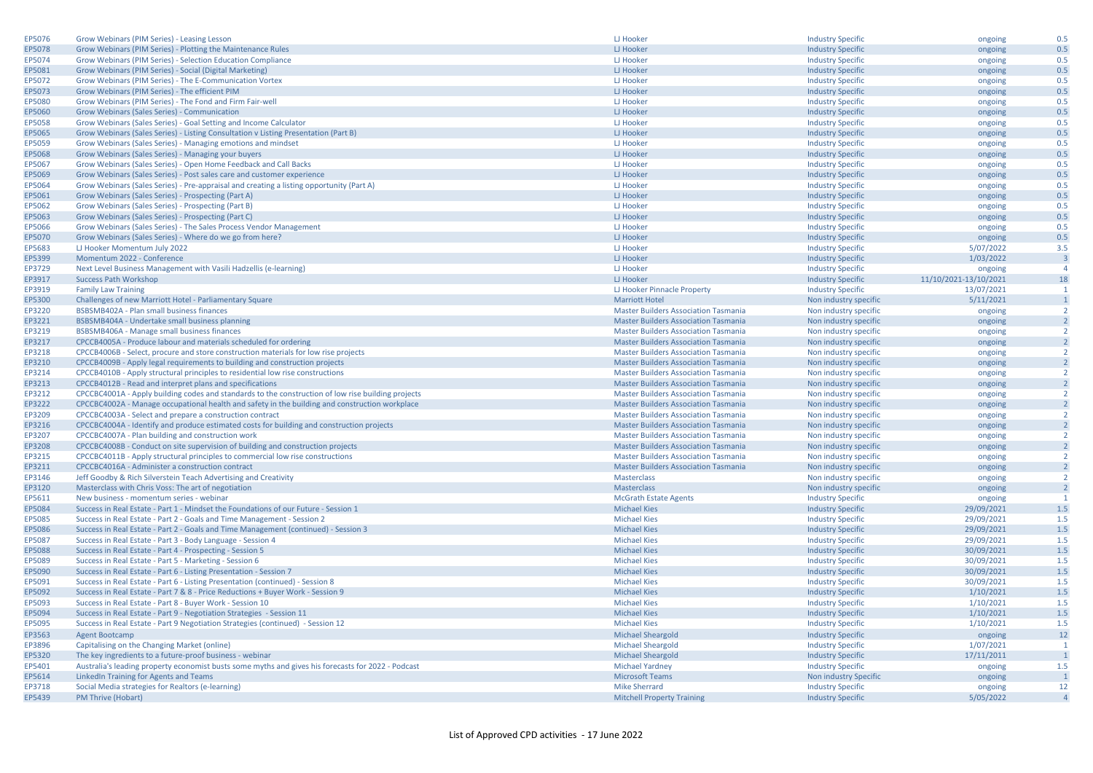| EP5076 | Grow Webinars (PIM Series) - Leasing Lesson                                                        | LJ Hooker                                   | <b>Industry Specific</b> | ongoing                          | 0.5            |
|--------|----------------------------------------------------------------------------------------------------|---------------------------------------------|--------------------------|----------------------------------|----------------|
| EP5078 | Grow Webinars (PIM Series) - Plotting the Maintenance Rules                                        | LJ Hooker                                   | <b>Industry Specific</b> | ongoing                          | 0.5            |
| EP5074 | Grow Webinars (PIM Series) - Selection Education Compliance                                        | LJ Hooker                                   | <b>Industry Specific</b> | ongoing                          | 0.5            |
| EP5081 | Grow Webinars (PIM Series) - Social (Digital Marketing)                                            | LJ Hooker                                   | <b>Industry Specific</b> | ongoing                          | 0.5            |
| EP5072 | Grow Webinars (PIM Series) - The E-Communication Vortex                                            | LJ Hooker                                   | <b>Industry Specific</b> | ongoing                          | 0.5            |
| EP5073 | Grow Webinars (PIM Series) - The efficient PIM                                                     | LJ Hooker                                   | <b>Industry Specific</b> | ongoing                          | 0.5            |
|        |                                                                                                    |                                             |                          |                                  |                |
| EP5080 | Grow Webinars (PIM Series) - The Fond and Firm Fair-well                                           | LJ Hooker                                   | <b>Industry Specific</b> | ongoing                          | 0.5            |
| EP5060 | Grow Webinars (Sales Series) - Communication                                                       | LJ Hooker                                   | <b>Industry Specific</b> | ongoing                          | 0.5            |
| EP5058 | Grow Webinars (Sales Series) - Goal Setting and Income Calculator                                  | LJ Hooker                                   | <b>Industry Specific</b> | ongoing                          | 0.5            |
| EP5065 | Grow Webinars (Sales Series) - Listing Consultation v Listing Presentation (Part B)                | LJ Hooker                                   | <b>Industry Specific</b> | ongoing                          | 0.5            |
| EP5059 | Grow Webinars (Sales Series) - Managing emotions and mindset                                       | LJ Hooker                                   | <b>Industry Specific</b> | ongoing                          | 0.5            |
| EP5068 | Grow Webinars (Sales Series) - Managing your buyers                                                | <b>LJ Hooker</b>                            | <b>Industry Specific</b> | ongoing                          | 0.5            |
| EP5067 | Grow Webinars (Sales Series) - Open Home Feedback and Call Backs                                   | LJ Hooker                                   | <b>Industry Specific</b> | ongoing                          | 0.5            |
| EP5069 | Grow Webinars (Sales Series) - Post sales care and customer experience                             | LJ Hooker                                   | <b>Industry Specific</b> | ongoing                          | 0.5            |
| EP5064 | Grow Webinars (Sales Series) - Pre-appraisal and creating a listing opportunity (Part A)           | LJ Hooker                                   | <b>Industry Specific</b> | ongoing                          | 0.5            |
| EP5061 | Grow Webinars (Sales Series) - Prospecting (Part A)                                                | LJ Hooker                                   | <b>Industry Specific</b> | ongoing                          | 0.5            |
| EP5062 | Grow Webinars (Sales Series) - Prospecting (Part B)                                                | LJ Hooker                                   | <b>Industry Specific</b> | ongoing                          | 0.5            |
| EP5063 | Grow Webinars (Sales Series) - Prospecting (Part C)                                                | LJ Hooker                                   | <b>Industry Specific</b> | ongoing                          | 0.5            |
| EP5066 | Grow Webinars (Sales Series) - The Sales Process Vendor Management                                 | LJ Hooker                                   | <b>Industry Specific</b> | ongoing                          | 0.5            |
| EP5070 | Grow Webinars (Sales Series) - Where do we go from here?                                           | LJ Hooker                                   | <b>Industry Specific</b> | ongoing                          | 0.5            |
| EP5683 | LJ Hooker Momentum July 2022                                                                       | LJ Hooker                                   | <b>Industry Specific</b> | 5/07/2022                        | 3.5            |
| EP5399 | Momentum 2022 - Conference                                                                         | LJ Hooker                                   | <b>Industry Specific</b> | 1/03/2022                        | ß              |
| EP3729 | Next Level Business Management with Vasili Hadzellis (e-learning)                                  | LJ Hooker                                   | <b>Industry Specific</b> |                                  | $\overline{a}$ |
|        |                                                                                                    |                                             |                          | ongoing<br>11/10/2021-13/10/2021 | 18             |
| EP3917 | <b>Success Path Workshop</b>                                                                       | LJ Hooker                                   | <b>Industry Specific</b> |                                  | $\overline{1}$ |
| EP3919 | <b>Family Law Training</b>                                                                         | LJ Hooker Pinnacle Property                 | <b>Industry Specific</b> | 13/07/2021                       |                |
| EP5300 | Challenges of new Marriott Hotel - Parliamentary Square                                            | <b>Marriott Hotel</b>                       | Non industry specific    | 5/11/2021                        | $\overline{1}$ |
| EP3220 | BSBSMB402A - Plan small business finances                                                          | <b>Master Builders Association Tasmania</b> | Non industry specific    | ongoing                          | $\overline{2}$ |
| EP3221 | BSBSMB404A - Undertake small business planning                                                     | <b>Master Builders Association Tasmania</b> | Non industry specific    | ongoing                          | $\overline{2}$ |
| EP3219 | BSBSMB406A - Manage small business finances                                                        | <b>Master Builders Association Tasmania</b> | Non industry specific    | ongoing                          | $\overline{2}$ |
| EP3217 | CPCCB4005A - Produce labour and materials scheduled for ordering                                   | <b>Master Builders Association Tasmania</b> | Non industry specific    | ongoing                          | $\overline{2}$ |
| EP3218 | CPCCB4006B - Select, procure and store construction materials for low rise projects                | <b>Master Builders Association Tasmania</b> | Non industry specific    | ongoing                          | $\overline{2}$ |
| EP3210 | CPCCB4009B - Apply legal requirements to building and construction projects                        | <b>Master Builders Association Tasmania</b> | Non industry specific    | ongoing                          | $\overline{2}$ |
| EP3214 | CPCCB4010B - Apply structural principles to residential low rise constructions                     | <b>Master Builders Association Tasmania</b> | Non industry specific    | ongoing                          | $\overline{2}$ |
| EP3213 | CPCCB4012B - Read and interpret plans and specifications                                           | <b>Master Builders Association Tasmania</b> | Non industry specific    | ongoing                          | $\overline{2}$ |
| EP3212 | CPCCBC4001A - Apply building codes and standards to the construction of low rise building projects | <b>Master Builders Association Tasmania</b> | Non industry specific    | ongoing                          | $\overline{2}$ |
| EP3222 | CPCCBC4002A - Manage occupational health and safety in the building and construction workplace     | <b>Master Builders Association Tasmania</b> | Non industry specific    | ongoing                          | $\overline{2}$ |
| EP3209 | CPCCBC4003A - Select and prepare a construction contract                                           | <b>Master Builders Association Tasmania</b> | Non industry specific    | ongoing                          | $\overline{2}$ |
| EP3216 | CPCCBC4004A - Identify and produce estimated costs for building and construction projects          | <b>Master Builders Association Tasmania</b> | Non industry specific    | ongoing                          | $\overline{2}$ |
| EP3207 | CPCCBC4007A - Plan building and construction work                                                  | <b>Master Builders Association Tasmania</b> | Non industry specific    | ongoing                          | $\overline{2}$ |
| EP3208 | CPCCBC4008B - Conduct on site supervision of building and construction projects                    | <b>Master Builders Association Tasmania</b> | Non industry specific    | ongoing                          |                |
| EP3215 | CPCCBC4011B - Apply structural principles to commercial low rise constructions                     | <b>Master Builders Association Tasmania</b> | Non industry specific    | ongoing                          | $\overline{2}$ |
| EP3211 | CPCCBC4016A - Administer a construction contract                                                   | <b>Master Builders Association Tasmania</b> | Non industry specific    | ongoing                          | $\overline{2}$ |
| EP3146 | Jeff Goodby & Rich Silverstein Teach Advertising and Creativity                                    | Masterclass                                 | Non industry specific    | ongoing                          | 2              |
| EP3120 | Masterclass with Chris Voss: The art of negotiation                                                | Masterclass                                 | Non industry specific    | ongoing                          | $\overline{2}$ |
| EP5611 | New business - momentum series - webinar                                                           | <b>McGrath Estate Agents</b>                | <b>Industry Specific</b> | ongoing                          | $\overline{1}$ |
| EP5084 | Success in Real Estate - Part 1 - Mindset the Foundations of our Future - Session 1                | <b>Michael Kies</b>                         | <b>Industry Specific</b> | 29/09/2021                       | 1.5            |
| EP5085 | Success in Real Estate - Part 2 - Goals and Time Management - Session 2                            | <b>Michael Kies</b>                         | <b>Industry Specific</b> | 29/09/2021                       | 1.5            |
| EP5086 | Success in Real Estate - Part 2 - Goals and Time Management (continued) - Session 3                | <b>Michael Kies</b>                         | <b>Industry Specific</b> | 29/09/2021                       | 1.5            |
| EP5087 | Success in Real Estate - Part 3 - Body Language - Session 4                                        | <b>Michael Kies</b>                         |                          | 29/09/2021                       | 1.5            |
|        |                                                                                                    |                                             | <b>Industry Specific</b> |                                  |                |
| EP5088 | Success in Real Estate - Part 4 - Prospecting - Session 5                                          | <b>Michael Kies</b>                         | <b>Industry Specific</b> | 30/09/2021                       | 1.5            |
| EP5089 | Success in Real Estate - Part 5 - Marketing - Session 6                                            | <b>Michael Kies</b>                         | <b>Industry Specific</b> | 30/09/2021                       | 1.5            |
| EP5090 | Success in Real Estate - Part 6 - Listing Presentation - Session 7                                 | <b>Michael Kies</b>                         | <b>Industry Specific</b> | 30/09/2021                       | 1.5            |
| EP5091 | Success in Real Estate - Part 6 - Listing Presentation (continued) - Session 8                     | <b>Michael Kies</b>                         | <b>Industry Specific</b> | 30/09/2021                       | 1.5            |
| EP5092 | Success in Real Estate - Part 7 & 8 - Price Reductions + Buyer Work - Session 9                    | <b>Michael Kies</b>                         | <b>Industry Specific</b> | 1/10/2021                        | 1.5            |
| EP5093 | Success in Real Estate - Part 8 - Buyer Work - Session 10                                          | <b>Michael Kies</b>                         | <b>Industry Specific</b> | 1/10/2021                        | 1.5            |
| EP5094 | Success in Real Estate - Part 9 - Negotiation Strategies - Session 11                              | <b>Michael Kies</b>                         | <b>Industry Specific</b> | 1/10/2021                        | 1.5            |
| EP5095 | Success in Real Estate - Part 9 Negotiation Strategies (continued) - Session 12                    | <b>Michael Kies</b>                         | <b>Industry Specific</b> | 1/10/2021                        | 1.5            |
| EP3563 | <b>Agent Bootcamp</b>                                                                              | <b>Michael Sheargold</b>                    | <b>Industry Specific</b> | ongoing                          | 12             |
| EP3896 | Capitalising on the Changing Market (online)                                                       | <b>Michael Sheargold</b>                    | <b>Industry Specific</b> | 1/07/2021                        | $\overline{1}$ |
| EP5320 | The key ingredients to a future-proof business - webinar                                           | <b>Michael Sheargold</b>                    | <b>Industry Specific</b> | 17/11/2011                       |                |
| EP5401 | Australia's leading property economist busts some myths and gives his forecasts for 2022 - Podcast | <b>Michael Yardney</b>                      | <b>Industry Specific</b> | ongoing                          | 1.5            |
| EP5614 | LinkedIn Training for Agents and Teams                                                             | <b>Microsoft Teams</b>                      | Non industry Specific    | ongoing                          |                |
| EP3718 | Social Media strategies for Realtors (e-learning)                                                  | <b>Mike Sherrard</b>                        | <b>Industry Specific</b> | ongoing                          | 12             |
| EP5439 | PM Thrive (Hobart)                                                                                 | <b>Mitchell Property Training</b>           | <b>Industry Specific</b> | 5/05/2022                        | $\overline{4}$ |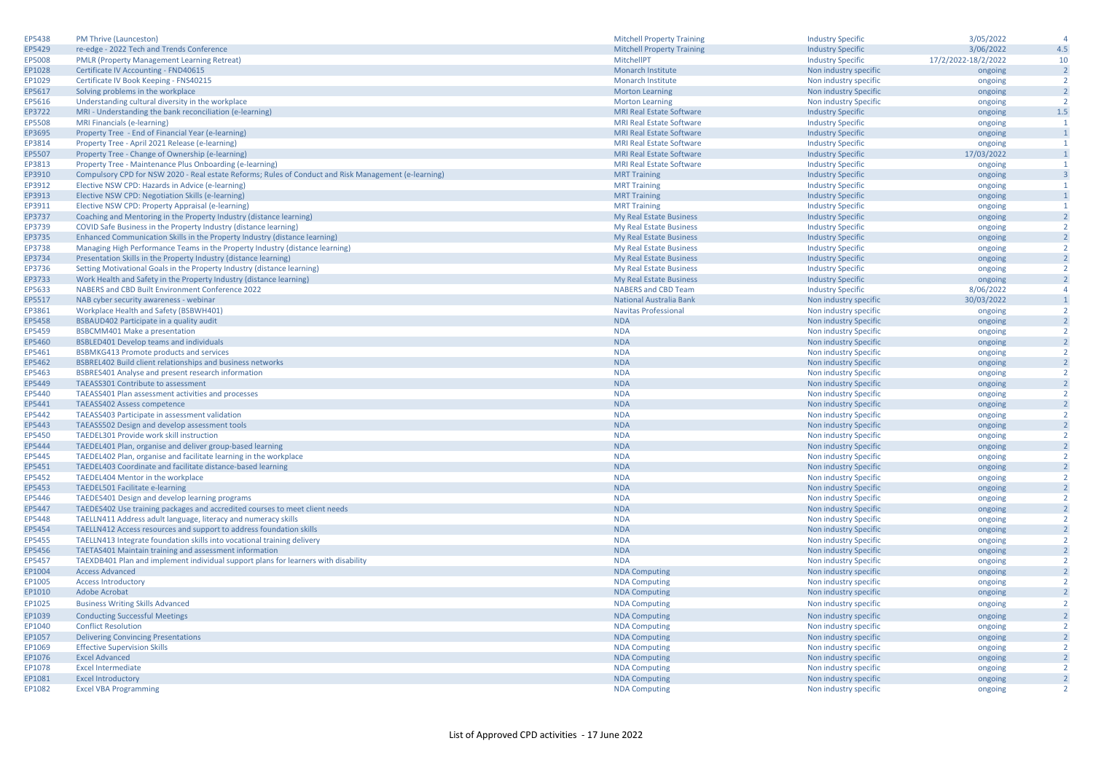| EP5438 | <b>PM Thrive (Launceston)</b>                                                                        | <b>Mitchell Property Training</b> | <b>Industry Specific</b> | 3/05/2022           | $\overline{4}$          |
|--------|------------------------------------------------------------------------------------------------------|-----------------------------------|--------------------------|---------------------|-------------------------|
| EP5429 | re-edge - 2022 Tech and Trends Conference                                                            | <b>Mitchell Property Training</b> | <b>Industry Specific</b> | 3/06/2022           | 4.5                     |
| EP5008 | <b>PMLR (Property Management Learning Retreat)</b>                                                   | MitchellPT                        | <b>Industry Specific</b> | 17/2/2022-18/2/2022 | 10                      |
| EP1028 | Certificate IV Accounting - FND40615                                                                 | Monarch Institute                 | Non industry specific    | ongoing             | $\overline{2}$          |
| EP1029 | Certificate IV Book Keeping - FNS40215                                                               | <b>Monarch Institute</b>          | Non industry specific    | ongoing             | $\overline{2}$          |
| EP5617 | Solving problems in the workplace                                                                    | <b>Morton Learning</b>            | Non industry Specific    | ongoing             | $\overline{2}$          |
| EP5616 | Understanding cultural diversity in the workplace                                                    | <b>Morton Learning</b>            | Non industry Specific    | ongoing             | $\overline{2}$          |
| EP3722 | MRI - Understanding the bank reconciliation (e-learning)                                             | <b>MRI Real Estate Software</b>   | <b>Industry Specific</b> | ongoing             | $1.5\,$                 |
| EP5508 | MRI Financials (e-learning)                                                                          | <b>MRI Real Estate Software</b>   | <b>Industry Specific</b> | ongoing             | -1                      |
| EP3695 | Property Tree - End of Financial Year (e-learning)                                                   | <b>MRI Real Estate Software</b>   | <b>Industry Specific</b> | ongoing             | $\mathbf{1}$            |
| EP3814 | Property Tree - April 2021 Release (e-learning)                                                      | <b>MRI Real Estate Software</b>   | <b>Industry Specific</b> | ongoing             | $\mathbf{1}$            |
| EP5507 | Property Tree - Change of Ownership (e-learning)                                                     | <b>MRI Real Estate Software</b>   | <b>Industry Specific</b> | 17/03/2022          | $\mathbf{1}$            |
| EP3813 | Property Tree - Maintenance Plus Onboarding (e-learning)                                             | <b>MRI Real Estate Software</b>   | <b>Industry Specific</b> | ongoing             | $\mathbf{1}$            |
| EP3910 | Compulsory CPD for NSW 2020 - Real estate Reforms; Rules of Conduct and Risk Management (e-learning) | <b>MRT Training</b>               | <b>Industry Specific</b> | ongoing             | $\overline{\mathbf{3}}$ |
| EP3912 | Elective NSW CPD: Hazards in Advice (e-learning)                                                     | <b>MRT Training</b>               | <b>Industry Specific</b> | ongoing             | -1                      |
| EP3913 | Elective NSW CPD: Negotiation Skills (e-learning)                                                    | <b>MRT Training</b>               | <b>Industry Specific</b> | ongoing             | $\mathbf{1}$            |
| EP3911 | Elective NSW CPD: Property Appraisal (e-learning)                                                    | <b>MRT Training</b>               |                          |                     | -1                      |
|        |                                                                                                      |                                   | <b>Industry Specific</b> | ongoing             | $\overline{2}$          |
| EP3737 | Coaching and Mentoring in the Property Industry (distance learning)                                  | My Real Estate Business           | <b>Industry Specific</b> | ongoing             | $\overline{2}$          |
| EP3739 | COVID Safe Business in the Property Industry (distance learning)                                     | My Real Estate Business           | <b>Industry Specific</b> | ongoing             |                         |
| EP3735 | Enhanced Communication Skills in the Property Industry (distance learning)                           | My Real Estate Business           | <b>Industry Specific</b> | ongoing             | $\overline{2}$          |
| EP3738 | Managing High Performance Teams in the Property Industry (distance learning)                         | My Real Estate Business           | <b>Industry Specific</b> | ongoing             | $\overline{2}$          |
| EP3734 | Presentation Skills in the Property Industry (distance learning)                                     | My Real Estate Business           | <b>Industry Specific</b> | ongoing             | $\overline{2}$          |
| EP3736 | Setting Motivational Goals in the Property Industry (distance learning)                              | My Real Estate Business           | <b>Industry Specific</b> | ongoing             | $\overline{2}$          |
| EP3733 | Work Health and Safety in the Property Industry (distance learning)                                  | My Real Estate Business           | <b>Industry Specific</b> | ongoing             | $\overline{2}$          |
| EP5633 | NABERS and CBD Built Environment Conference 2022                                                     | <b>NABERS and CBD Team</b>        | <b>Industry Specific</b> | 8/06/2022           | $\overline{4}$          |
| EP5517 | NAB cyber security awareness - webinar                                                               | National Australia Bank           | Non industry specific    | 30/03/2022          | $\mathbf{1}$            |
| EP3861 | Workplace Health and Safety (BSBWH401)                                                               | <b>Navitas Professional</b>       | Non industry specific    | ongoing             | $\overline{2}$          |
| EP5458 | BSBAUD402 Participate in a quality audit                                                             | <b>NDA</b>                        | Non industry Specific    | ongoing             | $\overline{2}$          |
| EP5459 | <b>BSBCMM401 Make a presentation</b>                                                                 | <b>NDA</b>                        | Non industry Specific    | ongoing             | $\overline{2}$          |
| EP5460 | <b>BSBLED401 Develop teams and individuals</b>                                                       | <b>NDA</b>                        | Non industry Specific    | ongoing             | $\overline{2}$          |
| EP5461 | <b>BSBMKG413 Promote products and services</b>                                                       | <b>NDA</b>                        | Non industry Specific    | ongoing             | $\overline{2}$          |
| EP5462 | BSBREL402 Build client relationships and business networks                                           | <b>NDA</b>                        | Non industry Specific    | ongoing             | $\overline{2}$          |
| EP5463 | BSBRES401 Analyse and present research information                                                   | <b>NDA</b>                        | Non industry Specific    | ongoing             | $\overline{2}$          |
| EP5449 | <b>TAEASS301 Contribute to assessment</b>                                                            | <b>NDA</b>                        | Non industry Specific    | ongoing             | $\overline{2}$          |
| EP5440 | TAEASS401 Plan assessment activities and processes                                                   | <b>NDA</b>                        | Non industry Specific    | ongoing             | $\overline{2}$          |
| EP5441 | <b>TAEASS402 Assess competence</b>                                                                   | <b>NDA</b>                        | Non industry Specific    | ongoing             | $\overline{2}$          |
| EP5442 | TAEASS403 Participate in assessment validation                                                       | <b>NDA</b>                        | Non industry Specific    | ongoing             | $\overline{2}$          |
| EP5443 | TAEASS502 Design and develop assessment tools                                                        | <b>NDA</b>                        | Non industry Specific    | ongoing             | $\overline{2}$          |
| EP5450 | TAEDEL301 Provide work skill instruction                                                             | <b>NDA</b>                        | Non industry Specific    | ongoing             | $\overline{2}$          |
| EP5444 | TAEDEL401 Plan, organise and deliver group-based learning                                            | <b>NDA</b>                        | Non industry Specific    | ongoing             | $\overline{2}$          |
| EP5445 | TAEDEL402 Plan, organise and facilitate learning in the workplace                                    | <b>NDA</b>                        | Non industry Specific    | ongoing             | $\overline{2}$          |
| EP5451 | TAEDEL403 Coordinate and facilitate distance-based learning                                          | <b>NDA</b>                        | Non industry Specific    | ongoing             | $\overline{2}$          |
| EP5452 | TAEDEL404 Mentor in the workplace                                                                    | <b>NDA</b>                        | Non industry Specific    | ongoing             | $\overline{2}$          |
| EP5453 | TAEDEL501 Facilitate e-learning                                                                      | <b>NDA</b>                        | Non industry Specific    | ongoing             | $\overline{2}$          |
| EP5446 | TAEDES401 Design and develop learning programs                                                       | <b>NDA</b>                        | Non industry Specific    | ongoing             | $\overline{2}$          |
| EP5447 | TAEDES402 Use training packages and accredited courses to meet client needs                          | <b>NDA</b>                        | Non industry Specific    | ongoing             | $\overline{2}$          |
| EP5448 | TAELLN411 Address adult language, literacy and numeracy skills                                       | <b>NDA</b>                        | Non industry Specific    | ongoing             | $\overline{2}$          |
| EP5454 | TAELLN412 Access resources and support to address foundation skills                                  | <b>NDA</b>                        | Non industry Specific    | ongoing             | $\overline{2}$          |
| EP5455 | TAELLN413 Integrate foundation skills into vocational training delivery                              | <b>NDA</b>                        | Non industry Specific    | ongoing             | <sup>2</sup>            |
| EP5456 | TAETAS401 Maintain training and assessment information                                               | <b>NDA</b>                        | Non industry Specific    | ongoing             | $\overline{2}$          |
| EP5457 | TAEXDB401 Plan and implement individual support plans for learners with disability                   | <b>NDA</b>                        | Non industry Specific    | ongoing             | $\overline{2}$          |
| EP1004 | <b>Access Advanced</b>                                                                               | <b>NDA Computing</b>              | Non industry specific    | ongoing             | $\overline{2}$          |
| EP1005 | <b>Access Introductory</b>                                                                           | <b>NDA Computing</b>              | Non industry specific    | ongoing             | $\overline{2}$          |
| EP1010 | <b>Adobe Acrobat</b>                                                                                 | <b>NDA Computing</b>              | Non industry specific    | ongoing             | $\overline{2}$          |
| EP1025 | <b>Business Writing Skills Advanced</b>                                                              | <b>NDA Computing</b>              | Non industry specific    | ongoing             | $\overline{2}$          |
|        |                                                                                                      |                                   |                          |                     | $\overline{2}$          |
| EP1039 | <b>Conducting Successful Meetings</b>                                                                | <b>NDA Computing</b>              | Non industry specific    | ongoing             | $\overline{2}$          |
| EP1040 | <b>Conflict Resolution</b>                                                                           | <b>NDA Computing</b>              | Non industry specific    | ongoing             |                         |
| EP1057 | <b>Delivering Convincing Presentations</b>                                                           | <b>NDA Computing</b>              | Non industry specific    | ongoing             | $\overline{2}$          |
| EP1069 | <b>Effective Supervision Skills</b>                                                                  | <b>NDA Computing</b>              | Non industry specific    | ongoing             | $\overline{2}$          |
| EP1076 | <b>Excel Advanced</b>                                                                                | <b>NDA Computing</b>              | Non industry specific    | ongoing             | $\overline{2}$          |
| EP1078 | <b>Excel Intermediate</b>                                                                            | <b>NDA Computing</b>              | Non industry specific    | ongoing             | $\overline{2}$          |
| EP1081 | <b>Excel Introductory</b>                                                                            | <b>NDA Computing</b>              | Non industry specific    | ongoing             | $\overline{2}$          |
| EP1082 | <b>Excel VBA Programming</b>                                                                         | <b>NDA Computing</b>              | Non industry specific    | ongoing             | $\overline{2}$          |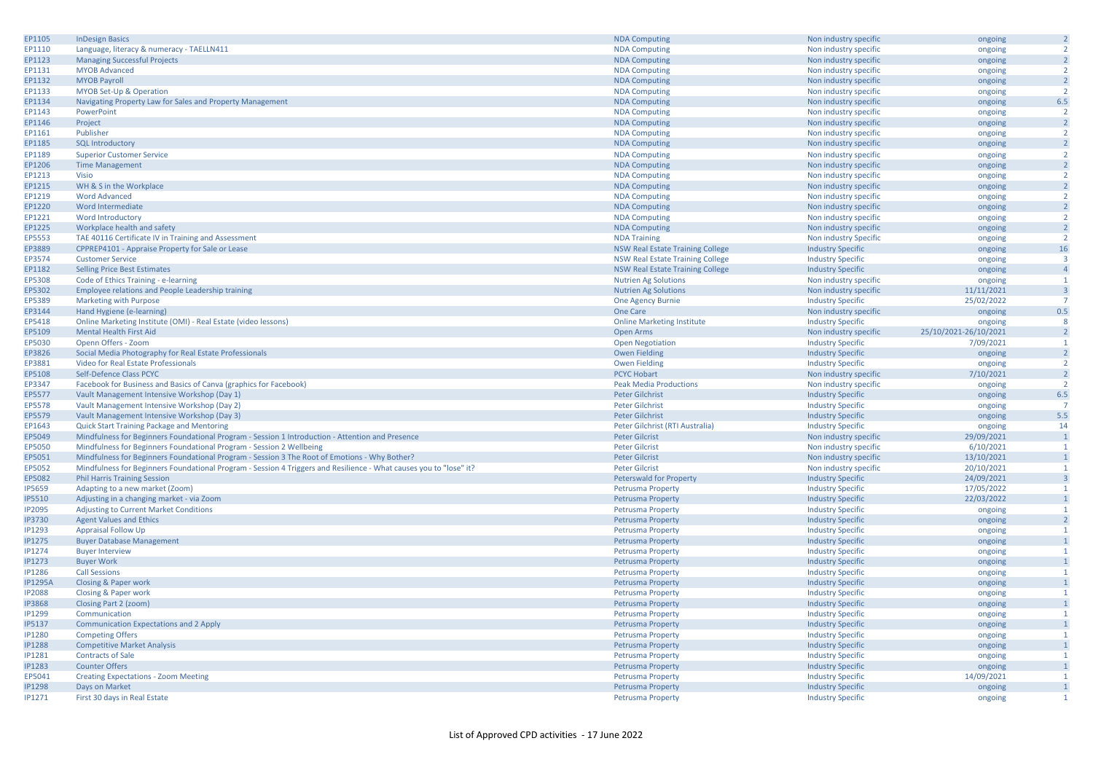| EP1105         | <b>InDesign Basics</b>                                                                                             | <b>NDA Computing</b>                    | Non industry specific    | ongoing               | $\overline{2}$          |
|----------------|--------------------------------------------------------------------------------------------------------------------|-----------------------------------------|--------------------------|-----------------------|-------------------------|
| EP1110         | Language, literacy & numeracy - TAELLN411                                                                          | <b>NDA Computing</b>                    | Non industry specific    | ongoing               | $\overline{2}$          |
| EP1123         | <b>Managing Successful Projects</b>                                                                                | <b>NDA Computing</b>                    | Non industry specific    | ongoing               | $\overline{2}$          |
| EP1131         | <b>MYOB Advanced</b>                                                                                               | <b>NDA Computing</b>                    | Non industry specific    | ongoing               | $\overline{2}$          |
| EP1132         | <b>MYOB Payroll</b>                                                                                                | <b>NDA Computing</b>                    | Non industry specific    | ongoing               | $\overline{2}$          |
| EP1133         | MYOB Set-Up & Operation                                                                                            | <b>NDA Computing</b>                    | Non industry specific    |                       | $\overline{2}$          |
|                |                                                                                                                    |                                         |                          | ongoing               | 6.5                     |
| EP1134         | Navigating Property Law for Sales and Property Management                                                          | <b>NDA Computing</b>                    | Non industry specific    | ongoing               | $\overline{2}$          |
| EP1143         | PowerPoint                                                                                                         | <b>NDA Computing</b>                    | Non industry specific    | ongoing               |                         |
| EP1146         | Project                                                                                                            | <b>NDA Computing</b>                    | Non industry specific    | ongoing               | $\overline{2}$          |
| EP1161         | Publisher                                                                                                          | <b>NDA Computing</b>                    | Non industry specific    | ongoing               | $\overline{2}$          |
| EP1185         | <b>SQL Introductory</b>                                                                                            | <b>NDA Computing</b>                    | Non industry specific    | ongoing               | $\overline{2}$          |
| EP1189         | <b>Superior Customer Service</b>                                                                                   | <b>NDA Computing</b>                    | Non industry specific    | ongoing               | $\overline{2}$          |
| EP1206         | <b>Time Management</b>                                                                                             | <b>NDA Computing</b>                    | Non industry specific    | ongoing               | $\overline{2}$          |
| EP1213         | Visio                                                                                                              | <b>NDA Computing</b>                    | Non industry specific    | ongoing               | $\overline{2}$          |
| EP1215         | WH & S in the Workplace                                                                                            | <b>NDA Computing</b>                    | Non industry specific    | ongoing               | $\overline{2}$          |
| EP1219         | <b>Word Advanced</b>                                                                                               | <b>NDA Computing</b>                    | Non industry specific    | ongoing               | $\overline{2}$          |
| EP1220         | Word Intermediate                                                                                                  | <b>NDA Computing</b>                    | Non industry specific    | ongoing               | $\overline{2}$          |
| EP1221         | Word Introductory                                                                                                  | <b>NDA Computing</b>                    | Non industry specific    | ongoing               | $\overline{2}$          |
| EP1225         | Workplace health and safety                                                                                        | <b>NDA Computing</b>                    | Non industry specific    | ongoing               | $\overline{2}$          |
| EP5553         | TAE 40116 Certificate IV in Training and Assessment                                                                | <b>NDA Training</b>                     | Non industry Specific    | ongoing               | $\overline{2}$          |
| EP3889         | CPPREP4101 - Appraise Property for Sale or Lease                                                                   | <b>NSW Real Estate Training College</b> | <b>Industry Specific</b> | ongoing               | 16                      |
|                |                                                                                                                    |                                         |                          |                       | $\overline{\mathbf{3}}$ |
| EP3574         | <b>Customer Service</b>                                                                                            | <b>NSW Real Estate Training College</b> | <b>Industry Specific</b> | ongoing               |                         |
| EP1182         | <b>Selling Price Best Estimates</b>                                                                                | <b>NSW Real Estate Training College</b> | <b>Industry Specific</b> | ongoing               | $\overline{4}$          |
| EP5308         | Code of Ethics Training - e-learning                                                                               | <b>Nutrien Ag Solutions</b>             | Non industry specific    | ongoing               | $\mathbf{1}$            |
| EP5302         | Employee relations and People Leadership training                                                                  | <b>Nutrien Ag Solutions</b>             | Non industry specific    | 11/11/2021            | $\overline{3}$          |
| EP5389         | Marketing with Purpose                                                                                             | One Agency Burnie                       | <b>Industry Specific</b> | 25/02/2022            | $\overline{7}$          |
| EP3144         | Hand Hygiene (e-learning)                                                                                          | One Care                                | Non industry specific    | ongoing               | 0.5                     |
| EP5418         | Online Marketing Institute (OMI) - Real Estate (video lessons)                                                     | <b>Online Marketing Institute</b>       | <b>Industry Specific</b> | ongoing               | -8                      |
| EP5109         | <b>Mental Health First Aid</b>                                                                                     | Open Arms                               | Non industry specific    | 25/10/2021-26/10/2021 | $\overline{2}$          |
| EP5030         | Openn Offers - Zoom                                                                                                | <b>Open Negotiation</b>                 | <b>Industry Specific</b> | 7/09/2021             | $\overline{1}$          |
| EP3826         | Social Media Photography for Real Estate Professionals                                                             | Owen Fielding                           | <b>Industry Specific</b> | ongoing               | $\overline{2}$          |
| EP3881         | Video for Real Estate Professionals                                                                                | <b>Owen Fielding</b>                    | <b>Industry Specific</b> | ongoing               | $\overline{2}$          |
| EP5108         | Self-Defence Class PCYC                                                                                            | <b>PCYC Hobart</b>                      | Non industry specific    | 7/10/2021             | $\overline{2}$          |
| EP3347         | Facebook for Business and Basics of Canva (graphics for Facebook)                                                  | <b>Peak Media Productions</b>           | Non industry specific    | ongoing               | $\overline{2}$          |
| EP5577         | Vault Management Intensive Workshop (Day 1)                                                                        | <b>Peter Gilchrist</b>                  | <b>Industry Specific</b> | ongoing               | 6.5                     |
| EP5578         | Vault Management Intensive Workshop (Day 2)                                                                        | Peter Gilchrist                         | <b>Industry Specific</b> | ongoing               | $\overline{7}$          |
| EP5579         | Vault Management Intensive Workshop (Day 3)                                                                        | Peter Gilchrist                         | <b>Industry Specific</b> | ongoing               | 5.5                     |
| EP1643         | Quick Start Training Package and Mentoring                                                                         | Peter Gilchrist (RTI Australia)         | <b>Industry Specific</b> | ongoing               | 14                      |
| EP5049         | Mindfulness for Beginners Foundational Program - Session 1 Introduction - Attention and Presence                   | <b>Peter Gilcrist</b>                   | Non industry specific    | 29/09/2021            | $\overline{1}$          |
| EP5050         | Mindfulness for Beginners Foundational Program - Session 2 Wellbeing                                               | <b>Peter Gilcrist</b>                   | Non industry specific    | 6/10/2021             | $\overline{1}$          |
|                |                                                                                                                    |                                         |                          |                       | $\overline{1}$          |
| EP5051         | Mindfulness for Beginners Foundational Program - Session 3 The Root of Emotions - Why Bother?                      | <b>Peter Gilcrist</b>                   | Non industry specific    | 13/10/2021            |                         |
| EP5052         | Mindfulness for Beginners Foundational Program - Session 4 Triggers and Resilience - What causes you to "lose" it? | <b>Peter Gilcrist</b>                   | Non industry specific    | 20/10/2021            | $\overline{1}$          |
| EP5082         | <b>Phil Harris Training Session</b>                                                                                | Peterswald for Property                 | <b>Industry Specific</b> | 24/09/2021            | $\overline{\mathbf{3}}$ |
| <b>IP5659</b>  | Adapting to a new market (Zoom)                                                                                    | <b>Petrusma Property</b>                | <b>Industry Specific</b> | 17/05/2022            | $\mathbf{1}$            |
| <b>IP5510</b>  | Adjusting in a changing market - via Zoom                                                                          | Petrusma Property                       | <b>Industry Specific</b> | 22/03/2022            | $\overline{1}$          |
| <b>IP2095</b>  | <b>Adjusting to Current Market Conditions</b>                                                                      | Petrusma Property                       | <b>Industry Specific</b> | ongoing               | $\overline{1}$          |
| <b>IP3730</b>  | <b>Agent Values and Ethics</b>                                                                                     | <b>Petrusma Property</b>                | <b>Industry Specific</b> | ongoing               | $\overline{2}$          |
| <b>IP1293</b>  | <b>Appraisal Follow Up</b>                                                                                         | <b>Petrusma Property</b>                | <b>Industry Specific</b> | ongoing               | $\mathbf{1}$            |
| <b>IP1275</b>  | <b>Buyer Database Management</b>                                                                                   | Petrusma Property                       | <b>Industry Specific</b> | ongoing               | $\mathbf{1}$            |
| <b>IP1274</b>  | <b>Buyer Interview</b>                                                                                             | Petrusma Property                       | <b>Industry Specific</b> | ongoing               | $\overline{1}$          |
| <b>IP1273</b>  | <b>Buyer Work</b>                                                                                                  | <b>Petrusma Property</b>                | <b>Industry Specific</b> | ongoing               | $\overline{1}$          |
| <b>IP1286</b>  | <b>Call Sessions</b>                                                                                               | Petrusma Property                       | <b>Industry Specific</b> | ongoing               | $\overline{1}$          |
| <b>IP1295A</b> | Closing & Paper work                                                                                               | Petrusma Property                       | <b>Industry Specific</b> | ongoing               | $\mathbf{1}$            |
| <b>IP2088</b>  | Closing & Paper work                                                                                               | <b>Petrusma Property</b>                | <b>Industry Specific</b> | ongoing               | $\mathbf{1}$            |
| <b>IP3868</b>  | Closing Part 2 (zoom)                                                                                              | Petrusma Property                       | <b>Industry Specific</b> | ongoing               | $\mathbf{1}$            |
| <b>IP1299</b>  | Communication                                                                                                      | Petrusma Property                       | <b>Industry Specific</b> | ongoing               | $\overline{1}$          |
| <b>IP5137</b>  | Communication Expectations and 2 Apply                                                                             | <b>Petrusma Property</b>                | <b>Industry Specific</b> | ongoing               | $\mathbf{1}$            |
| <b>IP1280</b>  | <b>Competing Offers</b>                                                                                            | Petrusma Property                       | <b>Industry Specific</b> | ongoing               | $\overline{1}$          |
| <b>IP1288</b>  | <b>Competitive Market Analysis</b>                                                                                 | Petrusma Property                       | <b>Industry Specific</b> | ongoing               | $\overline{1}$          |
| <b>IP1281</b>  | <b>Contracts of Sale</b>                                                                                           | <b>Petrusma Property</b>                | <b>Industry Specific</b> | ongoing               | $\mathbf{1}$            |
| <b>IP1283</b>  | <b>Counter Offers</b>                                                                                              | <b>Petrusma Property</b>                | <b>Industry Specific</b> | ongoing               | $\mathbf{1}$            |
| EP5041         | <b>Creating Expectations - Zoom Meeting</b>                                                                        | <b>Petrusma Property</b>                | <b>Industry Specific</b> | 14/09/2021            | $\overline{1}$          |
| <b>IP1298</b>  | Days on Market                                                                                                     | Petrusma Property                       | <b>Industry Specific</b> | ongoing               | $\mathbf{1}$            |
| IP1271         | First 30 days in Real Estate                                                                                       | Petrusma Property                       | <b>Industry Specific</b> | ongoing               | $\overline{1}$          |
|                |                                                                                                                    |                                         |                          |                       |                         |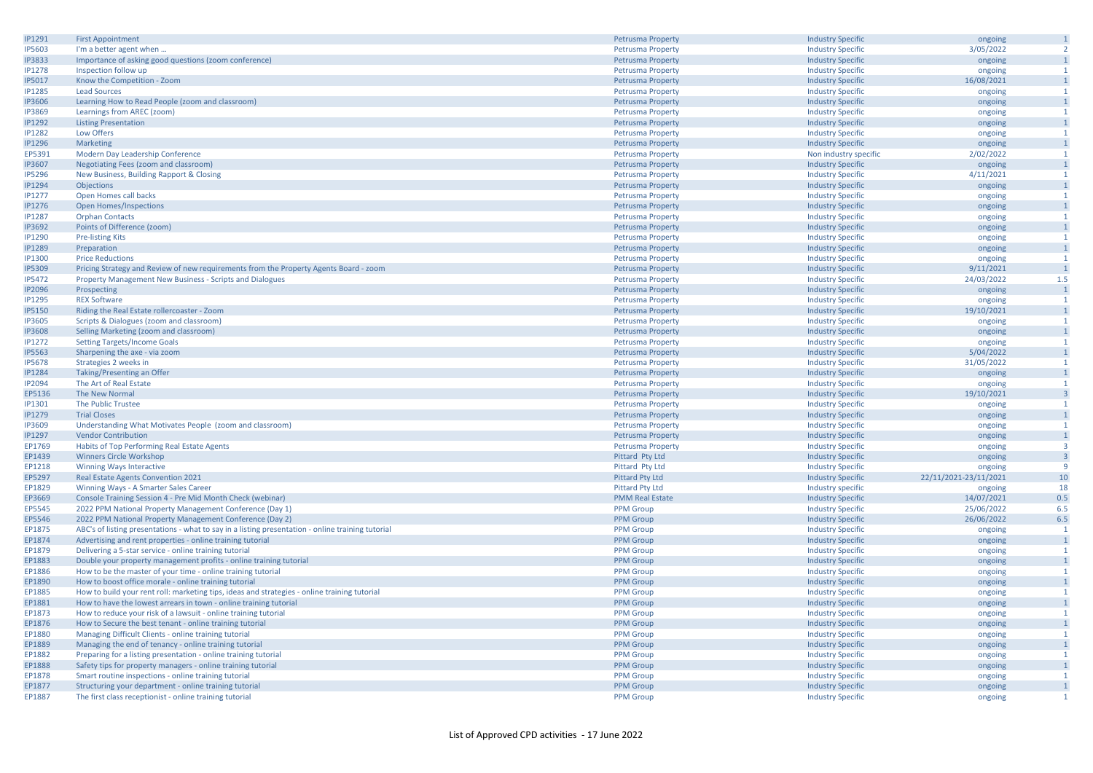| IP1291        | <b>First Appointment</b>                                                                          | Petrusma Property        | <b>Industry Specific</b> | ongoing               | $\mathbf{1}$            |
|---------------|---------------------------------------------------------------------------------------------------|--------------------------|--------------------------|-----------------------|-------------------------|
| <b>IP5603</b> | I'm a better agent when                                                                           | <b>Petrusma Property</b> | <b>Industry Specific</b> | 3/05/2022             | $\overline{2}$          |
| <b>IP3833</b> | Importance of asking good questions (zoom conference)                                             | <b>Petrusma Property</b> | <b>Industry Specific</b> | ongoing               | $\mathbf{1}$            |
| <b>IP1278</b> | Inspection follow up                                                                              | <b>Petrusma Property</b> | <b>Industry Specific</b> | ongoing               | $\overline{1}$          |
| <b>IP5017</b> | Know the Competition - Zoom                                                                       | <b>Petrusma Property</b> | <b>Industry Specific</b> | 16/08/2021            | $\mathbf{1}$            |
| <b>IP1285</b> |                                                                                                   |                          |                          |                       | $\mathbf{1}$            |
|               | <b>Lead Sources</b>                                                                               | <b>Petrusma Property</b> | <b>Industry Specific</b> | ongoing               |                         |
| <b>IP3606</b> | Learning How to Read People (zoom and classroom)                                                  | Petrusma Property        | <b>Industry Specific</b> | ongoing               | $\overline{1}$          |
| <b>IP3869</b> | Learnings from AREC (zoom)                                                                        | <b>Petrusma Property</b> | <b>Industry Specific</b> | ongoing               | $\mathbf{1}$            |
| <b>IP1292</b> | <b>Listing Presentation</b>                                                                       | <b>Petrusma Property</b> | <b>Industry Specific</b> | ongoing               | $\overline{1}$          |
| <b>IP1282</b> | Low Offers                                                                                        | Petrusma Property        | <b>Industry Specific</b> | ongoing               | $\overline{1}$          |
| <b>IP1296</b> | Marketing                                                                                         | Petrusma Property        | <b>Industry Specific</b> | ongoing               | $\mathbf{1}$            |
| EP5391        | Modern Day Leadership Conference                                                                  | <b>Petrusma Property</b> | Non industry specific    | 2/02/2022             | $\mathbf{1}$            |
| <b>IP3607</b> | Negotiating Fees (zoom and classroom)                                                             | <b>Petrusma Property</b> | <b>Industry Specific</b> | ongoing               | $\mathbf{1}$            |
| <b>IP5296</b> | New Business, Building Rapport & Closing                                                          | <b>Petrusma Property</b> | <b>Industry Specific</b> | 4/11/2021             | 1                       |
| <b>IP1294</b> | Objections                                                                                        | <b>Petrusma Property</b> | <b>Industry Specific</b> | ongoing               | $\overline{1}$          |
| <b>IP1277</b> | Open Homes call backs                                                                             | <b>Petrusma Property</b> | <b>Industry Specific</b> | ongoing               | $\overline{1}$          |
| <b>IP1276</b> |                                                                                                   |                          |                          |                       | $\mathbf{1}$            |
|               | <b>Open Homes/Inspections</b>                                                                     | Petrusma Property        | <b>Industry Specific</b> | ongoing               |                         |
| <b>IP1287</b> | <b>Orphan Contacts</b>                                                                            | <b>Petrusma Property</b> | <b>Industry Specific</b> | ongoing               | $\mathbf{1}$            |
| <b>IP3692</b> | Points of Difference (zoom)                                                                       | Petrusma Property        | <b>Industry Specific</b> | ongoing               | $\mathbf{1}$            |
| IP1290        | <b>Pre-listing Kits</b>                                                                           | Petrusma Property        | <b>Industry Specific</b> | ongoing               | $\mathbf{1}$            |
| <b>IP1289</b> | Preparation                                                                                       | Petrusma Property        | <b>Industry Specific</b> | ongoing               | $\overline{1}$          |
| <b>IP1300</b> | <b>Price Reductions</b>                                                                           | <b>Petrusma Property</b> | <b>Industry Specific</b> | ongoing               | $\mathbf{1}$            |
| <b>IP5309</b> | Pricing Strategy and Review of new requirements from the Property Agents Board - zoom             | Petrusma Property        | <b>Industry Specific</b> | 9/11/2021             | $\overline{1}$          |
| <b>IP5472</b> | Property Management New Business - Scripts and Dialogues                                          | <b>Petrusma Property</b> | <b>Industry Specific</b> | 24/03/2022            | 1.5                     |
| <b>IP2096</b> | Prospecting                                                                                       | <b>Petrusma Property</b> | <b>Industry Specific</b> | ongoing               | $\overline{1}$          |
| <b>IP1295</b> | <b>REX Software</b>                                                                               | Petrusma Property        | <b>Industry Specific</b> | ongoing               | $\overline{1}$          |
| <b>IP5150</b> | Riding the Real Estate rollercoaster - Zoom                                                       | <b>Petrusma Property</b> | <b>Industry Specific</b> | 19/10/2021            | $\overline{1}$          |
|               |                                                                                                   |                          |                          |                       |                         |
| <b>IP3605</b> | Scripts & Dialogues (zoom and classroom)                                                          | <b>Petrusma Property</b> | <b>Industry Specific</b> | ongoing               | -1                      |
| <b>IP3608</b> | Selling Marketing (zoom and classroom)                                                            | Petrusma Property        | <b>Industry Specific</b> | ongoing               | $\mathbf{1}$            |
| <b>IP1272</b> | <b>Setting Targets/Income Goals</b>                                                               | Petrusma Property        | <b>Industry Specific</b> | ongoing               | $\mathbf{1}$            |
| <b>IP5563</b> | Sharpening the axe - via zoom                                                                     | <b>Petrusma Property</b> | <b>Industry Specific</b> | 5/04/2022             | $\mathbf{1}$            |
| <b>IP5678</b> | Strategies 2 weeks in                                                                             | Petrusma Property        | <b>Industry Specific</b> | 31/05/2022            | $\mathbf{1}$            |
| <b>IP1284</b> | Taking/Presenting an Offer                                                                        | <b>Petrusma Property</b> | <b>Industry Specific</b> | ongoing               | $\overline{1}$          |
| <b>IP2094</b> | The Art of Real Estate                                                                            | Petrusma Property        | <b>Industry Specific</b> | ongoing               | $\overline{1}$          |
| EP5136        | The New Normal                                                                                    | Petrusma Property        | <b>Industry Specific</b> | 19/10/2021            | $\overline{\mathbf{3}}$ |
| <b>IP1301</b> | The Public Trustee                                                                                | <b>Petrusma Property</b> | <b>Industry Specific</b> | ongoing               | 1                       |
| <b>IP1279</b> | <b>Trial Closes</b>                                                                               | Petrusma Property        | <b>Industry Specific</b> | ongoing               | $\mathbf{1}$            |
| <b>IP3609</b> | Understanding What Motivates People (zoom and classroom)                                          | <b>Petrusma Property</b> | <b>Industry Specific</b> | ongoing               | $\mathbf{1}$            |
| <b>IP1297</b> | <b>Vendor Contribution</b>                                                                        | <b>Petrusma Property</b> | <b>Industry Specific</b> |                       | $\mathbf{1}$            |
|               |                                                                                                   |                          |                          | ongoing               | $\overline{3}$          |
| EP1769        | Habits of Top Performing Real Estate Agents                                                       | Petrusma Property        | <b>Industry Specific</b> | ongoing               |                         |
| EP1439        | <b>Winners Circle Workshop</b>                                                                    | Pittard Pty Ltd          | <b>Industry Specific</b> | ongoing               | $\overline{\mathbf{3}}$ |
| EP1218        | <b>Winning Ways Interactive</b>                                                                   | Pittard Pty Ltd          | <b>Industry Specific</b> | ongoing               | $\overline{9}$          |
| EP5297        | Real Estate Agents Convention 2021                                                                | <b>Pittard Pty Ltd</b>   | <b>Industry Specific</b> | 22/11/2021-23/11/2021 | 10                      |
| EP1829        | Winning Ways - A Smarter Sales Career                                                             | <b>Pittard Pty Ltd</b>   | Industry specific        | ongoing               | 18                      |
| EP3669        | Console Training Session 4 - Pre Mid Month Check (webinar)                                        | <b>PMM Real Estat</b>    | <b>Industry Specific</b> | 14/07/2021            | 0.5                     |
| EP5545        | 2022 PPM National Property Management Conference (Day 1)                                          | <b>PPM Group</b>         | <b>Industry Specific</b> | 25/06/2022            | 6.5                     |
| EP5546        | 2022 PPM National Property Management Conference (Day 2)                                          | <b>PPM Group</b>         | <b>Industry Specific</b> | 26/06/2022            | 6.5                     |
| EP1875        | ABC's of listing presentations - what to say in a listing presentation - online training tutorial | <b>PPM</b> Group         | <b>Industry Specific</b> | ongoing               | $\overline{1}$          |
| EP1874        | Advertising and rent properties - online training tutorial                                        | <b>PPM Group</b>         | <b>Industry Specific</b> | ongoing               | $\overline{1}$          |
| EP1879        | Delivering a 5-star service - online training tutorial                                            | <b>PPM Group</b>         | <b>Industry Specific</b> | ongoing               | $\overline{1}$          |
| EP1883        | Double your property management profits - online training tutorial                                | <b>PPM</b> Group         | <b>Industry Specific</b> | ongoing               | $\overline{1}$          |
| EP1886        | How to be the master of your time - online training tutorial                                      | <b>PPM Group</b>         | <b>Industry Specific</b> |                       | $\overline{1}$          |
|               |                                                                                                   |                          |                          | ongoing               |                         |
| EP1890        | How to boost office morale - online training tutorial                                             | <b>PPM Group</b>         | <b>Industry Specific</b> | ongoing               | $\mathbf{1}$            |
| EP1885        | How to build your rent roll: marketing tips, ideas and strategies - online training tutorial      | <b>PPM</b> Group         | <b>Industry Specific</b> | ongoing               | $\mathbf{1}$            |
| EP1881        | How to have the lowest arrears in town - online training tutorial                                 | <b>PPM Group</b>         | <b>Industry Specific</b> | ongoing               | $\mathbf{1}$            |
| EP1873        | How to reduce your risk of a lawsuit - online training tutorial                                   | <b>PPM Group</b>         | <b>Industry Specific</b> | ongoing               | $\overline{1}$          |
| EP1876        | How to Secure the best tenant - online training tutorial                                          | <b>PPM</b> Group         | <b>Industry Specific</b> | ongoing               | $\overline{1}$          |
| EP1880        | Managing Difficult Clients - online training tutorial                                             | <b>PPM Group</b>         | <b>Industry Specific</b> | ongoing               | $\mathbf{1}$            |
| EP1889        | Managing the end of tenancy - online training tutorial                                            | <b>PPM Group</b>         | <b>Industry Specific</b> | ongoing               | $\mathbf{1}$            |
| EP1882        | Preparing for a listing presentation - online training tutorial                                   | <b>PPM Group</b>         | <b>Industry Specific</b> | ongoing               | <sup>1</sup>            |
| EP1888        | Safety tips for property managers - online training tutorial                                      | <b>PPM Group</b>         | <b>Industry Specific</b> | ongoing               | $\overline{1}$          |
| EP1878        | Smart routine inspections - online training tutorial                                              | <b>PPM</b> Group         | <b>Industry Specific</b> | ongoing               | $\mathbf{1}$            |
| EP1877        | Structuring your department - online training tutorial                                            | <b>PPM Group</b>         | <b>Industry Specific</b> | ongoing               | $\overline{1}$          |
| EP1887        | The first class receptionist - online training tutorial                                           | <b>PPM</b> Group         | <b>Industry Specific</b> | ongoing               | $\overline{1}$          |
|               |                                                                                                   |                          |                          |                       |                         |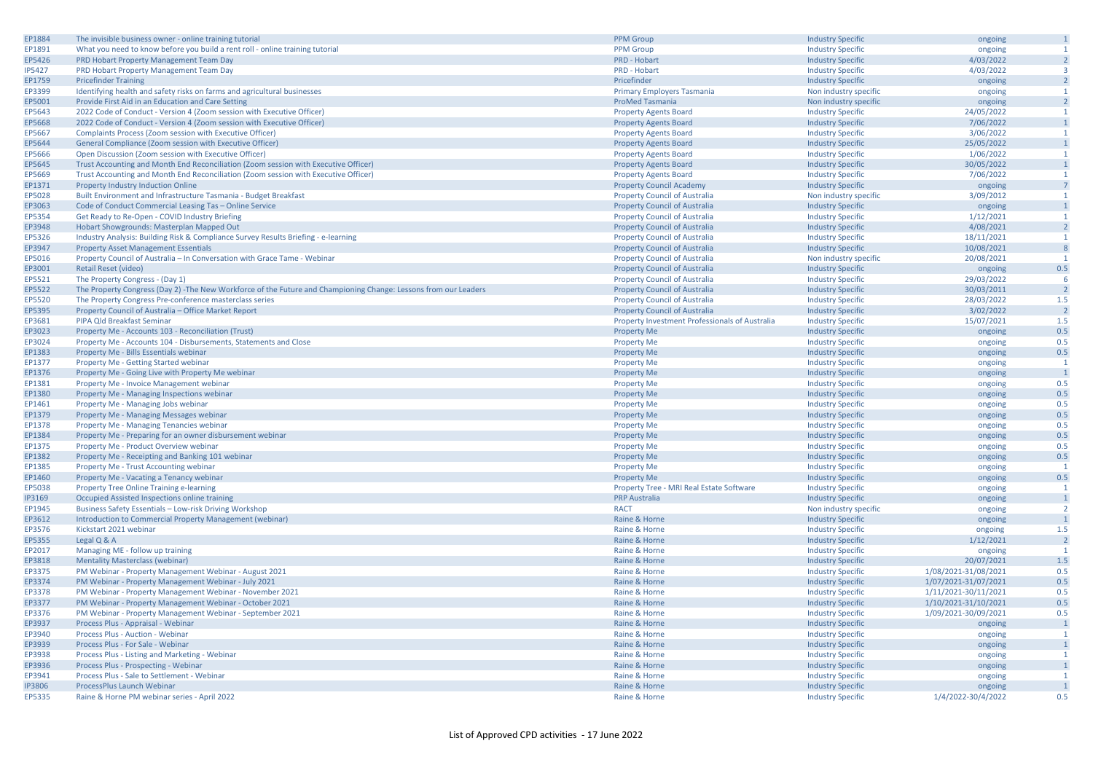| EP1884           | The invisible business owner - online training tutorial                                                         | <b>PPM Group</b>                                      | <b>Industry Specific</b> | ongoing              | $\mathbf{1}$   |
|------------------|-----------------------------------------------------------------------------------------------------------------|-------------------------------------------------------|--------------------------|----------------------|----------------|
| EP1891           | What you need to know before you build a rent roll - online training tutorial                                   | <b>PPM</b> Group                                      | <b>Industry Specific</b> | ongoing              | $\mathbf{1}$   |
| EP5426           | PRD Hobart Property Management Team Day                                                                         | PRD - Hobart                                          | <b>Industry Specific</b> | 4/03/2022            | $\overline{2}$ |
| <b>IP5427</b>    | PRD Hobart Property Management Team Day                                                                         | PRD - Hobart                                          | <b>Industry Specific</b> | 4/03/2022            | $\overline{3}$ |
| EP1759           | <b>Pricefinder Training</b>                                                                                     | Pricefinder                                           | <b>Industry Specific</b> | ongoing              | $\overline{2}$ |
| EP3399           | Identifying health and safety risks on farms and agricultural businesses                                        | Primary Employers Tasmania                            | Non industry specific    | ongoing              | $\mathbf{1}$   |
| EP5001           | Provide First Aid in an Education and Care Setting                                                              | <b>ProMed Tasmania</b>                                | Non industry specific    | ongoing              | $\overline{2}$ |
| EP5643           | 2022 Code of Conduct - Version 4 (Zoom session with Executive Officer)                                          | <b>Property Agents Board</b>                          | <b>Industry Specific</b> | 24/05/2022           | -1             |
| EP5668           | 2022 Code of Conduct - Version 4 (Zoom session with Executive Officer)                                          | <b>Property Agents Board</b>                          | <b>Industry Specific</b> | 7/06/2022            | $\mathbf{1}$   |
| EP5667           | Complaints Process (Zoom session with Executive Officer)                                                        |                                                       |                          | 3/06/2022            | $\overline{1}$ |
|                  |                                                                                                                 | <b>Property Agents Board</b>                          | <b>Industry Specific</b> |                      | $\overline{1}$ |
| EP5644           | General Compliance (Zoom session with Executive Officer)                                                        | <b>Property Agents Board</b>                          | <b>Industry Specific</b> | 25/05/2022           |                |
| EP5666           | Open Discussion (Zoom session with Executive Officer)                                                           | <b>Property Agents Board</b>                          | <b>Industry Specific</b> | 1/06/2022            | $\mathbf{1}$   |
| EP5645           | Trust Accounting and Month End Reconciliation (Zoom session with Executive Officer)                             | <b>Property Agents Board</b>                          | <b>Industry Specific</b> | 30/05/2022           | $\mathbf{1}$   |
| EP5669           | Trust Accounting and Month End Reconciliation (Zoom session with Executive Officer)                             | <b>Property Agents Board</b>                          | <b>Industry Specific</b> | 7/06/2022            | $\mathbf{1}$   |
| EP1371           | Property Industry Induction Online                                                                              | <b>Property Council Academy</b>                       | <b>Industry Specific</b> | ongoing              | $\overline{7}$ |
| EP5028           | Built Environment and Infrastructure Tasmania - Budget Breakfast                                                | <b>Property Council of Australia</b>                  | Non industry specific    | 3/09/2012            | $\overline{1}$ |
| EP3063           | Code of Conduct Commercial Leasing Tas - Online Service                                                         | <b>Property Council of Australia</b>                  | <b>Industry Specific</b> | ongoing              | $\mathbf{1}$   |
| EP5354           | Get Ready to Re-Open - COVID Industry Briefing                                                                  | <b>Property Council of Australia</b>                  | <b>Industry Specific</b> | 1/12/2021            | -1             |
| EP3948           | Hobart Showgrounds: Masterplan Mapped Out                                                                       | <b>Property Council of Australia</b>                  | <b>Industry Specific</b> | 4/08/2021            | $\overline{2}$ |
| EP5326           | Industry Analysis: Building Risk & Compliance Survey Results Briefing - e-learning                              | <b>Property Council of Australia</b>                  | <b>Industry Specific</b> | 18/11/2021           | $\mathbf{1}$   |
| EP3947           | <b>Property Asset Management Essentials</b>                                                                     | <b>Property Council of Australia</b>                  | <b>Industry Specific</b> | 10/08/2021           | 8              |
| EP5016           | Property Council of Australia - In Conversation with Grace Tame - Webinar                                       | <b>Property Council of Australia</b>                  | Non industry specific    | 20/08/2021           | $\overline{1}$ |
| EP3001           | <b>Retail Reset (video)</b>                                                                                     | <b>Property Council of Australia</b>                  | <b>Industry Specific</b> | ongoing              | 0.5            |
| EP5521           | The Property Congress - (Day 1)                                                                                 | <b>Property Council of Australia</b>                  | <b>Industry Specific</b> | 29/03/2022           | 6              |
|                  |                                                                                                                 | <b>Property Council of Australia</b>                  |                          |                      | $\overline{2}$ |
| EP5522           | The Property Congress (Day 2) -The New Workforce of the Future and Championing Change: Lessons from our Leaders |                                                       | <b>Industry Specific</b> | 30/03/2011           | 1.5            |
| EP5520           | The Property Congress Pre-conference masterclass series                                                         | <b>Property Council of Australia</b>                  | <b>Industry Specific</b> | 28/03/2022           |                |
| EP5395           | Property Council of Australia - Office Market Report                                                            | <b>Property Council of Australia</b>                  | <b>Industry Specific</b> | 3/02/2022            | $\overline{2}$ |
| EP3681           | PIPA Qld Breakfast Seminar                                                                                      | <b>Property Investment Professionals of Australia</b> | <b>Industry Specific</b> | 15/07/2021           | 1.5            |
| EP3023           | Property Me - Accounts 103 - Reconciliation (Trust)                                                             | <b>Property Me</b>                                    | <b>Industry Specific</b> | ongoing              | 0.5            |
| EP3024           | Property Me - Accounts 104 - Disbursements, Statements and Close                                                | <b>Property Me</b>                                    | <b>Industry Specific</b> | ongoing              | 0.5            |
| EP1383           | Property Me - Bills Essentials webinar                                                                          | <b>Property Me</b>                                    | <b>Industry Specific</b> | ongoing              | 0.5            |
| EP1377           | Property Me - Getting Started webinar                                                                           | <b>Property Me</b>                                    | <b>Industry Specific</b> | ongoing              | $\mathbf{1}$   |
| EP1376           | Property Me - Going Live with Property Me webinar                                                               | <b>Property Me</b>                                    | <b>Industry Specific</b> | ongoing              | $\overline{1}$ |
| EP1381           | Property Me - Invoice Management webinar                                                                        | <b>Property Me</b>                                    | <b>Industry Specific</b> | ongoing              | 0.5            |
| EP1380           | Property Me - Managing Inspections webinar                                                                      | <b>Property Me</b>                                    | <b>Industry Specific</b> | ongoing              | 0.5            |
| EP1461           | Property Me - Managing Jobs webinar                                                                             | <b>Property Me</b>                                    | <b>Industry Specific</b> | ongoing              | 0.5            |
| EP1379           | Property Me - Managing Messages webinar                                                                         | <b>Property Me</b>                                    | <b>Industry Specific</b> | ongoing              | 0.5            |
| EP1378           | Property Me - Managing Tenancies webinar                                                                        | <b>Property Me</b>                                    | <b>Industry Specific</b> | ongoing              | 0.5            |
| EP1384           | Property Me - Preparing for an owner disbursement webinar                                                       | <b>Property Me</b>                                    | <b>Industry Specific</b> | ongoing              | 0.5            |
| EP1375           | Property Me - Product Overview webinar                                                                          | <b>Property Me</b>                                    | <b>Industry Specific</b> | ongoing              | 0.5            |
| EP1382           | Property Me - Receipting and Banking 101 webinar                                                                | <b>Property Me</b>                                    | <b>Industry Specific</b> | ongoing              | 0.5            |
| EP1385           |                                                                                                                 |                                                       |                          |                      | $\overline{1}$ |
| EP1460           | Property Me - Trust Accounting webinar                                                                          | <b>Property Me</b>                                    | <b>Industry Specific</b> | ongoing              | 0.5            |
|                  | Property Me - Vacating a Tenancy webinar                                                                        | Property Me                                           | <b>Industry Specific</b> | ongoing              |                |
| EP5038           | Property Tree Online Training e-learning                                                                        | Property Tree - MRI Real Estate Software              | <b>Industry Specific</b> | ongoing              |                |
| IP3169           | Occupied Assisted Inspections online training                                                                   | <b>PRP Australia</b>                                  | <b>Industry Specific</b> | ongoing              | $\overline{1}$ |
| EP1945           | Business Safety Essentials - Low-risk Driving Workshop                                                          | <b>RACT</b>                                           | Non industry specific    | ongoing              | $\overline{2}$ |
| EP3612           | Introduction to Commercial Property Management (webinar)                                                        | Raine & Horne                                         | <b>Industry Specific</b> | ongoing              | $\overline{1}$ |
| EP3576           | Kickstart 2021 webinar                                                                                          | Raine & Horne                                         | <b>Industry Specific</b> | ongoing              | 1.5            |
| EP5355           | Legal Q & A                                                                                                     | Raine & Horne                                         | <b>Industry Specific</b> | 1/12/2021            | $\overline{2}$ |
| EP2017           | Managing ME - follow up training                                                                                | Raine & Horne                                         | <b>Industry Specific</b> | ongoing              | -1             |
| EP3818           | <b>Mentality Masterclass (webinar)</b>                                                                          | Raine & Horne                                         | <b>Industry Specific</b> | 20/07/2021           | $1.5\,$        |
| EP3375           | PM Webinar - Property Management Webinar - August 2021                                                          | Raine & Horne                                         | <b>Industry Specific</b> | 1/08/2021-31/08/2021 | 0.5            |
| EP3374           | PM Webinar - Property Management Webinar - July 2021                                                            | Raine & Horne                                         | <b>Industry Specific</b> | 1/07/2021-31/07/2021 | 0.5            |
| EP3378           | PM Webinar - Property Management Webinar - November 2021                                                        | Raine & Horne                                         | <b>Industry Specific</b> | 1/11/2021-30/11/2021 | 0.5            |
| EP3377           | PM Webinar - Property Management Webinar - October 2021                                                         | Raine & Horne                                         | <b>Industry Specific</b> | 1/10/2021-31/10/2021 | 0.5            |
| EP3376           | PM Webinar - Property Management Webinar - September 2021                                                       | Raine & Horne                                         | <b>Industry Specific</b> | 1/09/2021-30/09/2021 | 0.5            |
|                  |                                                                                                                 |                                                       |                          |                      | $\overline{1}$ |
| EP3937<br>EP3940 | Process Plus - Appraisal - Webinar                                                                              | Raine & Horne                                         | <b>Industry Specific</b> | ongoing              |                |
|                  | Process Plus - Auction - Webinar                                                                                | Raine & Horne                                         | <b>Industry Specific</b> | ongoing              | $\mathbf{1}$   |
| EP3939           | Process Plus - For Sale - Webinar                                                                               | Raine & Horne                                         | <b>Industry Specific</b> | ongoing              | $\mathbf{1}$   |
| EP3938           | Process Plus - Listing and Marketing - Webinar                                                                  | Raine & Horne                                         | <b>Industry Specific</b> | ongoing              | <sup>1</sup>   |
| EP3936           | Process Plus - Prospecting - Webinar                                                                            | Raine & Horne                                         | <b>Industry Specific</b> | ongoing              | $\overline{1}$ |
| EP3941           | Process Plus - Sale to Settlement - Webinar                                                                     | Raine & Horne                                         | <b>Industry Specific</b> | ongoing              | -1             |
| <b>IP3806</b>    | ProcessPlus Launch Webinar                                                                                      | Raine & Horne                                         | <b>Industry Specific</b> | ongoing              | $\overline{1}$ |
| EP5335           | Raine & Horne PM webinar series - April 2022                                                                    | Raine & Horne                                         | <b>Industry Specific</b> | 1/4/2022-30/4/2022   | 0.5            |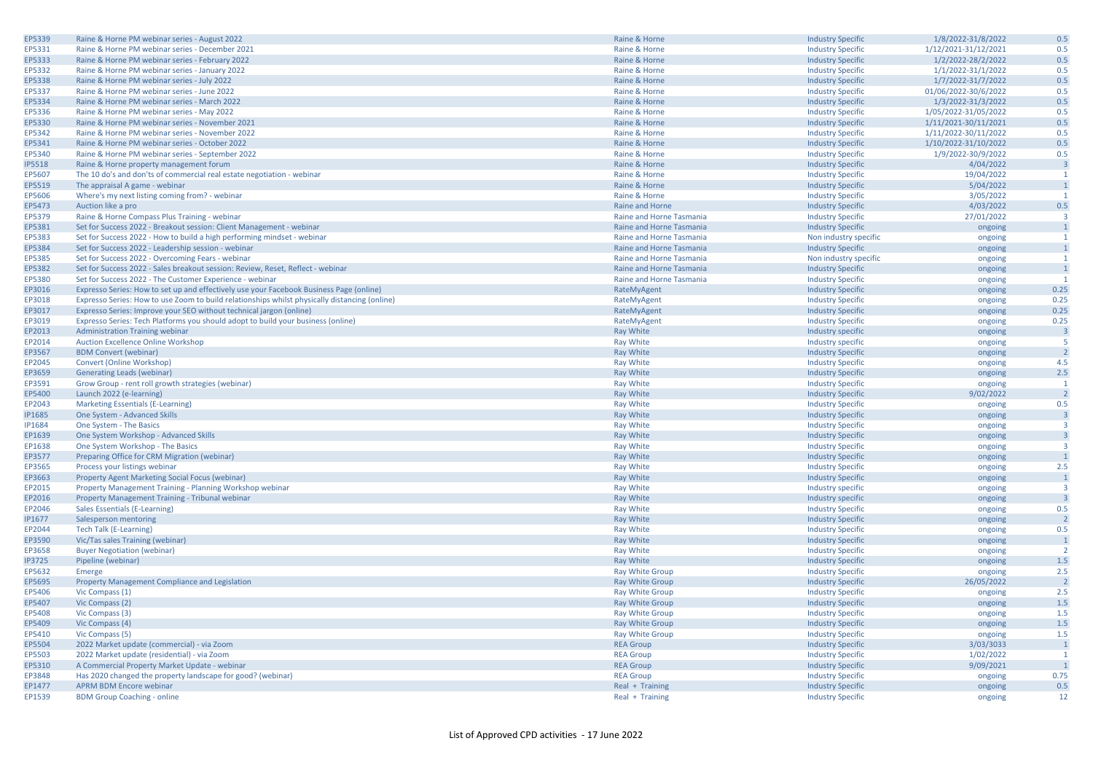| EP5339        | Raine & Horne PM webinar series - August 2022                                                 | Raine & Horne            | <b>Industry Specific</b> | 1/8/2022-31/8/2022   | 0.5                     |
|---------------|-----------------------------------------------------------------------------------------------|--------------------------|--------------------------|----------------------|-------------------------|
| EP5331        | Raine & Horne PM webinar series - December 2021                                               | Raine & Horne            | <b>Industry Specific</b> | 1/12/2021-31/12/2021 | 0.5                     |
| EP5333        | Raine & Horne PM webinar series - February 2022                                               | Raine & Horne            | <b>Industry Specific</b> | 1/2/2022-28/2/2022   | 0.5                     |
| EP5332        | Raine & Horne PM webinar series - January 2022                                                | Raine & Horne            | <b>Industry Specific</b> | 1/1/2022-31/1/2022   | 0.5                     |
|               | Raine & Horne PM webinar series - July 2022                                                   | Raine & Horne            | <b>Industry Specific</b> | 1/7/2022-31/7/2022   | 0.5                     |
| EP5338        |                                                                                               |                          |                          |                      | 0.5                     |
| EP5337        | Raine & Horne PM webinar series - June 2022                                                   | Raine & Horne            | <b>Industry Specific</b> | 01/06/2022-30/6/2022 |                         |
| EP5334        | Raine & Horne PM webinar series - March 2022                                                  | Raine & Horne            | <b>Industry Specific</b> | 1/3/2022-31/3/2022   | 0.5                     |
| EP5336        | Raine & Horne PM webinar series - May 2022                                                    | Raine & Horne            | <b>Industry Specific</b> | 1/05/2022-31/05/2022 | 0.5                     |
| EP5330        | Raine & Horne PM webinar series - November 2021                                               | Raine & Horne            | <b>Industry Specific</b> | 1/11/2021-30/11/2021 | 0.5                     |
| EP5342        | Raine & Horne PM webinar series - November 2022                                               | Raine & Horne            | <b>Industry Specific</b> | 1/11/2022-30/11/2022 | 0.5                     |
| EP5341        | Raine & Horne PM webinar series - October 2022                                                | Raine & Horne            | <b>Industry Specific</b> | 1/10/2022-31/10/2022 | 0.5                     |
| EP5340        | Raine & Horne PM webinar series - September 2022                                              | Raine & Horne            | <b>Industry Specific</b> | 1/9/2022-30/9/2022   | 0.5                     |
| <b>IP5518</b> | Raine & Horne property management forum                                                       | Raine & Horne            | <b>Industry Specific</b> | 4/04/2022            | $\overline{3}$          |
| EP5607        | The 10 do's and don'ts of commercial real estate negotiation - webinar                        | Raine & Horne            | <b>Industry Specific</b> | 19/04/2022           | $\overline{1}$          |
| EP5519        | The appraisal A game - webinar                                                                | Raine & Horne            | <b>Industry Specific</b> | 5/04/2022            |                         |
| EP5606        | Where's my next listing coming from? - webinar                                                | Raine & Horne            | <b>Industry Specific</b> | 3/05/2022            | $\overline{1}$          |
| EP5473        | Auction like a pro                                                                            | Raine and Horne          | <b>Industry Specific</b> | 4/03/2022            | 0.5                     |
| EP5379        | Raine & Horne Compass Plus Training - webinar                                                 | Raine and Horne Tasmania | <b>Industry Specific</b> | 27/01/2022           | $\overline{\mathbf{3}}$ |
| EP5381        | Set for Success 2022 - Breakout session: Client Management - webinar                          | Raine and Horne Tasmania | <b>Industry Specific</b> | ongoing              |                         |
| EP5383        | Set for Success 2022 - How to build a high performing mindset - webinar                       | Raine and Horne Tasmania | Non industry specific    |                      | $\mathbf{1}$            |
|               |                                                                                               |                          |                          | ongoing              | $\mathbf{1}$            |
| EP5384        | Set for Success 2022 - Leadership session - webinar                                           | Raine and Horne Tasmania | <b>Industry Specific</b> | ongoing              |                         |
| EP5385        | Set for Success 2022 - Overcoming Fears - webinar                                             | Raine and Horne Tasmania | Non industry specific    | ongoing              | $\mathbf{1}$            |
| EP5382        | Set for Success 2022 - Sales breakout session: Review, Reset, Reflect - webinar               | Raine and Horne Tasmania | <b>Industry Specific</b> | ongoing              |                         |
| EP5380        | Set for Success 2022 - The Customer Experience - webinar                                      | Raine and Horne Tasmania | <b>Industry Specific</b> | ongoing              | $\overline{1}$          |
| EP3016        | Expresso Series: How to set up and effectively use your Facebook Business Page (online)       | RateMyAgent              | <b>Industry Specific</b> | ongoing              | 0.25                    |
| EP3018        | Expresso Series: How to use Zoom to build relationships whilst physically distancing (online) | RateMyAgent              | <b>Industry Specific</b> | ongoing              | 0.25                    |
| EP3017        | Expresso Series: Improve your SEO without technical jargon (online)                           | RateMyAgent              | <b>Industry Specific</b> | ongoing              | 0.25                    |
| EP3019        | Expresso Series: Tech Platforms you should adopt to build your business (online)              | RateMyAgent              | <b>Industry Specific</b> | ongoing              | 0.25                    |
| EP2013        | <b>Administration Training webinar</b>                                                        | Ray White                | Industry specific        | ongoing              |                         |
| EP2014        | Auction Excellence Online Workshop                                                            | <b>Ray White</b>         | Industry specific        | ongoing              | -5                      |
| EP3567        | <b>BDM Convert (webinar)</b>                                                                  | <b>Ray White</b>         | <b>Industry Specific</b> | ongoing              |                         |
| EP2045        | Convert (Online Workshop)                                                                     | <b>Ray White</b>         | <b>Industry Specific</b> | ongoing              | 4.5                     |
| EP3659        | Generating Leads (webinar)                                                                    | <b>Ray White</b>         | <b>Industry Specific</b> | ongoing              | 2.5                     |
| EP3591        | Grow Group - rent roll growth strategies (webinar)                                            | <b>Ray White</b>         | <b>Industry Specific</b> | ongoing              | $\overline{1}$          |
| EP5400        | Launch 2022 (e-learning)                                                                      | <b>Ray White</b>         | <b>Industry Specific</b> | 9/02/2022            |                         |
| EP2043        | Marketing Essentials (E-Learning)                                                             | <b>Ray White</b>         | <b>Industry Specific</b> | ongoing              | 0.5                     |
| <b>IP1685</b> | One System - Advanced Skills                                                                  | <b>Ray White</b>         | <b>Industry Specific</b> | ongoing              | $\overline{3}$          |
| IP1684        | One System - The Basics                                                                       | <b>Ray White</b>         | <b>Industry Specific</b> | ongoing              | $\overline{\mathbf{3}}$ |
| EP1639        | One System Workshop - Advanced Skills                                                         | <b>Ray White</b>         | <b>Industry Specific</b> | ongoing              |                         |
| EP1638        | One System Workshop - The Basics                                                              | <b>Ray White</b>         | <b>Industry Specific</b> | ongoing              | ્વ                      |
| EP3577        | Preparing Office for CRM Migration (webinar)                                                  | <b>Ray White</b>         | <b>Industry Specific</b> | ongoing              |                         |
|               |                                                                                               |                          |                          |                      | 2.5                     |
| EP3565        | Process your listings webinar                                                                 | <b>Ray White</b>         | <b>Industry Specific</b> | ongoing              |                         |
| EP3663        | Property Agent Marketing Social Focus (webinar)                                               | Ray White                | <b>Industry Specific</b> | ongoing              | $\mathbf{1}$            |
| EP2015        | Property Management Training - Planning Workshop webinar                                      | <b>Ray White</b>         | Industry specific        | ongoing              | $\overline{\mathbf{3}}$ |
| EP2016        | Property Management Training - Tribunal webinar                                               | <b>Ray White</b>         | Industry specific        | ongoing              |                         |
| EP2046        | Sales Essentials (E-Learning)                                                                 | <b>Ray White</b>         | <b>Industry Specific</b> | ongoing              | 0.5                     |
| <b>IP1677</b> | Salesperson mentoring                                                                         | <b>Ray White</b>         | <b>Industry Specific</b> | ongoing              |                         |
| EP2044        | <b>Tech Talk (E-Learning)</b>                                                                 | <b>Ray White</b>         | <b>Industry Specific</b> | ongoing              | 0.5                     |
| EP3590        | Vic/Tas sales Training (webinar)                                                              | <b>Ray White</b>         | <b>Industry Specific</b> | ongoing              |                         |
| EP3658        | <b>Buyer Negotiation (webinar)</b>                                                            | <b>Ray White</b>         | <b>Industry Specific</b> | ongoing              | $\overline{2}$          |
| <b>IP3725</b> | Pipeline (webinar)                                                                            | <b>Ray White</b>         | <b>Industry Specific</b> | ongoing              | 1.5                     |
| EP5632        | Emerge                                                                                        | Ray White Group          | <b>Industry Specific</b> | ongoing              | 2.5                     |
| EP5695        | Property Management Compliance and Legislation                                                | <b>Ray White Group</b>   | <b>Industry Specific</b> | 26/05/2022           | $\overline{2}$          |
| EP5406        | Vic Compass (1)                                                                               | <b>Ray White Group</b>   | <b>Industry Specific</b> | ongoing              | 2.5                     |
| EP5407        | Vic Compass (2)                                                                               | Ray White Group          | <b>Industry Specific</b> | ongoing              | 1.5                     |
| EP5408        | Vic Compass (3)                                                                               | <b>Ray White Group</b>   | <b>Industry Specific</b> | ongoing              | 1.5                     |
| EP5409        | Vic Compass (4)                                                                               | <b>Ray White Group</b>   | <b>Industry Specific</b> | ongoing              | 1.5                     |
| EP5410        | Vic Compass (5)                                                                               | <b>Ray White Group</b>   | <b>Industry Specific</b> | ongoing              | 1.5                     |
| EP5504        | 2022 Market update (commercial) - via Zoom                                                    | <b>REA Group</b>         | <b>Industry Specific</b> | 3/03/3033            |                         |
| EP5503        | 2022 Market update (residential) - via Zoom                                                   | <b>REA Group</b>         | <b>Industry Specific</b> | 1/02/2022            | $\overline{1}$          |
| EP5310        | A Commercial Property Market Update - webinar                                                 | <b>REA Group</b>         | <b>Industry Specific</b> | 9/09/2021            |                         |
| EP3848        | Has 2020 changed the property landscape for good? (webinar)                                   | <b>REA Group</b>         | <b>Industry Specific</b> | ongoing              | 0.75                    |
| EP1477        | <b>APRM BDM Encore webinar</b>                                                                | Real + Training          | <b>Industry Specific</b> | ongoing              | 0.5                     |
| EP1539        | <b>BDM Group Coaching - online</b>                                                            | Real + Training          | <b>Industry Specific</b> | ongoing              | 12                      |
|               |                                                                                               |                          |                          |                      |                         |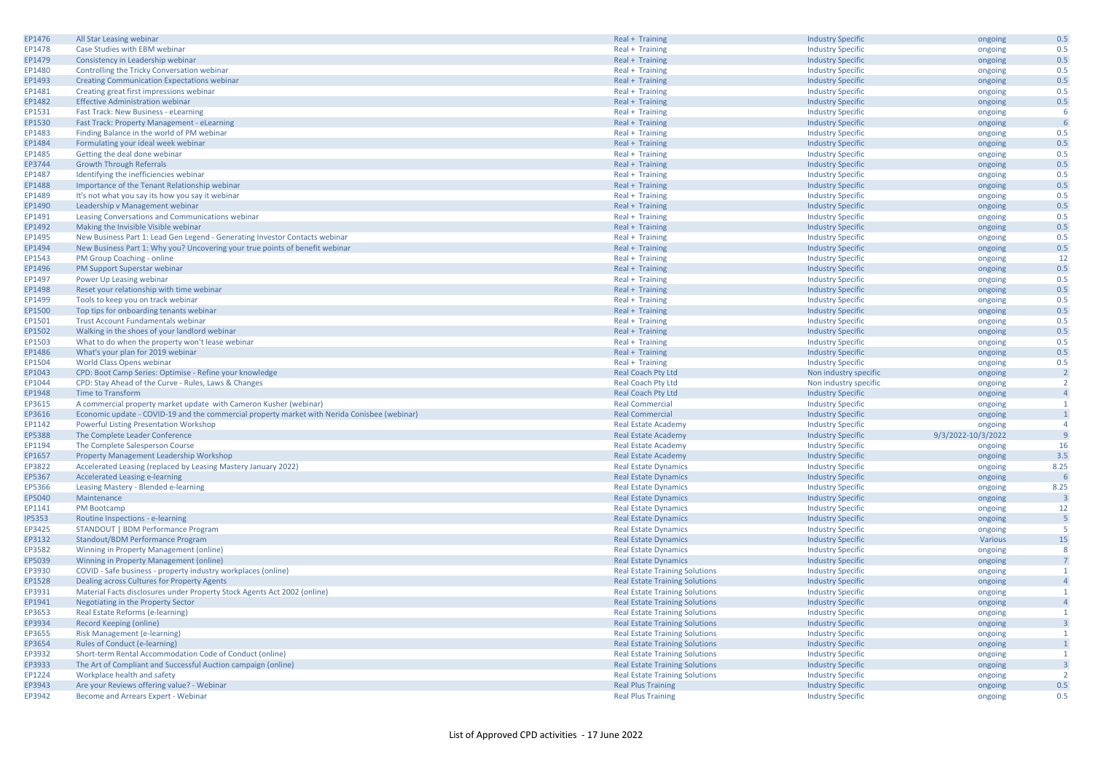| EP1476        | All Star Leasing webinar                                                                     | Real + Training                       | <b>Industry Specific</b> | ongoing            | 0.5                     |
|---------------|----------------------------------------------------------------------------------------------|---------------------------------------|--------------------------|--------------------|-------------------------|
| EP1478        | Case Studies with EBM webinar                                                                | Real + Training                       | <b>Industry Specific</b> | ongoing            | 0.5                     |
| EP1479        | Consistency in Leadership webinar                                                            | Real + Training                       | <b>Industry Specific</b> | ongoing            | 0.5                     |
| EP1480        | Controlling the Tricky Conversation webinar                                                  | Real + Training                       | <b>Industry Specific</b> | ongoing            | 0.5                     |
| EP1493        | <b>Creating Communication Expectations webinar</b>                                           | Real + Training                       | <b>Industry Specific</b> | ongoing            | 0.5                     |
| EP1481        | Creating great first impressions webinar                                                     |                                       |                          | ongoing            | 0.5                     |
|               |                                                                                              | Real + Training                       | <b>Industry Specific</b> |                    |                         |
| EP1482        | <b>Effective Administration webinar</b>                                                      | Real + Training                       | <b>Industry Specific</b> | ongoing            | 0.5                     |
| EP1531        | Fast Track: New Business - eLearning                                                         | Real + Training                       | <b>Industry Specific</b> | ongoing            | -6                      |
| EP1530        | Fast Track: Property Management - eLearning                                                  | Real + Training                       | <b>Industry Specific</b> | ongoing            |                         |
| EP1483        | Finding Balance in the world of PM webinar                                                   | Real + Training                       | <b>Industry Specific</b> | ongoing            | 0.5                     |
| EP1484        | Formulating your ideal week webinar                                                          | Real + Training                       | <b>Industry Specific</b> | ongoing            | 0.5                     |
| EP1485        | Getting the deal done webinar                                                                | Real + Training                       | <b>Industry Specific</b> | ongoing            | 0.5                     |
| EP3744        | <b>Growth Through Referrals</b>                                                              | Real + Training                       | <b>Industry Specific</b> | ongoing            | 0.5                     |
| EP1487        | Identifying the inefficiencies webinar                                                       | Real + Training                       | <b>Industry Specific</b> | ongoing            | 0.5                     |
| EP1488        | Importance of the Tenant Relationship webinar                                                | Real + Training                       | <b>Industry Specific</b> | ongoing            | 0.5                     |
| EP1489        | It's not what you say its how you say it webinar                                             | Real + Training                       | <b>Industry Specific</b> | ongoing            | 0.5                     |
| EP1490        | Leadership v Management webinar                                                              | Real + Training                       | <b>Industry Specific</b> | ongoing            | 0.5                     |
| EP1491        | Leasing Conversations and Communications webinar                                             | Real + Training                       | <b>Industry Specific</b> | ongoing            | 0.5                     |
| EP1492        | Making the Invisible Visible webinar                                                         | Real + Training                       | <b>Industry Specific</b> | ongoing            | 0.5                     |
| EP1495        | New Business Part 1: Lead Gen Legend - Generating Investor Contacts webinar                  | Real + Training                       | <b>Industry Specific</b> | ongoing            | 0.5                     |
| EP1494        | New Business Part 1: Why you? Uncovering your true points of benefit webinar                 | Real + Training                       | <b>Industry Specific</b> | ongoing            | 0.5                     |
| EP1543        | PM Group Coaching - online                                                                   | Real + Training                       | <b>Industry Specific</b> | ongoing            | 12                      |
| EP1496        |                                                                                              |                                       |                          |                    | 0.5                     |
|               | PM Support Superstar webinar                                                                 | Real + Training                       | <b>Industry Specific</b> | ongoing            |                         |
| EP1497        | Power Up Leasing webinar                                                                     | Real + Training                       | <b>Industry Specific</b> | ongoing            | 0.5                     |
| EP1498        | Reset your relationship with time webinar                                                    | Real + Training                       | <b>Industry Specific</b> | ongoing            | 0.5                     |
| EP1499        | Tools to keep you on track webinar                                                           | Real + Training                       | <b>Industry Specific</b> | ongoing            | 0.5                     |
| EP1500        | Top tips for onboarding tenants webinar                                                      | Real + Training                       | <b>Industry Specific</b> | ongoing            | 0.5                     |
| EP1501        | <b>Trust Account Fundamentals webinar</b>                                                    | Real + Training                       | <b>Industry Specific</b> | ongoing            | 0.5                     |
| EP1502        | Walking in the shoes of your landlord webinar                                                | Real + Training                       | <b>Industry Specific</b> | ongoing            | 0.5                     |
| EP1503        | What to do when the property won't lease webinar                                             | Real + Training                       | <b>Industry Specific</b> | ongoing            | 0.5                     |
| EP1486        | What's your plan for 2019 webinar                                                            | Real + Training                       | <b>Industry Specific</b> | ongoing            | 0.5                     |
| EP1504        | <b>World Class Opens webinar</b>                                                             | Real + Training                       | <b>Industry Specific</b> | ongoing            | 0.5                     |
| EP1043        | CPD: Boot Camp Series: Optimise - Refine your knowledge                                      | <b>Real Coach Pty Ltd</b>             | Non industry specific    | ongoing            | $\overline{2}$          |
| EP1044        | CPD: Stay Ahead of the Curve - Rules, Laws & Changes                                         | <b>Real Coach Pty Ltd</b>             | Non industry specific    | ongoing            | $\overline{2}$          |
| EP1948        | Time to Transform                                                                            | Real Coach Pty Ltd                    | <b>Industry Specific</b> | ongoing            | $\overline{4}$          |
| EP3615        | A commercial property market update with Cameron Kusher (webinar)                            | <b>Real Commercial</b>                | <b>Industry Specific</b> | ongoing            | $\overline{1}$          |
| EP3616        | Economic update - COVID-19 and the commercial property market with Nerida Conisbee (webinar) | <b>Real Commercial</b>                | <b>Industry Specific</b> | ongoing            |                         |
| EP1142        | <b>Powerful Listing Presentation Workshop</b>                                                | <b>Real Estate Academy</b>            | <b>Industry Specific</b> | ongoing            | $\overline{4}$          |
| EP5388        | The Complete Leader Conference                                                               | <b>Real Estate Academy</b>            | <b>Industry Specific</b> | 9/3/2022-10/3/2022 |                         |
| EP1194        | The Complete Salesperson Course                                                              | <b>Real Estate Academy</b>            | <b>Industry Specific</b> | ongoing            | 16                      |
| EP1657        | Property Management Leadership Workshop                                                      | <b>Real Estate Academy</b>            | <b>Industry Specific</b> | ongoing            | 3.5                     |
| EP3822        | Accelerated Leasing (replaced by Leasing Mastery January 2022)                               | <b>Real Estate Dynamics</b>           | <b>Industry Specific</b> | ongoing            | 8.25                    |
| EP5367        | Accelerated Leasing e-learning                                                               | <b>Real Estate Dynamics</b>           | <b>Industry Specific</b> | ongoing            |                         |
| EP5366        | Leasing Mastery - Blended e-learning                                                         | <b>Real Estate Dynamics</b>           | <b>Industry Specific</b> | ongoing            | 8.25                    |
| EP5040        | Maintenance                                                                                  | <b>Real Estate Dynamics</b>           | <b>Industry Specific</b> | ongoing            |                         |
| EP1141        | PM Bootcamp                                                                                  | <b>Real Estate Dynamics</b>           | <b>Industry Specific</b> | ongoing            | 12                      |
|               |                                                                                              |                                       |                          |                    | -5                      |
| <b>IP5353</b> | Routine Inspections - e-learning                                                             | <b>Real Estate Dynamics</b>           | <b>Industry Specific</b> | ongoing            | -5                      |
| EP3425        | STANDOUT   BDM Performance Program                                                           | <b>Real Estate Dynamics</b>           | <b>Industry Specific</b> | ongoing            |                         |
| EP3132        | Standout/BDM Performance Program                                                             | <b>Real Estate Dynamics</b>           | <b>Industry Specific</b> | Various            | 15                      |
| EP3582        | Winning in Property Management (online)                                                      | <b>Real Estate Dynamics</b>           | <b>Industry Specific</b> | ongoing            | -8                      |
| EP5039        | Winning in Property Management (online)                                                      | <b>Real Estate Dynamics</b>           | <b>Industry Specific</b> | ongoing            |                         |
| EP3930        | COVID - Safe business - property industry workplaces (online)                                | <b>Real Estate Training Solutions</b> | <b>Industry Specific</b> | ongoing            | $\overline{1}$          |
| EP1528        | Dealing across Cultures for Property Agents                                                  | <b>Real Estate Training Solutions</b> | <b>Industry Specific</b> | ongoing            | $\overline{A}$          |
| EP3931        | Material Facts disclosures under Property Stock Agents Act 2002 (online)                     | <b>Real Estate Training Solutions</b> | <b>Industry Specific</b> | ongoing            | -1                      |
| EP1941        | Negotiating in the Property Sector                                                           | <b>Real Estate Training Solutions</b> | <b>Industry Specific</b> | ongoing            | $\overline{4}$          |
| EP3653        | Real Estate Reforms (e-learning)                                                             | <b>Real Estate Training Solutions</b> | <b>Industry Specific</b> | ongoing            |                         |
| EP3934        | Record Keeping (online)                                                                      | <b>Real Estate Training Solutions</b> | <b>Industry Specific</b> | ongoing            |                         |
| EP3655        | <b>Risk Management (e-learning)</b>                                                          | <b>Real Estate Training Solutions</b> | <b>Industry Specific</b> | ongoing            | -1                      |
| EP3654        | Rules of Conduct (e-learning)                                                                | <b>Real Estate Training Solutions</b> | <b>Industry Specific</b> | ongoing            |                         |
| EP3932        | Short-term Rental Accommodation Code of Conduct (online)                                     | <b>Real Estate Training Solutions</b> | <b>Industry Specific</b> | ongoing            | -1                      |
| EP3933        | The Art of Compliant and Successful Auction campaign (online)                                | <b>Real Estate Training Solutions</b> | <b>Industry Specific</b> | ongoing            | $\overline{\mathbf{3}}$ |
| EP1224        |                                                                                              |                                       |                          |                    |                         |
|               | Workplace health and safety                                                                  | <b>Real Estate Training Solutions</b> | <b>Industry Specific</b> | ongoing            |                         |
| EP3943        | Are your Reviews offering value? - Webinar                                                   | <b>Real Plus Training</b>             | <b>Industry Specific</b> | ongoing            | 0.5                     |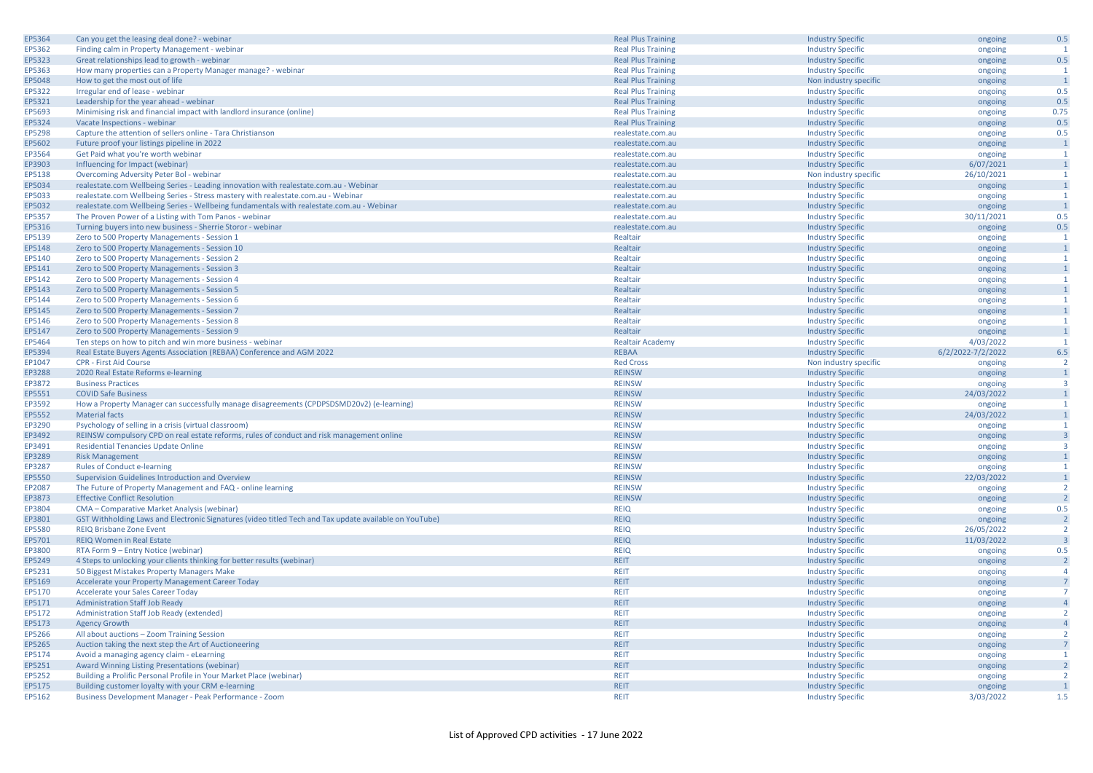| EP5364 | Can you get the leasing deal done? - webinar                                                           | <b>Real Plus Training</b> | <b>Industry Specific</b> | ongoing               | 0.5                     |
|--------|--------------------------------------------------------------------------------------------------------|---------------------------|--------------------------|-----------------------|-------------------------|
| EP5362 | Finding calm in Property Management - webinar                                                          | <b>Real Plus Training</b> | <b>Industry Specific</b> | ongoing               | $\mathbf{1}$            |
| EP5323 | Great relationships lead to growth - webinar                                                           | <b>Real Plus Training</b> | <b>Industry Specific</b> | ongoing               | 0.5                     |
| EP5363 | How many properties can a Property Manager manage? - webinar                                           | <b>Real Plus Training</b> | <b>Industry Specific</b> | ongoing               | $\mathbf{1}$            |
| EP5048 | How to get the most out of life                                                                        | <b>Real Plus Training</b> | Non industry specific    | ongoing               | $\overline{1}$          |
| EP5322 | Irregular end of lease - webinar                                                                       | <b>Real Plus Training</b> | <b>Industry Specific</b> | ongoing               | 0.5                     |
|        |                                                                                                        |                           |                          |                       |                         |
| EP5321 | Leadership for the year ahead - webinar                                                                | <b>Real Plus Training</b> | <b>Industry Specific</b> | ongoing               | 0.5                     |
| EP5693 | Minimising risk and financial impact with landlord insurance (online)                                  | <b>Real Plus Training</b> | <b>Industry Specific</b> | ongoing               | 0.75                    |
| EP5324 | Vacate Inspections - webinar                                                                           | <b>Real Plus Training</b> | <b>Industry Specific</b> | ongoing               | 0.5                     |
| EP5298 | Capture the attention of sellers online - Tara Christianson                                            | realestate.com.au         | <b>Industry Specific</b> | ongoing               | 0.5                     |
| EP5602 | Future proof your listings pipeline in 2022                                                            | realestate.com.au         | <b>Industry Specific</b> | ongoing               | $\overline{1}$          |
| EP3564 | Get Paid what you're worth webinar                                                                     | realestate.com.au         | <b>Industry Specific</b> | ongoing               | $\mathbf{1}$            |
| EP3903 | Influencing for Impact (webinar)                                                                       | realestate.com.au         | <b>Industry Specific</b> | 6/07/2021             | $\mathbf{1}$            |
| EP5138 | Overcoming Adversity Peter Bol - webinar                                                               | realestate.com.au         | Non industry specific    | 26/10/2021            | 1                       |
| EP5034 | realestate.com Wellbeing Series - Leading innovation with realestate.com.au - Webinar                  | realestate.com.au         | <b>Industry Specific</b> | ongoing               | $\overline{1}$          |
| EP5033 | realestate.com Wellbeing Series - Stress mastery with realestate.com.au - Webinar                      | realestate.com.au         | <b>Industry Specific</b> | ongoing               | $\overline{1}$          |
| EP5032 | realestate.com Wellbeing Series - Wellbeing fundamentals with realestate.com.au - Webinar              | realestate.com.au         | <b>Industry Specific</b> | ongoing               | $\mathbf{1}$            |
| EP5357 | The Proven Power of a Listing with Tom Panos - webinar                                                 | realestate.com.au         | <b>Industry Specific</b> | 30/11/2021            | 0.5                     |
| EP5316 | Turning buyers into new business - Sherrie Storor - webinar                                            | realestate.com.au         | <b>Industry Specific</b> | ongoing               | 0.5                     |
| EP5139 |                                                                                                        | Realtair                  |                          |                       | $\mathbf{1}$            |
|        | Zero to 500 Property Managements - Session 1                                                           |                           | <b>Industry Specific</b> | ongoing               | $\overline{1}$          |
| EP5148 | Zero to 500 Property Managements - Session 10                                                          | Realtair                  | <b>Industry Specific</b> | ongoing               |                         |
| EP5140 | Zero to 500 Property Managements - Session 2                                                           | Realtair                  | <b>Industry Specific</b> | ongoing               | $\mathbf{1}$            |
| EP5141 | Zero to 500 Property Managements - Session 3                                                           | Realtair                  | <b>Industry Specific</b> | ongoing               | $\boxed{1}$             |
| EP5142 | Zero to 500 Property Managements - Session 4                                                           | Realtair                  | <b>Industry Specific</b> | ongoing               | $\mathbf{1}$            |
| EP5143 | Zero to 500 Property Managements - Session 5                                                           | Realtair                  | <b>Industry Specific</b> | ongoing               | $\mathbf{1}$            |
| EP5144 | Zero to 500 Property Managements - Session 6                                                           | Realtair                  | <b>Industry Specific</b> | ongoing               | $\mathbf{1}$            |
| EP5145 | Zero to 500 Property Managements - Session 7                                                           | Realtair                  | <b>Industry Specific</b> | ongoing               | $\overline{1}$          |
| EP5146 | Zero to 500 Property Managements - Session 8                                                           | Realtair                  | <b>Industry Specific</b> | ongoing               | $\mathbf{1}$            |
| EP5147 | Zero to 500 Property Managements - Session 9                                                           | Realtair                  | <b>Industry Specific</b> | ongoing               | $\mathbf{1}$            |
| EP5464 | Ten steps on how to pitch and win more business - webinar                                              | <b>Realtair Academy</b>   | <b>Industry Specific</b> | 4/03/2022             | $\mathbf{1}$            |
| EP5394 | Real Estate Buyers Agents Association (REBAA) Conference and AGM 2022                                  | <b>REBAA</b>              | <b>Industry Specific</b> | 6/2/2022-7/2/2022     | 6.5                     |
| EP1047 | <b>CPR - First Aid Course</b>                                                                          | <b>Red Cross</b>          | Non industry specific    | ongoing               | $\overline{2}$          |
| EP3288 | 2020 Real Estate Reforms e-learning                                                                    | <b>REINSW</b>             | <b>Industry Specific</b> | ongoing               | $\overline{1}$          |
| EP3872 | <b>Business Practices</b>                                                                              | <b>REINSW</b>             | <b>Industry Specific</b> | ongoing               | $\overline{\mathbf{3}}$ |
| EP5551 | <b>COVID Safe Business</b>                                                                             | <b>REINSW</b>             | <b>Industry Specific</b> | 24/03/2022            | $\mathbf{1}$            |
| EP3592 | How a Property Manager can successfully manage disagreements (CPDPSDSMD20v2) (e-learning)              | <b>REINSW</b>             | <b>Industry Specific</b> | ongoing               | 1                       |
| EP5552 | <b>Material facts</b>                                                                                  | <b>REINSW</b>             | <b>Industry Specific</b> | 24/03/2022            | $\mathbf{1}$            |
| EP3290 | Psychology of selling in a crisis (virtual classroom)                                                  | <b>REINSW</b>             | <b>Industry Specific</b> | ongoing               | $\overline{1}$          |
| EP3492 | REINSW compulsory CPD on real estate reforms, rules of conduct and risk management online              | <b>REINSW</b>             | <b>Industry Specific</b> | ongoing               | $\overline{\mathbf{3}}$ |
| EP3491 | <b>Residential Tenancies Update Online</b>                                                             | <b>REINSW</b>             | <b>Industry Specific</b> | ongoing               | $\overline{3}$          |
| EP3289 | <b>Risk Management</b>                                                                                 | <b>REINSW</b>             | <b>Industry Specific</b> | ongoing               | $\mathbf{1}$            |
| EP3287 | <b>Rules of Conduct e-learning</b>                                                                     | <b>REINSW</b>             | <b>Industry Specific</b> |                       | 1                       |
| EP5550 | Supervision Guidelines Introduction and Overview                                                       | <b>REINSW</b>             |                          | ongoing<br>22/03/2022 | $\mathbf{1}$            |
|        |                                                                                                        |                           | <b>Industry Specific</b> |                       | $\overline{2}$          |
| EP2087 | The Future of Property Management and FAQ - online learning                                            | <b>REINSW</b>             | <b>Industry Specific</b> | ongoing               | $\overline{2}$          |
| EP3873 | <b>Effective Conflict Resolution</b>                                                                   | <b>REINSW</b>             | <b>Industry Specific</b> | ongoing               |                         |
| EP3804 | CMA - Comparative Market Analysis (webinar)                                                            | <b>REIQ</b>               | <b>Industry Specific</b> | ongoing               | 0.5                     |
| EP3801 | GST Withholding Laws and Electronic Signatures (video titled Tech and Tax update available on YouTube) | <b>REIQ</b>               | <b>Industry Specific</b> | ongoing               | $\overline{2}$          |
| EP5580 | <b>REIQ Brisbane Zone Event</b>                                                                        | <b>REIQ</b>               | <b>Industry Specific</b> | 26/05/2022            | $\overline{2}$          |
| EP5701 | REIQ Women in Real Estate                                                                              | <b>REIQ</b>               | <b>Industry Specific</b> | 11/03/2022            | $\overline{\mathbf{3}}$ |
| EP3800 | RTA Form 9 - Entry Notice (webinar)                                                                    | <b>REIQ</b>               | <b>Industry Specific</b> | ongoing               | 0.5                     |
| EP5249 | 4 Steps to unlocking your clients thinking for better results (webinar)                                | <b>REIT</b>               | <b>Industry Specific</b> | ongoing               | $\overline{2}$          |
| EP5231 | 50 Biggest Mistakes Property Managers Make                                                             | <b>REIT</b>               | <b>Industry Specific</b> | ongoing               | $\overline{4}$          |
| EP5169 | Accelerate your Property Management Career Today                                                       | <b>REIT</b>               | <b>Industry Specific</b> | ongoing               | $\overline{7}$          |
| EP5170 | Accelerate your Sales Career Today                                                                     | <b>REIT</b>               | <b>Industry Specific</b> | ongoing               | $\overline{7}$          |
| EP5171 | <b>Administration Staff Job Ready</b>                                                                  | <b>REIT</b>               | <b>Industry Specific</b> | ongoing               | $\overline{4}$          |
| EP5172 | Administration Staff Job Ready (extended)                                                              | <b>REIT</b>               | <b>Industry Specific</b> | ongoing               | $\overline{2}$          |
| EP5173 | <b>Agency Growth</b>                                                                                   | <b>REIT</b>               | <b>Industry Specific</b> | ongoing               | $\overline{4}$          |
| EP5266 | All about auctions - Zoom Training Session                                                             | <b>REIT</b>               | <b>Industry Specific</b> | ongoing               | $\overline{2}$          |
| EP5265 | Auction taking the next step the Art of Auctioneering                                                  | <b>REIT</b>               | <b>Industry Specific</b> | ongoing               | $\overline{7}$          |
| EP5174 | Avoid a managing agency claim - eLearning                                                              | <b>REIT</b>               | <b>Industry Specific</b> | ongoing               | 1                       |
| EP5251 | Award Winning Listing Presentations (webinar)                                                          | <b>REIT</b>               | <b>Industry Specific</b> | ongoing               | $\overline{2}$          |
| EP5252 | Building a Prolific Personal Profile in Your Market Place (webinar)                                    | <b>REIT</b>               | <b>Industry Specific</b> | ongoing               | $\overline{2}$          |
| EP5175 | Building customer loyalty with your CRM e-learning                                                     | <b>REIT</b>               | <b>Industry Specific</b> | ongoing               | $\overline{1}$          |
| EP5162 | Business Development Manager - Peak Performance - Zoom                                                 | <b>REIT</b>               | <b>Industry Specific</b> | 3/03/2022             | 1.5                     |
|        |                                                                                                        |                           |                          |                       |                         |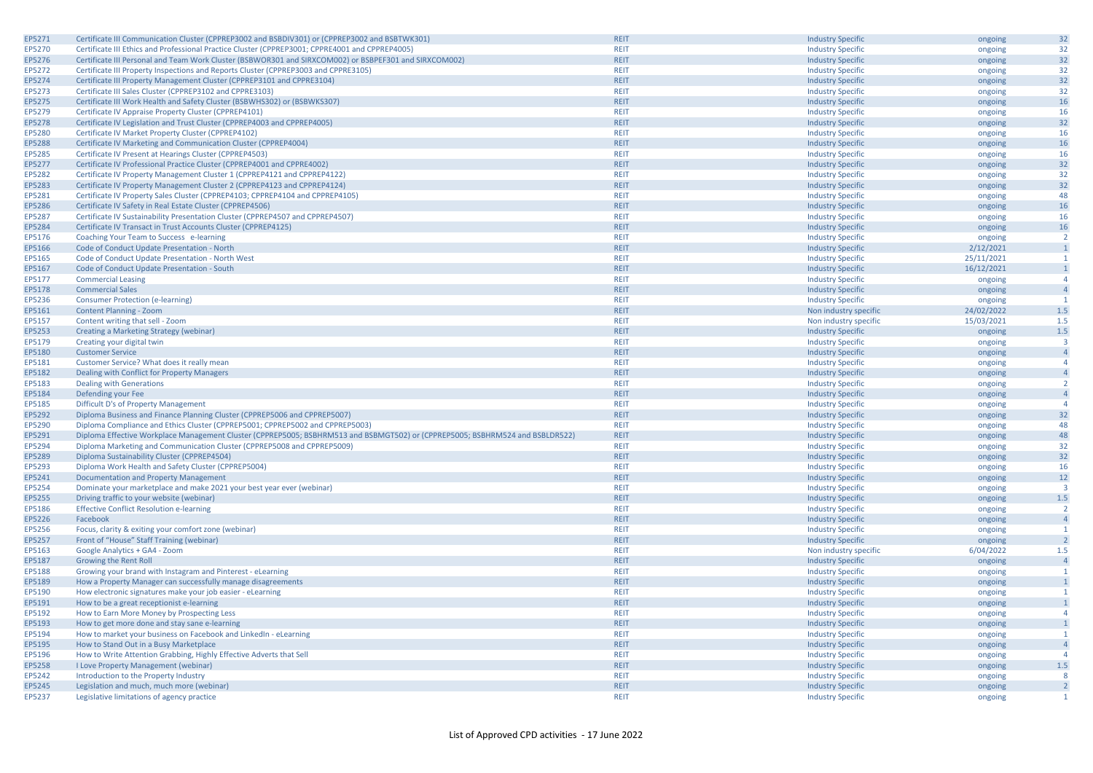| EP5271        | Certificate III Communication Cluster (CPPREP3002 and BSBDIV301) or (CPPREP3002 and BSBTWK301)                                | <b>REIT</b> | <b>Industry Specific</b> | ongoing            | 32                      |
|---------------|-------------------------------------------------------------------------------------------------------------------------------|-------------|--------------------------|--------------------|-------------------------|
| EP5270        | Certificate III Ethics and Professional Practice Cluster (CPPREP3001; CPPRE4001 and CPPREP4005)                               | <b>REIT</b> | <b>Industry Specific</b> | ongoing            | 32                      |
| EP5276        | Certificate III Personal and Team Work Cluster (BSBWOR301 and SIRXCOM002) or BSBPEF301 and SIRXCOM002)                        | <b>REIT</b> | <b>Industry Specific</b> | ongoing            | 32                      |
| EP5272        | Certificate III Property Inspections and Reports Cluster (CPPREP3003 and CPPRE3105)                                           | <b>REIT</b> | <b>Industry Specific</b> | ongoing            | 32                      |
| EP5274        | Certificate III Property Management Cluster (CPPREP3101 and CPPRE3104)                                                        | <b>REIT</b> | <b>Industry Specific</b> | ongoing            | 32                      |
| EP5273        | Certificate III Sales Cluster (CPPREP3102 and CPPRE3103)                                                                      | <b>REIT</b> | <b>Industry Specific</b> | ongoing            | 32                      |
| EP5275        | Certificate III Work Health and Safety Cluster (BSBWHS302) or (BSBWKS307)                                                     | <b>REIT</b> | <b>Industry Specific</b> | ongoing            | 16                      |
| EP5279        | Certificate IV Appraise Property Cluster (CPPREP4101)                                                                         | <b>REIT</b> | <b>Industry Specific</b> | ongoing            | 16                      |
| EP5278        | Certificate IV Legislation and Trust Cluster (CPPREP4003 and CPPREP4005)                                                      | <b>REIT</b> | <b>Industry Specific</b> | ongoing            | 32                      |
| EP5280        | Certificate IV Market Property Cluster (CPPREP4102)                                                                           | <b>REIT</b> | <b>Industry Specific</b> | ongoing            | 16                      |
| <b>EP5288</b> | Certificate IV Marketing and Communication Cluster (CPPREP4004)                                                               | <b>REIT</b> | <b>Industry Specific</b> | ongoing            | 16                      |
| EP5285        | Certificate IV Present at Hearings Cluster (CPPREP4503)                                                                       | <b>REIT</b> | <b>Industry Specific</b> | ongoing            | 16                      |
| EP5277        | Certificate IV Professional Practice Cluster (CPPREP4001 and CPPRE4002)                                                       | <b>REIT</b> | <b>Industry Specific</b> | ongoing            | 32                      |
| EP5282        | Certificate IV Property Management Cluster 1 (CPPREP4121 and CPPREP4122)                                                      | <b>REIT</b> | <b>Industry Specific</b> | ongoing            | 32                      |
| EP5283        | Certificate IV Property Management Cluster 2 (CPPREP4123 and CPPREP4124)                                                      | <b>REIT</b> | <b>Industry Specific</b> | ongoing            | 32                      |
| EP5281        | Certificate IV Property Sales Cluster (CPPREP4103; CPPREP4104 and CPPREP4105)                                                 | <b>REIT</b> | <b>Industry Specific</b> | ongoing            | 48                      |
| EP5286        | Certificate IV Safety in Real Estate Cluster (CPPREP4506)                                                                     | <b>REIT</b> |                          |                    | 16                      |
| EP5287        |                                                                                                                               | <b>REIT</b> | <b>Industry Specific</b> | ongoing            | 16                      |
| EP5284        | Certificate IV Sustainability Presentation Cluster (CPPREP4507 and CPPREP4507)                                                | <b>REIT</b> | <b>Industry Specific</b> | ongoing            |                         |
|               | Certificate IV Transact in Trust Accounts Cluster (CPPREP4125)                                                                |             | <b>Industry Specific</b> | ongoing            | 16                      |
| EP5176        | Coaching Your Team to Success e-learning                                                                                      | <b>REIT</b> | <b>Industry Specific</b> | ongoing            | $\overline{2}$          |
| EP5166        | Code of Conduct Update Presentation - North                                                                                   | <b>REIT</b> | <b>Industry Specific</b> | 2/12/2021          | $\overline{1}$          |
| EP5165        | Code of Conduct Update Presentation - North West                                                                              | <b>REIT</b> | <b>Industry Specific</b> | 25/11/2021         | $\mathbf{1}$            |
| EP5167        | Code of Conduct Update Presentation - South                                                                                   | <b>REIT</b> | <b>Industry Specific</b> | 16/12/2021         | $\mathbf{1}$            |
| EP5177        | <b>Commercial Leasing</b>                                                                                                     | <b>REIT</b> | <b>Industry Specific</b> | ongoing            | $\overline{4}$          |
| EP5178        | <b>Commercial Sales</b>                                                                                                       | <b>REIT</b> | <b>Industry Specific</b> | ongoing            | $\overline{4}$          |
| EP5236        | <b>Consumer Protection (e-learning)</b>                                                                                       | <b>REIT</b> | <b>Industry Specific</b> | ongoing            | $\mathbf{1}$            |
| EP5161        | Content Planning - Zoom                                                                                                       | <b>REIT</b> | Non industry specific    | 24/02/2022         | $1.5$                   |
| EP5157        | Content writing that sell - Zoom                                                                                              | <b>REIT</b> | Non industry specific    | 15/03/2021         | 1.5                     |
| EP5253        | Creating a Marketing Strategy (webinar)                                                                                       | <b>REIT</b> | <b>Industry Specific</b> | ongoing            | 1.5                     |
| EP5179        | Creating your digital twin                                                                                                    | <b>REIT</b> | <b>Industry Specific</b> | ongoing            | $\overline{3}$          |
| EP5180        | <b>Customer Service</b>                                                                                                       | <b>REIT</b> | <b>Industry Specific</b> | ongoing            | $\overline{4}$          |
| EP5181        | Customer Service? What does it really mean                                                                                    | <b>REIT</b> | <b>Industry Specific</b> | ongoing            | $\overline{4}$          |
| EP5182        | Dealing with Conflict for Property Managers                                                                                   | <b>REIT</b> | <b>Industry Specific</b> | ongoing            | $\overline{4}$          |
| EP5183        | <b>Dealing with Generations</b>                                                                                               | <b>REIT</b> | <b>Industry Specific</b> | ongoing            | $\overline{2}$          |
| EP5184        | Defending your Fee                                                                                                            | <b>REIT</b> | <b>Industry Specific</b> | ongoing            | $\overline{4}$          |
| EP5185        | Difficult D's of Property Management                                                                                          | <b>REIT</b> | <b>Industry Specific</b> | ongoing            | $\overline{4}$          |
| EP5292        | Diploma Business and Finance Planning Cluster (CPPREP5006 and CPPREP5007)                                                     | <b>REIT</b> | <b>Industry Specific</b> | ongoing            | 32                      |
| EP5290        | Diploma Compliance and Ethics Cluster (CPPREP5001; CPPREP5002 and CPPREP5003)                                                 | <b>REIT</b> | <b>Industry Specific</b> | ongoing            | 48                      |
| EP5291        | Diploma Effective Workplace Management Cluster (CPPREP5005; BSBHRM513 and BSBMGT502) or (CPPREP5005; BSBHRM524 and BSBLDR522) | <b>REIT</b> | <b>Industry Specific</b> | ongoing            | 48                      |
| EP5294        | Diploma Marketing and Communication Cluster (CPPREP5008 and CPPREP5009)                                                       | <b>REIT</b> | <b>Industry Specific</b> | ongoing            | 32                      |
| EP5289        | Diploma Sustainability Cluster (CPPREP4504)                                                                                   | <b>REIT</b> | <b>Industry Specific</b> | ongoing            | 32                      |
| EP5293        | Diploma Work Health and Safety Cluster (CPPREP5004)                                                                           | <b>REIT</b> | <b>Industry Specific</b> | ongoing            | 16                      |
| EP5241        | Documentation and Property Management                                                                                         | <b>REIT</b> | <b>Industry Specific</b> | ongoing            | 12                      |
| EP5254        | Dominate your marketplace and make 2021 your best year ever (webinar)                                                         | <b>REIT</b> | <b>Industry Specific</b> | ongoing            | $\overline{\mathbf{3}}$ |
| EP5255        | Driving traffic to your website (webinar)                                                                                     | <b>REIT</b> | <b>Industry Specific</b> | ongoing            | $1.5\,$                 |
| EP5186        | <b>Effective Conflict Resolution e-learning</b>                                                                               | <b>REIT</b> | <b>Industry Specific</b> | ongoing            | $\overline{2}$          |
| EP5226        | Facebook                                                                                                                      | <b>REIT</b> | <b>Industry Specific</b> | ongoing            | $\overline{4}$          |
| EP5256        | Focus, clarity & exiting your comfort zone (webinar)                                                                          | <b>REIT</b> | <b>Industry Specific</b> | ongoing            | -1                      |
| EP5257        | Front of "House" Staff Training (webinar)                                                                                     | <b>REIT</b> | <b>Industry Specific</b> | ongoing            | $\overline{2}$          |
| EP5163        | Google Analytics + GA4 - Zoom                                                                                                 | <b>REIT</b> | Non industry specific    | 6/04/2022          | 1.5                     |
| EP5187        | <b>Growing the Rent Roll</b>                                                                                                  | <b>REIT</b> | <b>Industry Specific</b> | ongoing            | $\overline{4}$          |
| EP5188        | Growing your brand with Instagram and Pinterest - eLearning                                                                   | <b>REIT</b> | <b>Industry Specific</b> | ongoing            | -1                      |
| EP5189        | How a Property Manager can successfully manage disagreements                                                                  | <b>REIT</b> | <b>Industry Specific</b> |                    | $\mathbf{1}$            |
| EP5190        | How electronic signatures make your job easier - eLearning                                                                    | <b>REIT</b> | <b>Industry Specific</b> | ongoing<br>ongoing | -1                      |
| EP5191        | How to be a great receptionist e-learning                                                                                     | <b>REIT</b> | <b>Industry Specific</b> |                    | $\mathbf{1}$            |
| EP5192        | How to Earn More Money by Prospecting Less                                                                                    | <b>REIT</b> |                          | ongoing            | $\overline{A}$          |
| EP5193        |                                                                                                                               | <b>REIT</b> | <b>Industry Specific</b> | ongoing            | $\overline{1}$          |
|               | How to get more done and stay sane e-learning                                                                                 |             | <b>Industry Specific</b> | ongoing            |                         |
| EP5194        | How to market your business on Facebook and LinkedIn - eLearning                                                              | <b>REIT</b> | <b>Industry Specific</b> | ongoing            | $\overline{1}$          |
| EP5195        | How to Stand Out in a Busy Marketplace                                                                                        | <b>REIT</b> | <b>Industry Specific</b> | ongoing            | $\overline{4}$          |
| EP5196        | How to Write Attention Grabbing, Highly Effective Adverts that Sell                                                           | <b>REIT</b> | <b>Industry Specific</b> | ongoing            | $\overline{4}$          |
| EP5258        | I Love Property Management (webinar)                                                                                          | <b>REIT</b> | <b>Industry Specific</b> | ongoing            | $1.5\,$                 |
| EP5242        | Introduction to the Property Industry                                                                                         | <b>REIT</b> | <b>Industry Specific</b> | ongoing            | 8                       |
| EP5245        | Legislation and much, much more (webinar)                                                                                     | <b>REIT</b> | <b>Industry Specific</b> | ongoing            | $\overline{2}$          |
| EP5237        | Legislative limitations of agency practice                                                                                    | <b>REIT</b> | <b>Industry Specific</b> | ongoing            | $\overline{1}$          |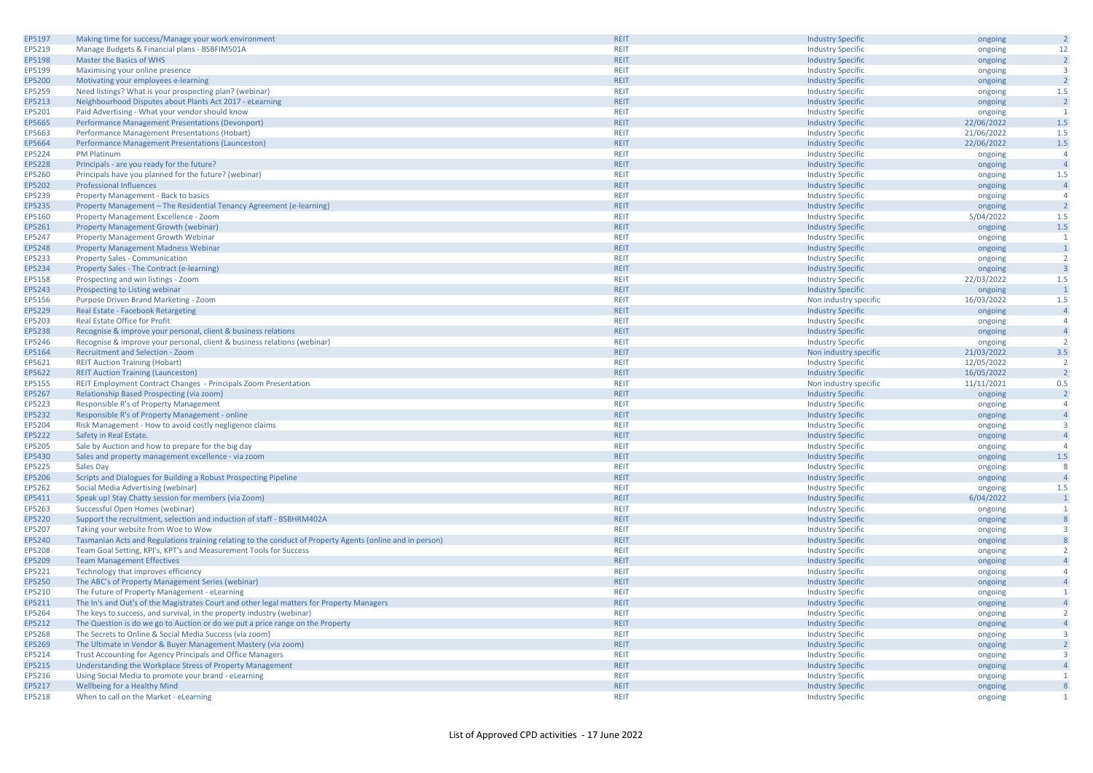| EP5197 | Making time for success/Manage your work environment                                                      | <b>REIT</b> | <b>Industry Specific</b> | ongoing    | $\overline{2}$          |
|--------|-----------------------------------------------------------------------------------------------------------|-------------|--------------------------|------------|-------------------------|
| EP5219 | Manage Budgets & Financial plans - BSBFIM501A                                                             | <b>REIT</b> | <b>Industry Specific</b> | ongoing    | 12                      |
| EP5198 | Master the Basics of WHS                                                                                  | <b>REIT</b> | <b>Industry Specific</b> | ongoing    | $\overline{2}$          |
| EP5199 | Maximising your online presence                                                                           | <b>REIT</b> | <b>Industry Specific</b> | ongoing    | $\overline{3}$          |
| EP5200 | Motivating your employees e-learning                                                                      | <b>REIT</b> | <b>Industry Specific</b> | ongoing    | $\overline{2}$          |
| EP5259 | Need listings? What is your prospecting plan? (webinar)                                                   | <b>REIT</b> | <b>Industry Specific</b> | ongoing    | 1.5                     |
| EP5213 | Neighbourhood Disputes about Plants Act 2017 - eLearning                                                  | <b>REIT</b> | <b>Industry Specific</b> | ongoing    | $\overline{2}$          |
| EP5201 | Paid Advertising - What your vendor should know                                                           | <b>REIT</b> | <b>Industry Specific</b> | ongoing    | $\overline{1}$          |
| EP5665 | Performance Management Presentations (Devonport)                                                          | <b>REIT</b> | <b>Industry Specific</b> | 22/06/2022 | 1.5                     |
| EP5663 | Performance Management Presentations (Hobart)                                                             | <b>REIT</b> |                          |            | 1.5                     |
|        |                                                                                                           |             | <b>Industry Specific</b> | 21/06/2022 | 1.5                     |
| EP5664 | Performance Management Presentations (Launceston)                                                         | <b>REIT</b> | <b>Industry Specific</b> | 22/06/2022 |                         |
| EP5224 | <b>PM Platinum</b>                                                                                        | <b>REIT</b> | <b>Industry Specific</b> | ongoing    | $\overline{4}$          |
| EP5228 | Principals - are you ready for the future?                                                                | <b>REIT</b> | <b>Industry Specific</b> | ongoing    | $\overline{4}$          |
| EP5260 | Principals have you planned for the future? (webinar)                                                     | <b>REIT</b> | <b>Industry Specific</b> | ongoing    | 1.5                     |
| EP5202 | <b>Professional Influences</b>                                                                            | <b>REIT</b> | <b>Industry Specific</b> | ongoing    | $\overline{4}$          |
| EP5239 | Property Management - Back to basics                                                                      | <b>REIT</b> | <b>Industry Specific</b> | ongoing    | $\overline{4}$          |
| EP5235 | Property Management - The Residential Tenancy Agreement (e-learning)                                      | <b>REIT</b> | <b>Industry Specific</b> | ongoing    | $\overline{2}$          |
| EP5160 | Property Management Excellence - Zoom                                                                     | <b>REIT</b> | <b>Industry Specific</b> | 5/04/2022  | 1.5                     |
| EP5261 | Property Management Growth (webinar)                                                                      | <b>REIT</b> | <b>Industry Specific</b> | ongoing    | $1.5$                   |
| EP5247 | <b>Property Management Growth Webinar</b>                                                                 | <b>REIT</b> | <b>Industry Specific</b> | ongoing    | $\overline{1}$          |
| EP5248 | <b>Property Management Madness Webinar</b>                                                                | <b>REIT</b> | <b>Industry Specific</b> | ongoing    | $\overline{1}$          |
| EP5233 | <b>Property Sales - Communication</b>                                                                     | <b>REIT</b> | <b>Industry Specific</b> | ongoing    | $\overline{2}$          |
| EP5234 | Property Sales - The Contract (e-learning)                                                                | <b>REIT</b> | <b>Industry Specific</b> | ongoing    | $\overline{\mathbf{3}}$ |
| EP5158 | Prospecting and win listings - Zoom                                                                       | <b>REIT</b> | <b>Industry Specific</b> | 22/03/2022 | 1.5                     |
| EP5243 | Prospecting to Listing webinar                                                                            | <b>REIT</b> | <b>Industry Specific</b> | ongoing    | $\overline{1}$          |
|        |                                                                                                           | <b>REIT</b> |                          |            | 1.5                     |
| EP5156 | Purpose Driven Brand Marketing - Zoom                                                                     |             | Non industry specific    | 16/03/2022 |                         |
| EP5229 | Real Estate - Facebook Retargeting                                                                        | <b>REIT</b> | <b>Industry Specific</b> | ongoing    | $\overline{4}$          |
| EP5203 | Real Estate Office for Profit                                                                             | <b>REIT</b> | <b>Industry Specific</b> | ongoing    | $\overline{4}$          |
| EP5238 | Recognise & improve your personal, client & business relations                                            | <b>REIT</b> | <b>Industry Specific</b> | ongoing    | $\overline{4}$          |
| EP5246 | Recognise & improve your personal, client & business relations (webinar)                                  | <b>REIT</b> | <b>Industry Specific</b> | ongoing    | $\overline{2}$          |
| EP5164 | <b>Recruitment and Selection - Zoom</b>                                                                   | <b>REIT</b> | Non industry specific    | 21/03/2022 | 3.5                     |
| EP5621 | <b>REIT Auction Training (Hobart)</b>                                                                     | <b>REIT</b> | <b>Industry Specific</b> | 12/05/2022 | $\overline{2}$          |
| EP5622 | <b>REIT Auction Training (Launceston)</b>                                                                 | <b>REIT</b> | <b>Industry Specific</b> | 16/05/2022 | $\overline{2}$          |
| EP5155 | REIT Employment Contract Changes - Principals Zoom Presentation                                           | <b>REIT</b> | Non industry specific    | 11/11/2021 | 0.5                     |
| EP5267 | Relationship Based Prospecting (via zoom)                                                                 | <b>REIT</b> | <b>Industry Specific</b> | ongoing    | $\overline{2}$          |
| EP5223 | Responsible R's of Property Management                                                                    | <b>REIT</b> | <b>Industry Specific</b> | ongoing    | $\overline{a}$          |
| EP5232 | Responsible R's of Property Management - online                                                           | <b>REIT</b> | <b>Industry Specific</b> | ongoing    | $\overline{4}$          |
| EP5204 | Risk Management - How to avoid costly negligence claims                                                   | <b>REIT</b> | <b>Industry Specific</b> | ongoing    | $\overline{\mathbf{3}}$ |
| EP5222 | Safety in Real Estate.                                                                                    | <b>REIT</b> | <b>Industry Specific</b> | ongoing    | $\overline{4}$          |
| EP5205 | Sale by Auction and how to prepare for the big day                                                        | <b>REIT</b> | <b>Industry Specific</b> | ongoing    | $\overline{4}$          |
| EP5430 | Sales and property management excellence - via zoom                                                       | <b>REIT</b> | <b>Industry Specific</b> | ongoing    | 1.5                     |
| EP5225 | <b>Sales Day</b>                                                                                          | <b>REIT</b> |                          |            | -8                      |
|        |                                                                                                           | <b>REIT</b> | <b>Industry Specific</b> | ongoing    | $\overline{4}$          |
| EP5206 | Scripts and Dialogues for Building a Robust Prospecting Pipeline                                          |             | <b>Industry Specific</b> | ongoing    |                         |
| EP5262 | Social Media Advertising (webinar)                                                                        | <b>REIT</b> | <b>Industry Specific</b> | ongoing    | 1.5                     |
| EP5411 | Speak up! Stay Chatty session for members (via Zoom)                                                      | <b>REIT</b> | <b>Industry Specific</b> | 6/04/2022  | $\overline{1}$          |
| EP5263 | Successful Open Homes (webinar)                                                                           | <b>REIT</b> | <b>Industry Specific</b> | ongoing    | $\overline{1}$          |
| EP5220 | Support the recruitment, selection and induction of staff - BSBHRM402A                                    | <b>REIT</b> | <b>Industry Specific</b> | ongoing    | 8                       |
| EP5207 | Taking your website from Woe to Wow                                                                       | <b>REIT</b> | <b>Industry Specific</b> | ongoing    | $\overline{3}$          |
| EP5240 | Tasmanian Acts and Regulations training relating to the conduct of Property Agents (online and in person) | <b>REIT</b> | <b>Industry Specific</b> | ongoing    | $\,$ 8                  |
| EP5208 | Team Goal Setting, KPI's, KPT's and Measurement Tools for Success                                         | <b>REIT</b> | <b>Industry Specific</b> | ongoing    | $\overline{2}$          |
| EP5209 | <b>Team Management Effectives</b>                                                                         | <b>REIT</b> | <b>Industry Specific</b> | ongoing    | $\overline{4}$          |
| EP5221 | Technology that improves efficiency                                                                       | <b>REIT</b> | <b>Industry Specific</b> | ongoing    | $\overline{A}$          |
| EP5250 | The ABC's of Property Management Series (webinar)                                                         | <b>REIT</b> | <b>Industry Specific</b> | ongoing    | $\overline{4}$          |
| EP5210 | The Future of Property Management - eLearning                                                             | <b>REIT</b> | <b>Industry Specific</b> | ongoing    | $\mathbf{1}$            |
| EP5211 | The In's and Out's of the Magistrates Court and other legal matters for Property Managers                 | <b>REIT</b> | <b>Industry Specific</b> | ongoing    | $\overline{4}$          |
| EP5264 | The keys to success, and survival, in the property industry (webinar)                                     | <b>REIT</b> | <b>Industry Specific</b> |            | $\overline{2}$          |
|        |                                                                                                           | <b>REIT</b> |                          | ongoing    | $\overline{4}$          |
| EP5212 | The Question is do we go to Auction or do we put a price range on the Property                            |             | <b>Industry Specific</b> | ongoing    |                         |
| EP5268 | The Secrets to Online & Social Media Success (via zoom)                                                   | <b>REIT</b> | <b>Industry Specific</b> | ongoing    | $\overline{\mathbf{3}}$ |
| EP5269 | The Ultimate in Vendor & Buyer Management Mastery (via zoom)                                              | <b>REIT</b> | <b>Industry Specific</b> | ongoing    | $\overline{2}$          |
| EP5214 | Trust Accounting for Agency Principals and Office Managers                                                | <b>REIT</b> | <b>Industry Specific</b> | ongoing    | $\overline{\mathbf{3}}$ |
| EP5215 | Understanding the Workplace Stress of Property Management                                                 | <b>REIT</b> | <b>Industry Specific</b> | ongoing    | $\overline{4}$          |
| EP5216 | Using Social Media to promote your brand - eLearning                                                      | <b>REIT</b> | <b>Industry Specific</b> | ongoing    | -1                      |
| EP5217 | Wellbeing for a Healthy Mind                                                                              | <b>REIT</b> | <b>Industry Specific</b> | ongoing    | 8                       |
| EP5218 | When to call on the Market - eLearning                                                                    | <b>REIT</b> |                          |            |                         |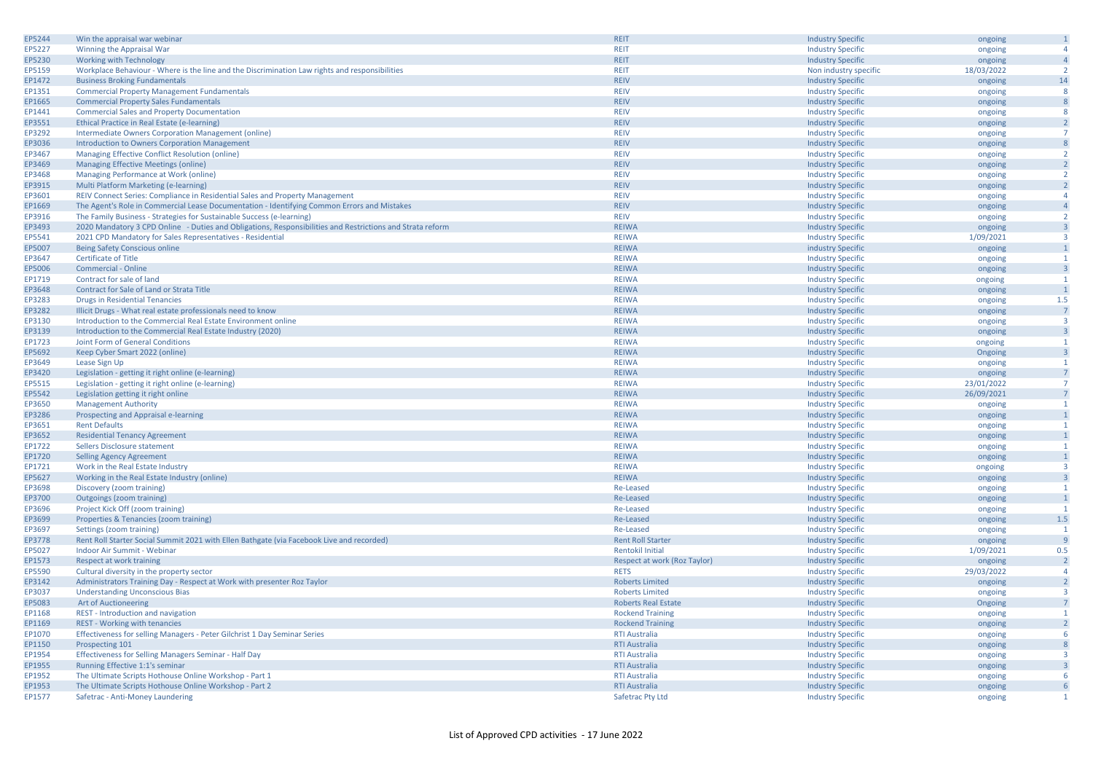| EP5244 | Win the appraisal war webinar                                                                             | <b>REIT</b>                 | <b>Industry Specific</b> | ongoing    | $\mathbf{1}$            |
|--------|-----------------------------------------------------------------------------------------------------------|-----------------------------|--------------------------|------------|-------------------------|
| EP5227 | Winning the Appraisal War                                                                                 | <b>REIT</b>                 | <b>Industry Specific</b> |            | $\overline{4}$          |
|        |                                                                                                           |                             |                          | ongoing    |                         |
| EP5230 | <b>Working with Technology</b>                                                                            | <b>REIT</b>                 | <b>Industry Specific</b> | ongoing    | $\overline{4}$          |
| EP5159 | Workplace Behaviour - Where is the line and the Discrimination Law rights and responsibilities            | <b>REIT</b>                 | Non industry specific    | 18/03/2022 | $\overline{2}$          |
| EP1472 | <b>Business Broking Fundamentals</b>                                                                      | <b>REIV</b>                 | <b>Industry Specific</b> | ongoing    | 14                      |
| EP1351 | <b>Commercial Property Management Fundamentals</b>                                                        | <b>REIV</b>                 | <b>Industry Specific</b> | ongoing    | 8                       |
| EP1665 | <b>Commercial Property Sales Fundamentals</b>                                                             | <b>REIV</b>                 | <b>Industry Specific</b> | ongoing    | 8                       |
| EP1441 | <b>Commercial Sales and Property Documentation</b>                                                        | <b>REIV</b>                 | <b>Industry Specific</b> | ongoing    | 8                       |
| EP3551 | Ethical Practice in Real Estate (e-learning)                                                              | <b>REIV</b>                 | <b>Industry Specific</b> | ongoing    | $\overline{2}$          |
| EP3292 | Intermediate Owners Corporation Management (online)                                                       | <b>REIV</b>                 | <b>Industry Specific</b> | ongoing    | $\overline{7}$          |
| EP3036 | Introduction to Owners Corporation Management                                                             | <b>REIV</b>                 | <b>Industry Specific</b> | ongoing    | 8                       |
| EP3467 | Managing Effective Conflict Resolution (online)                                                           | <b>REIV</b>                 |                          |            | $\overline{2}$          |
|        |                                                                                                           |                             | <b>Industry Specific</b> | ongoing    |                         |
| EP3469 | Managing Effective Meetings (online)                                                                      | <b>REIV</b>                 | <b>Industry Specific</b> | ongoing    | $\overline{2}$          |
| EP3468 | Managing Performance at Work (online)                                                                     | <b>REIV</b>                 | <b>Industry Specific</b> | ongoing    | $\overline{2}$          |
| EP3915 | Multi Platform Marketing (e-learning)                                                                     | <b>REIV</b>                 | <b>Industry Specific</b> | ongoing    | $\overline{2}$          |
| EP3601 | REIV Connect Series: Compliance in Residential Sales and Property Management                              | <b>REIV</b>                 | <b>Industry Specific</b> | ongoing    | $\overline{4}$          |
| EP1669 | The Agent's Role in Commercial Lease Documentation - Identifying Common Errors and Mistakes               | <b>REIV</b>                 | <b>Industry Specific</b> | ongoing    | $\overline{4}$          |
| EP3916 | The Family Business - Strategies for Sustainable Success (e-learning)                                     | <b>REIV</b>                 | <b>Industry Specific</b> | ongoing    | $\overline{2}$          |
| EP3493 | 2020 Mandatory 3 CPD Online - Duties and Obligations, Responsibilities and Restrictions and Strata reform | <b>REIWA</b>                | <b>Industry Specific</b> | ongoing    | $\overline{\mathbf{3}}$ |
| EP5541 | 2021 CPD Mandatory for Sales Representatives - Residential                                                | <b>REIWA</b>                | <b>Industry Specific</b> | 1/09/2021  | $\overline{\mathbf{3}}$ |
| EP5007 | <b>Being Safety Conscious online</b>                                                                      | <b>REIWA</b>                | industry Specific        | ongoing    | $\mathbf{1}$            |
| EP3647 | <b>Certificate of Title</b>                                                                               | <b>REIWA</b>                | <b>Industry Specific</b> |            | 1                       |
|        |                                                                                                           |                             |                          | ongoing    |                         |
| EP5006 | Commercial - Online                                                                                       | <b>REIWA</b>                | <b>Industry Specific</b> | ongoing    | $\overline{\mathbf{3}}$ |
| EP1719 | Contract for sale of land                                                                                 | <b>REIWA</b>                | <b>Industry Specific</b> | ongoing    | $\overline{1}$          |
| EP3648 | Contract for Sale of Land or Strata Title                                                                 | <b>REIWA</b>                | <b>Industry Specific</b> | ongoing    | $\overline{1}$          |
| EP3283 | <b>Drugs in Residential Tenancies</b>                                                                     | <b>REIWA</b>                | <b>Industry Specific</b> | ongoing    | 1.5                     |
| EP3282 | Illicit Drugs - What real estate professionals need to know                                               | <b>REIWA</b>                | <b>Industry Specific</b> | ongoing    | $\overline{7}$          |
| EP3130 | Introduction to the Commercial Real Estate Environment online                                             | <b>REIWA</b>                | <b>Industry Specific</b> | ongoing    | $\overline{3}$          |
| EP3139 | Introduction to the Commercial Real Estate Industry (2020)                                                | <b>REIWA</b>                | <b>Industry Specific</b> | ongoing    | $\overline{\mathbf{3}}$ |
| EP1723 | Joint Form of General Conditions                                                                          | <b>REIWA</b>                | <b>Industry Specific</b> | ongoing    | $\mathbf{1}$            |
| EP5692 | Keep Cyber Smart 2022 (online)                                                                            | <b>REIWA</b>                | <b>Industry Specific</b> | Ongoing    | $\overline{\mathbf{3}}$ |
| EP3649 | Lease Sign Up                                                                                             | <b>REIWA</b>                | <b>Industry Specific</b> | ongoing    | $\mathbf{1}$            |
|        |                                                                                                           |                             |                          |            |                         |
| EP3420 | Legislation - getting it right online (e-learning)                                                        | <b>REIWA</b>                | <b>Industry Specific</b> | ongoing    | $\overline{7}$          |
| EP5515 | Legislation - getting it right online (e-learning)                                                        | <b>REIWA</b>                | <b>Industry Specific</b> | 23/01/2022 | $\overline{7}$          |
| EP5542 | Legislation getting it right online                                                                       | <b>REIWA</b>                | <b>Industry Specific</b> | 26/09/2021 | $\overline{7}$          |
| EP3650 | <b>Management Authority</b>                                                                               | <b>REIWA</b>                | <b>Industry Specific</b> | ongoing    | $\mathbf{1}$            |
| EP3286 | Prospecting and Appraisal e-learning                                                                      | <b>REIWA</b>                | <b>Industry Specific</b> | ongoing    | $\mathbf{1}$            |
| EP3651 | <b>Rent Defaults</b>                                                                                      | <b>REIWA</b>                | <b>Industry Specific</b> | ongoing    | $\mathbf{1}$            |
| EP3652 | <b>Residential Tenancy Agreement</b>                                                                      | <b>REIWA</b>                | <b>Industry Specific</b> | ongoing    | $\mathbf{1}$            |
| EP1722 | Sellers Disclosure statement                                                                              | <b>REIWA</b>                | <b>Industry Specific</b> | ongoing    | $\overline{1}$          |
| EP1720 | <b>Selling Agency Agreement</b>                                                                           | <b>REIWA</b>                | <b>Industry Specific</b> | ongoing    | $\mathbf{1}$            |
| EP1721 | Work in the Real Estate Industry                                                                          | <b>REIWA</b>                | <b>Industry Specific</b> | ongoing    | $\overline{\mathbf{3}}$ |
| EP5627 | Working in the Real Estate Industry (online)                                                              | <b>REIWA</b>                | <b>Industry Specific</b> | ongoing    | $\overline{\mathbf{3}}$ |
|        |                                                                                                           |                             |                          |            | $\mathbf{1}$            |
| EP3698 | Discovery (zoom training)                                                                                 | Re-Leased                   | <b>Industry Specific</b> | ongoing    |                         |
| EP3700 | Outgoings (zoom training)                                                                                 | Re-Leased                   | <b>Industry Specific</b> | ongoing    | $\mathbf{1}$            |
| EP3696 | Project Kick Off (zoom training)                                                                          | Re-Leased                   | <b>Industry Specific</b> | ongoing    | $\overline{1}$          |
| EP3699 | Properties & Tenancies (zoom training)                                                                    | Re-Leased                   | <b>Industry Specific</b> | ongoing    | 1.5                     |
| EP3697 | Settings (zoom training)                                                                                  | Re-Leased                   | <b>Industry Specific</b> | ongoing    | $\mathbf{1}$            |
| EP3778 | Rent Roll Starter Social Summit 2021 with Ellen Bathgate (via Facebook Live and recorded)                 | <b>Rent Roll Starter</b>    | <b>Industry Specific</b> | ongoing    | 9                       |
| EP5027 | Indoor Air Summit - Webinar                                                                               | <b>Rentokil Initial</b>     | <b>Industry Specific</b> | 1/09/2021  | 0.5                     |
| EP1573 | Respect at work training                                                                                  | Respect at work (Roz Taylor | <b>Industry Specific</b> | ongoing    | $\overline{2}$          |
| EP5590 | Cultural diversity in the property sector                                                                 | <b>RETS</b>                 | <b>Industry Specific</b> | 29/03/2022 | $\overline{4}$          |
| EP3142 | Administrators Training Day - Respect at Work with presenter Roz Taylor                                   | <b>Roberts Limited</b>      | <b>Industry Specific</b> | ongoing    | $\overline{2}$          |
| EP3037 | <b>Understanding Unconscious Bias</b>                                                                     | <b>Roberts Limited</b>      | <b>Industry Specific</b> |            | $\overline{\mathbf{3}}$ |
|        |                                                                                                           |                             |                          | ongoing    |                         |
| EP5083 | Art of Auctioneering                                                                                      | <b>Roberts Real Estate</b>  | <b>Industry Specific</b> | Ongoing    | $\overline{7}$          |
| EP1168 | REST - Introduction and navigation                                                                        | <b>Rockend Training</b>     | <b>Industry Specific</b> | ongoing    | $\overline{1}$          |
| EP1169 | <b>REST - Working with tenancies</b>                                                                      | <b>Rockend Training</b>     | <b>Industry Specific</b> | ongoing    | $\overline{2}$          |
| EP1070 | Effectiveness for selling Managers - Peter Gilchrist 1 Day Seminar Series                                 | <b>RTI Australia</b>        | <b>Industry Specific</b> | ongoing    | 6                       |
| EP1150 | Prospecting 101                                                                                           | <b>RTI Australia</b>        | <b>Industry Specific</b> | ongoing    | 8                       |
| EP1954 | Effectiveness for Selling Managers Seminar - Half Day                                                     | <b>RTI Australia</b>        | <b>Industry Specific</b> | ongoing    | $\overline{\mathbf{3}}$ |
| EP1955 | Running Effective 1:1's seminar                                                                           | <b>RTI Australia</b>        | <b>Industry Specific</b> | ongoing    | $\overline{\mathbf{3}}$ |
| EP1952 | The Ultimate Scripts Hothouse Online Workshop - Part 1                                                    | <b>RTI Australia</b>        | <b>Industry Specific</b> | ongoing    | 6                       |
| EP1953 | The Ultimate Scripts Hothouse Online Workshop - Part 2                                                    | <b>RTI Australia</b>        | <b>Industry Specific</b> | ongoing    | 6                       |
| EP1577 | Safetrac - Anti-Money Laundering                                                                          | Safetrac Pty Ltd            | <b>Industry Specific</b> | ongoing    | $\overline{1}$          |
|        |                                                                                                           |                             |                          |            |                         |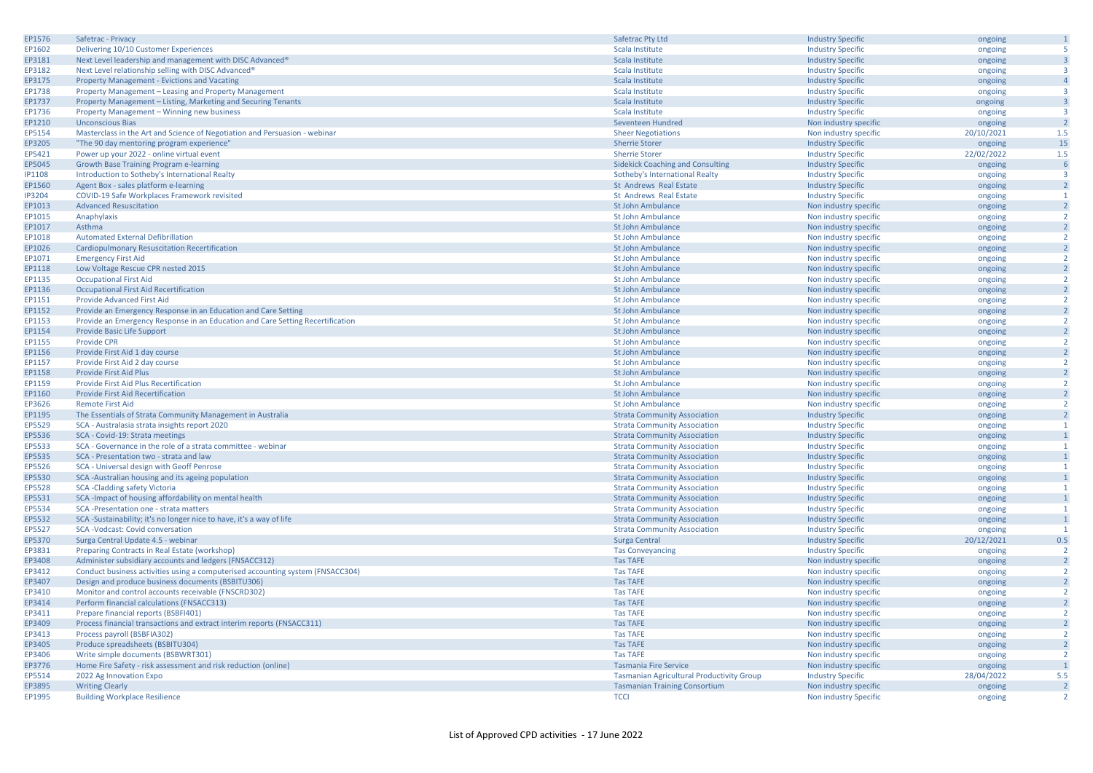| EP1576           | Safetrac - Privacy                                                                 | Safetrac Pty Ltd                                 | <b>Industry Specific</b> | ongoing    | $\mathbf{1}$            |
|------------------|------------------------------------------------------------------------------------|--------------------------------------------------|--------------------------|------------|-------------------------|
| EP1602           | Delivering 10/10 Customer Experiences                                              | Scala Institute                                  | <b>Industry Specific</b> | ongoing    | 5                       |
| EP3181           | Next Level leadership and management with DISC Advanced®                           | Scala Institute                                  | <b>Industry Specific</b> | ongoing    | $\overline{\mathbf{3}}$ |
| EP3182           | Next Level relationship selling with DISC Advanced®                                | Scala Institute                                  | <b>Industry Specific</b> | ongoing    | $\overline{3}$          |
| EP3175           | <b>Property Management - Evictions and Vacating</b>                                | Scala Institute                                  | <b>Industry Specific</b> | ongoing    | $\overline{4}$          |
| EP1738           | Property Management - Leasing and Property Management                              | Scala Institute                                  |                          |            | $\overline{\mathbf{3}}$ |
|                  |                                                                                    |                                                  | <b>Industry Specific</b> | ongoing    |                         |
| EP1737           | Property Management - Listing, Marketing and Securing Tenants                      | Scala Institute                                  | <b>Industry Specific</b> | ongoing    | $\overline{\mathbf{3}}$ |
| EP1736           | Property Management - Winning new business                                         | Scala Institute                                  | <b>Industry Specific</b> | ongoing    | $\overline{3}$          |
| EP1210           | <b>Unconscious Bias</b>                                                            | Seventeen Hundred                                | Non industry specific    | ongoing    | $\overline{2}$          |
| EP5154           | Masterclass in the Art and Science of Negotiation and Persuasion - webinar         | <b>Sheer Negotiations</b>                        | Non industry specific    | 20/10/2021 | 1.5                     |
| EP3205           | "The 90 day mentoring program experience"                                          | <b>Sherrie Storer</b>                            | <b>Industry Specific</b> | ongoing    | 15                      |
| EP5421           | Power up your 2022 - online virtual event                                          | <b>Sherrie Storer</b>                            | <b>Industry Specific</b> | 22/02/2022 | 1.5                     |
| EP5045           | Growth Base Training Program e-learning                                            | <b>Sidekick Coaching and Consulting</b>          | <b>Industry Specific</b> | ongoing    | 6                       |
| <b>IP1108</b>    | Introduction to Sotheby's International Realty                                     | Sotheby's International Realty                   | <b>Industry Specific</b> | ongoing    | $\overline{3}$          |
| EP1560           | Agent Box - sales platform e-learning                                              | St Andrews Real Estate                           | <b>Industry Specific</b> | ongoing    | $\overline{2}$          |
| <b>IP3204</b>    | COVID-19 Safe Workplaces Framework revisited                                       | St Andrews Real Estate                           | <b>Industry Specific</b> | ongoing    | -1                      |
| EP1013           | <b>Advanced Resuscitation</b>                                                      | St John Ambulance                                | Non industry specific    | ongoing    | $\overline{2}$          |
| EP1015           | Anaphylaxis                                                                        | St John Ambulance                                | Non industry specific    | ongoing    | $\overline{2}$          |
| EP1017           | Asthma                                                                             | St John Ambulance                                | Non industry specific    | ongoing    | $\overline{2}$          |
| EP1018           | <b>Automated External Defibrillation</b>                                           | St John Ambulance                                | Non industry specific    | ongoing    | $\overline{2}$          |
| EP1026           | Cardiopulmonary Resuscitation Recertification                                      | St John Ambulance                                | Non industry specific    | ongoing    | $\overline{2}$          |
| EP1071           | <b>Emergency First Aid</b>                                                         | <b>St John Ambulance</b>                         | Non industry specific    | ongoing    | $\overline{2}$          |
| EP1118           | Low Voltage Rescue CPR nested 2015                                                 | St John Ambulance                                | Non industry specific    | ongoing    | $\overline{2}$          |
| EP1135           | <b>Occupational First Aid</b>                                                      | St John Ambulance                                | Non industry specific    |            | $\overline{2}$          |
|                  |                                                                                    | St John Ambulance                                |                          | ongoing    | $\overline{2}$          |
| EP1136<br>EP1151 | <b>Occupational First Aid Recertification</b><br><b>Provide Advanced First Aid</b> | St John Ambulance                                | Non industry specific    | ongoing    | $\overline{2}$          |
|                  |                                                                                    |                                                  | Non industry specific    | ongoing    | $\overline{2}$          |
| EP1152           | Provide an Emergency Response in an Education and Care Setting                     | <b>St John Ambulance</b>                         | Non industry specific    | ongoing    |                         |
| EP1153           | Provide an Emergency Response in an Education and Care Setting Recertification     | <b>St John Ambulance</b>                         | Non industry specific    | ongoing    | $\overline{2}$          |
| EP1154           | Provide Basic Life Support                                                         | St John Ambulance                                | Non industry specific    | ongoing    | $\overline{2}$          |
| EP1155           | <b>Provide CPR</b>                                                                 | <b>St John Ambulance</b>                         | Non industry specific    | ongoing    | $\overline{2}$          |
| EP1156           | Provide First Aid 1 day course                                                     | St John Ambulance                                | Non industry specific    | ongoing    | $\overline{2}$          |
| EP1157           | Provide First Aid 2 day course                                                     | St John Ambulance                                | Non industry specific    | ongoing    | $\overline{2}$          |
| EP1158           | <b>Provide First Aid Plus</b>                                                      | St John Ambulance                                | Non industry specific    | ongoing    | $\overline{2}$          |
| EP1159           | Provide First Aid Plus Recertification                                             | <b>St John Ambulance</b>                         | Non industry specific    | ongoing    | $\overline{2}$          |
| EP1160           | Provide First Aid Recertification                                                  | St John Ambulance                                | Non industry specific    | ongoing    | $\overline{2}$          |
| EP3626           | <b>Remote First Aid</b>                                                            | <b>St John Ambulance</b>                         | Non industry specific    | ongoing    | $\overline{2}$          |
| EP1195           | The Essentials of Strata Community Management in Australia                         | <b>Strata Community Association</b>              | <b>Industry Specific</b> | ongoing    | $\overline{2}$          |
| EP5529           | SCA - Australasia strata insights report 2020                                      | <b>Strata Community Association</b>              | <b>Industry Specific</b> | ongoing    | $\mathbf{1}$            |
| EP5536           | SCA - Covid-19: Strata meetings                                                    | <b>Strata Community Association</b>              | <b>Industry Specific</b> | ongoing    | $\mathbf{1}$            |
| EP5533           | SCA - Governance in the role of a strata committee - webinar                       | <b>Strata Community Association</b>              | <b>Industry Specific</b> | ongoing    | $\mathbf{1}$            |
| EP5535           | SCA - Presentation two - strata and law                                            | <b>Strata Community Association</b>              | <b>Industry Specific</b> | ongoing    | $\mathbf{1}$            |
| EP5526           | SCA - Universal design with Geoff Penrose                                          | <b>Strata Community Association</b>              | <b>Industry Specific</b> | ongoing    | $\mathbf{1}$            |
| EP5530           | SCA-Australian housing and its ageing population                                   | <b>Strata Community Association</b>              | <b>Industry Specific</b> | ongoing    | $\mathbf{1}$            |
| EP5528           | <b>SCA-Cladding safety Victoria</b>                                                | <b>Strata Community Association</b>              | <b>Industry Specific</b> | ongoing    | $\mathbf{1}$            |
| EP5531           | SCA-Impact of housing affordability on mental health                               | <b>Strata Community Association</b>              | <b>Industry Specific</b> | ongoing    | $\overline{1}$          |
| EP5534           | SCA-Presentation one - strata matters                                              | <b>Strata Community Association</b>              | <b>Industry Specific</b> | ongoing    | $\mathbf{1}$            |
| EP5532           | SCA-Sustainability; it's no longer nice to have, it's a way of life                | <b>Strata Community Association</b>              | <b>Industry Specific</b> | ongoing    | $\overline{1}$          |
| EP5527           | SCA-Vodcast: Covid conversation                                                    | <b>Strata Community Association</b>              | <b>Industry Specific</b> | ongoing    | $\mathbf{1}$            |
| EP5370           | Surga Central Update 4.5 - webinar                                                 | Surga Central                                    | <b>Industry Specific</b> | 20/12/2021 | 0.5                     |
| EP3831           | Preparing Contracts in Real Estate (workshop)                                      | <b>Tas Conveyancing</b>                          | <b>Industry Specific</b> | ongoing    | $\overline{2}$          |
| EP3408           | Administer subsidiary accounts and ledgers (FNSACC312)                             | <b>Tas TAFE</b>                                  | Non industry specific    |            | $\overline{2}$          |
| EP3412           | Conduct business activities using a computerised accounting system (FNSACC304)     | <b>Tas TAFE</b>                                  | Non industry specific    | ongoing    | $\overline{2}$          |
|                  |                                                                                    |                                                  |                          | ongoing    |                         |
| EP3407           | Design and produce business documents (BSBITU306)                                  | <b>Tas TAFE</b>                                  | Non industry specific    | ongoing    | $\overline{2}$          |
| EP3410           | Monitor and control accounts receivable (FNSCRD302)                                | <b>Tas TAFE</b>                                  | Non industry specific    | ongoing    | $\overline{2}$          |
| EP3414           | Perform financial calculations (FNSACC313)                                         | <b>Tas TAFE</b>                                  | Non industry specific    | ongoing    | $\overline{2}$          |
| EP3411           | Prepare financial reports (BSBFI401)                                               | <b>Tas TAFE</b>                                  | Non industry specific    | ongoing    | $\overline{2}$          |
| EP3409           | Process financial transactions and extract interim reports (FNSACC311)             | <b>Tas TAFE</b>                                  | Non industry specific    | ongoing    | $\overline{2}$          |
| EP3413           | Process payroll (BSBFIA302)                                                        | <b>Tas TAFE</b>                                  | Non industry specific    | ongoing    | $\overline{2}$          |
| EP3405           | Produce spreadsheets (BSBITU304)                                                   | <b>Tas TAFE</b>                                  | Non industry specific    | ongoing    | $\overline{2}$          |
| EP3406           | Write simple documents (BSBWRT301)                                                 | <b>Tas TAFE</b>                                  | Non industry specific    | ongoing    | $\overline{2}$          |
| EP3776           | Home Fire Safety - risk assessment and risk reduction (online)                     | <b>Tasmania Fire Service</b>                     | Non industry specific    | ongoing    | $\mathbf{1}$            |
| EP5514           | 2022 Ag Innovation Expo                                                            | <b>Tasmanian Agricultural Productivity Group</b> | <b>Industry Specific</b> | 28/04/2022 | 5.5                     |
| EP3895           | <b>Writing Clearly</b>                                                             | <b>Tasmanian Training Consortium</b>             | Non industry specific    | ongoing    | $\overline{2}$          |
| EP1995           | <b>Building Workplace Resilience</b>                                               | <b>TCCI</b>                                      | Non industry Specific    | ongoing    | $\overline{2}$          |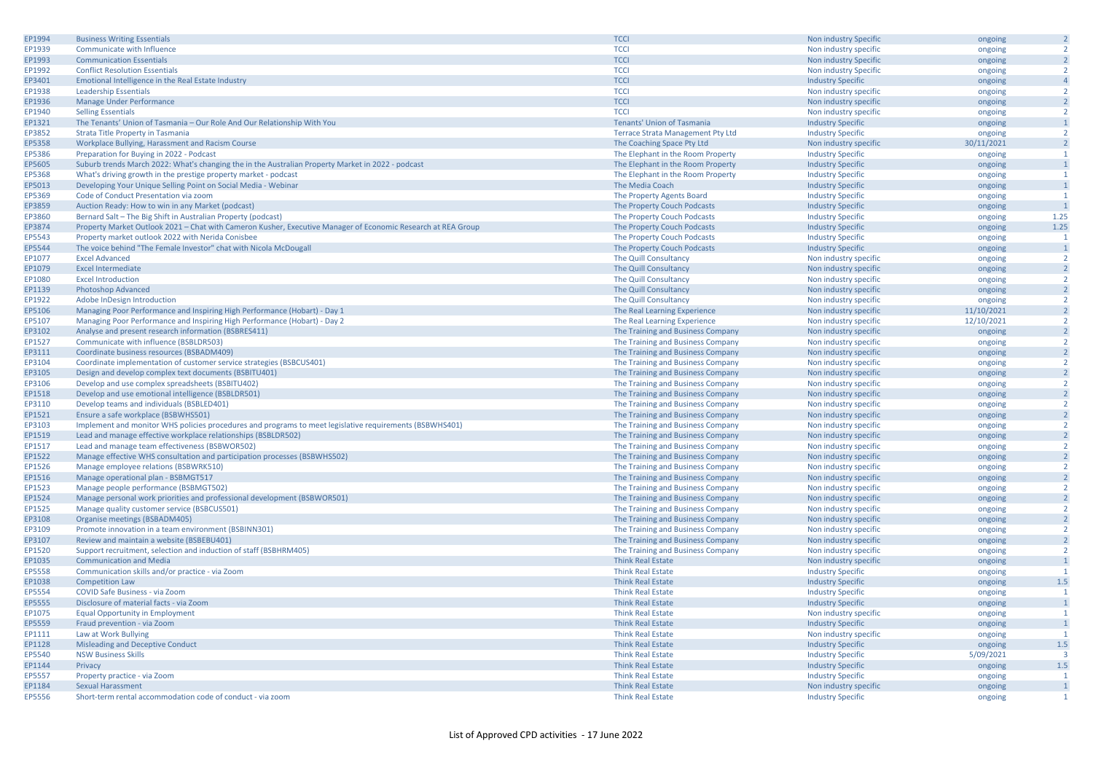| EP1994           | <b>Business Writing Essentials</b>                                                                           | <b>TCCI</b>                              | Non industry Specific    | ongoing    | $\overline{2}$ |
|------------------|--------------------------------------------------------------------------------------------------------------|------------------------------------------|--------------------------|------------|----------------|
| EP1939           | Communicate with Influence                                                                                   | <b>TCCI</b>                              | Non industry specific    | ongoing    | $\overline{2}$ |
| EP1993           | <b>Communication Essentials</b>                                                                              | <b>TCCI</b>                              | Non industry Specific    | ongoing    | $\overline{2}$ |
| EP1992           | <b>Conflict Resolution Essentials</b>                                                                        | <b>TCCI</b>                              | Non industry Specific    | ongoing    | $\overline{2}$ |
| EP3401           | Emotional Intelligence in the Real Estate Industry                                                           | <b>TCCI</b>                              | <b>Industry Specific</b> | ongoing    | $\overline{4}$ |
| EP1938           | <b>Leadership Essentials</b>                                                                                 | <b>TCCI</b>                              | Non industry specific    | ongoing    | $\overline{2}$ |
| EP1936           | Manage Under Performance                                                                                     | <b>TCCI</b>                              | Non industry specific    | ongoing    | $\overline{2}$ |
| EP1940           | <b>Selling Essentials</b>                                                                                    | <b>TCCI</b>                              | Non industry specific    | ongoing    | $\overline{2}$ |
| EP1321           | The Tenants' Union of Tasmania - Our Role And Our Relationship With You                                      | <b>Tenants' Union of Tasmania</b>        | <b>Industry Specific</b> | ongoing    | $\mathbf{1}$   |
| EP3852           | Strata Title Property in Tasmania                                                                            | <b>Terrace Strata Management Pty Ltd</b> | <b>Industry Specific</b> | ongoing    | $\overline{2}$ |
| EP5358           | Workplace Bullying, Harassment and Racism Course                                                             | The Coaching Space Pty Ltd               | Non industry specific    | 30/11/2021 | $\overline{2}$ |
| EP5386           | Preparation for Buying in 2022 - Podcast                                                                     | The Elephant in the Room Property        | <b>Industry Specific</b> | ongoing    | $\mathbf{1}$   |
| EP5605           | Suburb trends March 2022: What's changing the in the Australian Property Market in 2022 - podcast            | The Elephant in the Room Property        | <b>Industry Specific</b> | ongoing    | $\overline{1}$ |
| EP5368           | What's driving growth in the prestige property market - podcast                                              | The Elephant in the Room Property        | <b>Industry Specific</b> | ongoing    | $\mathbf{1}$   |
| EP5013           | Developing Your Unique Selling Point on Social Media - Webinar                                               | The Media Coach                          | <b>Industry Specific</b> | ongoing    | $\mathbf{1}$   |
|                  | Code of Conduct Presentation via zoom                                                                        |                                          |                          |            | $\mathbf{1}$   |
| EP5369<br>EP3859 |                                                                                                              | The Property Agents Board                | <b>Industry Specific</b> | ongoing    | $\overline{1}$ |
|                  | Auction Ready: How to win in any Market (podcast)                                                            | The Property Couch Podcasts              | <b>Industry Specific</b> | ongoing    |                |
| EP3860           | Bernard Salt - The Big Shift in Australian Property (podcast)                                                | The Property Couch Podcasts              | <b>Industry Specific</b> | ongoing    | 1.25<br>1.25   |
| EP3874           | Property Market Outlook 2021 - Chat with Cameron Kusher, Executive Manager of Economic Research at REA Group | The Property Couch Podcasts              | <b>Industry Specific</b> | ongoing    |                |
| EP5543           | Property market outlook 2022 with Nerida Conisbee                                                            | The Property Couch Podcasts              | <b>Industry Specific</b> | ongoing    | $\overline{1}$ |
| EP5544           | The voice behind "The Female Investor" chat with Nicola McDougall                                            | The Property Couch Podcasts              | <b>Industry Specific</b> | ongoing    | $\mathbf{1}$   |
| EP1077           | <b>Excel Advanced</b>                                                                                        | The Quill Consultancy                    | Non industry specific    | ongoing    | $\overline{2}$ |
| EP1079           | <b>Excel Intermediate</b>                                                                                    | The Quill Consultancy                    | Non industry specific    | ongoing    | $\overline{2}$ |
| EP1080           | <b>Excel Introduction</b>                                                                                    | The Quill Consultancy                    | Non industry specific    | ongoing    | $\overline{2}$ |
| EP1139           | <b>Photoshop Advanced</b>                                                                                    | The Quill Consultancy                    | Non industry specific    | ongoing    | $\overline{2}$ |
| EP1922           | Adobe InDesign Introduction                                                                                  | The Quill Consultancy                    | Non industry specific    | ongoing    | $\overline{2}$ |
| EP5106           | Managing Poor Performance and Inspiring High Performance (Hobart) - Day 1                                    | The Real Learning Experience             | Non industry specific    | 11/10/2021 | $\overline{2}$ |
| EP5107           | Managing Poor Performance and Inspiring High Performance (Hobart) - Day 2                                    | The Real Learning Experience             | Non industry specific    | 12/10/2021 | $\overline{2}$ |
| EP3102           | Analyse and present research information (BSBRES411)                                                         | The Training and Business Company        | Non industry specific    | ongoing    | $\overline{2}$ |
| EP1527           | Communicate with influence (BSBLDR503)                                                                       | The Training and Business Company        | Non industry specific    | ongoing    | $\overline{2}$ |
| EP3111           | Coordinate business resources (BSBADM409)                                                                    | The Training and Business Company        | Non industry specific    | ongoing    | $\overline{2}$ |
| EP3104           | Coordinate implementation of customer service strategies (BSBCUS401)                                         | The Training and Business Company        | Non industry specific    | ongoing    | $\overline{2}$ |
| EP3105           | Design and develop complex text documents (BSBITU401)                                                        | The Training and Business Company        | Non industry specific    | ongoing    | $\overline{2}$ |
| EP3106           | Develop and use complex spreadsheets (BSBITU402)                                                             | The Training and Business Company        | Non industry specific    | ongoing    | $\overline{2}$ |
| EP1518           | Develop and use emotional intelligence (BSBLDR501)                                                           | The Training and Business Company        | Non industry specific    | ongoing    | $\overline{2}$ |
| EP3110           | Develop teams and individuals (BSBLED401)                                                                    | The Training and Business Company        | Non industry specific    | ongoing    | $\overline{2}$ |
| EP1521           | Ensure a safe workplace (BSBWHS501)                                                                          | The Training and Business Company        | Non industry specific    | ongoing    | $\overline{2}$ |
| EP3103           | Implement and monitor WHS policies procedures and programs to meet legislative requirements (BSBWHS401)      | The Training and Business Company        | Non industry specific    | ongoing    | $\overline{2}$ |
| EP1519           | Lead and manage effective workplace relationships (BSBLDR502)                                                | The Training and Business Company        | Non industry specific    | ongoing    | $\overline{2}$ |
| EP1517           | Lead and manage team effectiveness (BSBWOR502)                                                               | The Training and Business Company        | Non industry specific    | ongoing    | $\overline{2}$ |
| EP1522           | Manage effective WHS consultation and participation processes (BSBWHS502)                                    | The Training and Business Company        | Non industry specific    | ongoing    | $\overline{2}$ |
| EP1526           | Manage employee relations (BSBWRK510)                                                                        | The Training and Business Company        | Non industry specific    | ongoing    | $\overline{2}$ |
| EP1516           | Manage operational plan - BSBMGT517                                                                          | The Training and Business Company        | Non industry specific    | ongoing    | $\overline{2}$ |
| EP1523           | Manage people performance (BSBMGT502)                                                                        | The Training and Business Company        | Non industry specific    | ongoing    | $\overline{2}$ |
| EP1524           | Manage personal work priorities and professional development (BSBWOR501)                                     | The Training and Business Company        | Non industry specific    | ongoing    | $\overline{2}$ |
| EP1525           | Manage quality customer service (BSBCUS501)                                                                  | The Training and Business Company        | Non industry specific    | ongoing    | $\overline{2}$ |
| EP3108           | Organise meetings (BSBADM405)                                                                                | The Training and Business Company        | Non industry specific    | ongoing    | $\overline{2}$ |
| EP3109           | Promote innovation in a team environment (BSBINN301)                                                         | The Training and Business Company        | Non industry specific    | ongoing    | $\overline{2}$ |
| EP3107           | Review and maintain a website (BSBEBU401)                                                                    | The Training and Business Company        | Non industry specific    | ongoing    | $\overline{2}$ |
| EP1520           | Support recruitment, selection and induction of staff (BSBHRM405)                                            | The Training and Business Company        | Non industry specific    | ongoing    | $\overline{2}$ |
| EP1035           | <b>Communication and Media</b>                                                                               | <b>Think Real Estate</b>                 | Non industry specific    | ongoing    | $\overline{1}$ |
| EP5558           | Communication skills and/or practice - via Zoom                                                              | <b>Think Real Estate</b>                 | <b>Industry Specific</b> | ongoing    | $\overline{1}$ |
| EP1038           | <b>Competition Law</b>                                                                                       | <b>Think Real Estate</b>                 | <b>Industry Specific</b> | ongoing    | 1.5            |
| EP5554           | COVID Safe Business - via Zoom                                                                               | <b>Think Real Estate</b>                 | <b>Industry Specific</b> | ongoing    | 1              |
| EP5555           | Disclosure of material facts - via Zoom                                                                      | <b>Think Real Estate</b>                 | <b>Industry Specific</b> | ongoing    | $\mathbf{1}$   |
| EP1075           | <b>Equal Opportunity in Employment</b>                                                                       | <b>Think Real Estate</b>                 | Non industry specific    | ongoing    | $\overline{1}$ |
| EP5559           | Fraud prevention - via Zoom                                                                                  | <b>Think Real Estate</b>                 | <b>Industry Specific</b> | ongoing    | $\mathbf{1}$   |
|                  | Law at Work Bullying                                                                                         | <b>Think Real Estate</b>                 |                          |            | $\mathbf{1}$   |
| EP1111<br>EP1128 | Misleading and Deceptive Conduct                                                                             | <b>Think Real Estate</b>                 | Non industry specific    | ongoing    | 1.5            |
| EP5540           |                                                                                                              | <b>Think Real Estate</b>                 | <b>Industry Specific</b> | ongoing    | $\overline{3}$ |
| EP1144           | <b>NSW Business Skills</b>                                                                                   | <b>Think Real Estate</b>                 | <b>Industry Specific</b> | 5/09/2021  | $1.5$          |
|                  | Privacy                                                                                                      |                                          | <b>Industry Specific</b> | ongoing    |                |
| EP5557           | Property practice - via Zoom                                                                                 | <b>Think Real Estate</b>                 | <b>Industry Specific</b> | ongoing    | $\mathbf{1}$   |
| EP1184           | Sexual Harassment                                                                                            | <b>Think Real Estate</b>                 | Non industry specific    | ongoing    | $\mathbf{1}$   |
| EP5556           | Short-term rental accommodation code of conduct - via zoom                                                   | <b>Think Real Estate</b>                 | <b>Industry Specific</b> | ongoing    | $\overline{1}$ |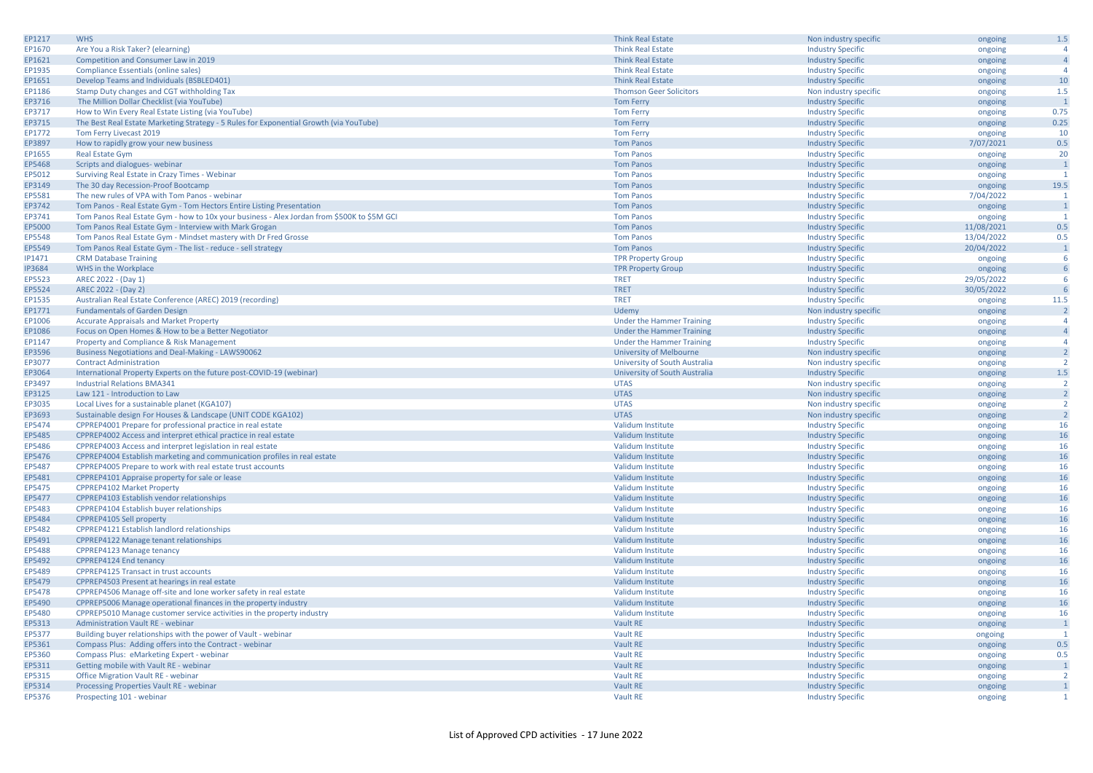| EP1217        | <b>WHS</b>                                                                                 | <b>Think Real Estate</b>         | Non industry specific    | ongoing    | 1.5            |
|---------------|--------------------------------------------------------------------------------------------|----------------------------------|--------------------------|------------|----------------|
| EP1670        | Are You a Risk Taker? (elearning)                                                          | <b>Think Real Estate</b>         | <b>Industry Specific</b> | ongoing    | $\Delta$       |
| EP1621        | Competition and Consumer Law in 2019                                                       | <b>Think Real Estate</b>         | <b>Industry Specific</b> | ongoing    | $\overline{4}$ |
| EP1935        | Compliance Essentials (online sales)                                                       | <b>Think Real Estate</b>         | <b>Industry Specific</b> | ongoing    | $\Delta$       |
| EP1651        | Develop Teams and Individuals (BSBLED401)                                                  | <b>Think Real Estate</b>         | <b>Industry Specific</b> | ongoing    | 10             |
| EP1186        | Stamp Duty changes and CGT withholding Tax                                                 | <b>Thomson Geer Solicitors</b>   | Non industry specific    | ongoing    | 1.5            |
| EP3716        | The Million Dollar Checklist (via YouTube)                                                 | <b>Tom Ferry</b>                 | <b>Industry Specific</b> | ongoing    | $\overline{1}$ |
| EP3717        | How to Win Every Real Estate Listing (via YouTube)                                         | <b>Tom Ferry</b>                 | <b>Industry Specific</b> | ongoing    | 0.75           |
| EP3715        | The Best Real Estate Marketing Strategy - 5 Rules for Exponential Growth (via YouTube)     | <b>Tom Ferry</b>                 | <b>Industry Specific</b> | ongoing    | 0.25           |
| EP1772        | Tom Ferry Livecast 2019                                                                    | <b>Tom Ferry</b>                 | <b>Industry Specific</b> | ongoing    | 10             |
| EP3897        | How to rapidly grow your new business                                                      | <b>Tom Panos</b>                 | <b>Industry Specific</b> | 7/07/2021  | 0.5            |
| EP1655        | <b>Real Estate Gym</b>                                                                     | <b>Tom Panos</b>                 | <b>Industry Specific</b> | ongoing    | 20             |
| EP5468        | Scripts and dialogues- webinar                                                             | <b>Tom Panos</b>                 | <b>Industry Specific</b> | ongoing    | $\overline{1}$ |
| EP5012        | Surviving Real Estate in Crazy Times - Webinar                                             | <b>Tom Panos</b>                 | <b>Industry Specific</b> | ongoing    | $\overline{1}$ |
| EP3149        | The 30 day Recession-Proof Bootcamp                                                        | <b>Tom Panos</b>                 | <b>Industry Specific</b> | ongoing    | 19.5           |
| EP5581        | The new rules of VPA with Tom Panos - webinar                                              | <b>Tom Panos</b>                 | <b>Industry Specific</b> | 7/04/2022  | -1             |
| EP3742        | Tom Panos - Real Estate Gym - Tom Hectors Entire Listing Presentation                      | <b>Tom Panos</b>                 | <b>Industry Specific</b> | ongoing    | $\overline{1}$ |
| EP3741        | Tom Panos Real Estate Gym - how to 10x your business - Alex Jordan from \$500K to \$5M GCI | <b>Tom Panos</b>                 | <b>Industry Specific</b> | ongoing    |                |
| EP5000        | Tom Panos Real Estate Gym - Interview with Mark Grogan                                     | <b>Tom Panos</b>                 | <b>Industry Specific</b> | 11/08/2021 | 0.5            |
| EP5548        | Tom Panos Real Estate Gym - Mindset mastery with Dr Fred Grosse                            | <b>Tom Panos</b>                 | <b>Industry Specific</b> | 13/04/2022 | 0.5            |
| EP5549        | Tom Panos Real Estate Gym - The list - reduce - sell strategy                              | <b>Tom Panos</b>                 | <b>Industry Specific</b> | 20/04/2022 | $\overline{1}$ |
| IP1471        | <b>CRM Database Training</b>                                                               | <b>TPR Property Group</b>        | <b>Industry Specific</b> | ongoing    | -6             |
| <b>IP3684</b> | WHS in the Workplace                                                                       | <b>TPR Property Group</b>        | <b>Industry Specific</b> | ongoing    | 6              |
| EP5523        | AREC 2022 - (Day 1)                                                                        | <b>TRET</b>                      | <b>Industry Specific</b> | 29/05/2022 | -6             |
| EP5524        | AREC 2022 - (Day 2)                                                                        | <b>TRET</b>                      | <b>Industry Specific</b> | 30/05/2022 |                |
| EP1535        | Australian Real Estate Conference (AREC) 2019 (recording)                                  | <b>TRET</b>                      | <b>Industry Specific</b> | ongoing    | 11.5           |
| EP1771        | <b>Fundamentals of Garden Design</b>                                                       | Udemy                            | Non industry specific    | ongoing    | $\overline{2}$ |
| EP1006        | <b>Accurate Appraisals and Market Property</b>                                             | <b>Under the Hammer Training</b> | <b>Industry Specific</b> | ongoing    | $\overline{a}$ |
| EP1086        | Focus on Open Homes & How to be a Better Negotiator                                        | Under the Hammer Training        | <b>Industry Specific</b> | ongoing    | $\overline{4}$ |
| EP1147        | Property and Compliance & Risk Management                                                  | Under the Hammer Training        | <b>Industry Specific</b> | ongoing    | $\overline{a}$ |
| EP3596        | Business Negotiations and Deal-Making - LAWS90062                                          | <b>University of Melbourne</b>   | Non industry specific    | ongoing    | $\overline{2}$ |
| EP3077        | <b>Contract Administration</b>                                                             | University of South Australia    | Non industry specific    | ongoing    | $\overline{2}$ |
| EP3064        | International Property Experts on the future post-COVID-19 (webinar)                       | University of South Australia    | <b>Industry Specific</b> | ongoing    | 1.5            |
| EP3497        | <b>Industrial Relations BMA341</b>                                                         | <b>UTAS</b>                      | Non industry specific    | ongoing    | $\overline{2}$ |
| EP3125        | Law 121 - Introduction to Law                                                              | <b>UTAS</b>                      | Non industry specific    | ongoing    | $\overline{2}$ |
| EP3035        | Local Lives for a sustainable planet (KGA107)                                              | <b>UTAS</b>                      | Non industry specific    | ongoing    | <sup>2</sup>   |
| EP3693        | Sustainable design For Houses & Landscape (UNIT CODE KGA102)                               | <b>UTAS</b>                      | Non industry specific    | ongoing    | $\overline{2}$ |
| EP5474        | CPPREP4001 Prepare for professional practice in real estate                                | Validum Institute                | <b>Industry Specific</b> | ongoing    | 16             |
| EP5485        | CPPREP4002 Access and interpret ethical practice in real estate                            | Validum Institute                | <b>Industry Specific</b> | ongoing    | 16             |
| EP5486        | CPPREP4003 Access and interpret legislation in real estate                                 | Validum Institute                | <b>Industry Specific</b> | ongoing    | 16             |
| EP5476        | CPPREP4004 Establish marketing and communication profiles in real estate                   | Validum Institute                | <b>Industry Specific</b> | ongoing    | 16             |
| EP5487        | CPPREP4005 Prepare to work with real estate trust accounts                                 | Validum Institute                | <b>Industry Specific</b> | ongoing    | 16             |
| EP5481        | CPPREP4101 Appraise property for sale or lease                                             | Validum Institute                | <b>Industry Specific</b> | ongoing    | 16             |
| EP5475        | CPPREP4102 Market Property                                                                 | Validum Institute                | <b>Industry Specific</b> | ongoing    | 16             |
| EP5477        | CPPREP4103 Establish vendor relationships                                                  | Validum Institute                | <b>Industry Specific</b> | ongoing    | 16             |
| EP5483        | CPPREP4104 Establish buyer relationships                                                   | Validum Institute                | <b>Industry Specific</b> | ongoing    | 16             |
| EP5484        | CPPREP4105 Sell property                                                                   | Validum Institute                | <b>Industry Specific</b> | ongoing    | 16             |
| EP5482        | CPPREP4121 Establish landlord relationships                                                | Validum Institute                | <b>Industry Specific</b> | ongoing    | 16             |
| EP5491        | CPPREP4122 Manage tenant relationships                                                     | Validum Institute                | <b>Industry Specific</b> | ongoing    | 16             |
| EP5488        | CPPREP4123 Manage tenancy                                                                  | Validum Institute                | <b>Industry Specific</b> | ongoing    | 16             |
| EP5492        | CPPREP4124 End tenancy                                                                     | Validum Institute                | <b>Industry Specific</b> | ongoing    | 16             |
| EP5489        | <b>CPPREP4125 Transact in trust accounts</b>                                               | Validum Institute                | <b>Industry Specific</b> | ongoing    | 16             |
| EP5479        | CPPREP4503 Present at hearings in real estate                                              | Validum Institute                | <b>Industry Specific</b> | ongoing    | 16             |
| EP5478        | CPPREP4506 Manage off-site and lone worker safety in real estate                           | Validum Institute                | <b>Industry Specific</b> | ongoing    | 16             |
| EP5490        | CPPREP5006 Manage operational finances in the property industry                            | Validum Institute                | <b>Industry Specific</b> | ongoing    | 16             |
| EP5480        | CPPREP5010 Manage customer service activities in the property industry                     | Validum Institute                | <b>Industry Specific</b> | ongoing    | 16             |
| EP5313        | <b>Administration Vault RE - webinar</b>                                                   | Vault RE                         | <b>Industry Specific</b> | ongoing    | $\overline{1}$ |
| EP5377        | Building buyer relationships with the power of Vault - webinar                             | Vault RE                         | <b>Industry Specific</b> | ongoing    | $\overline{1}$ |
| EP5361        | Compass Plus: Adding offers into the Contract - webinar                                    | Vault RE                         | <b>Industry Specific</b> | ongoing    | 0.5            |
| EP5360        | Compass Plus: eMarketing Expert - webinar                                                  | Vault RE                         | <b>Industry Specific</b> | ongoing    | 0.5            |
| EP5311        | Getting mobile with Vault RE - webinar                                                     | Vault RE                         | <b>Industry Specific</b> | ongoing    | $\overline{1}$ |
| EP5315        | Office Migration Vault RE - webinar                                                        | Vault RE                         | <b>Industry Specific</b> | ongoing    | $\overline{2}$ |
| EP5314        | Processing Properties Vault RE - webinar                                                   | <b>Vault RE</b>                  | <b>Industry Specific</b> | ongoing    |                |
| EP5376        | Prospecting 101 - webinar                                                                  | Vault RE                         | <b>Industry Specific</b> | ongoing    | $\overline{1}$ |